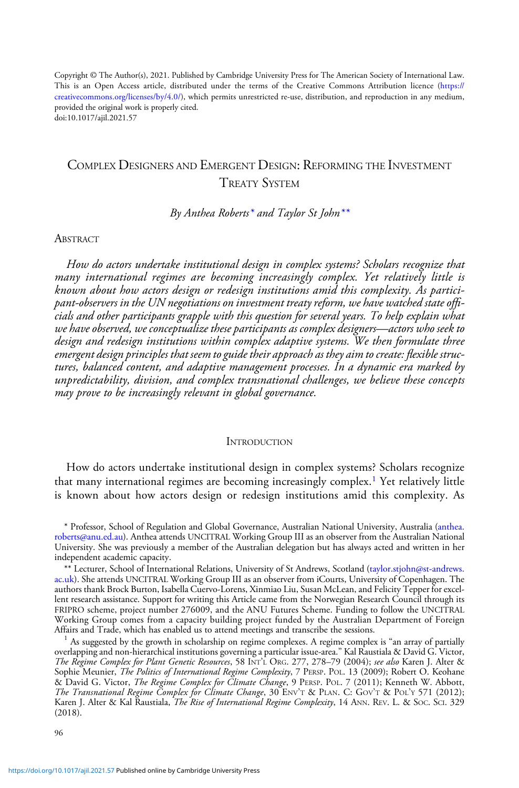Copyright © The Author(s), 2021. Published by Cambridge University Press for The American Society of International Law. This is an Open Access article, distributed under the terms of the Creative Commons Attribution licence [\(https://](https://creativecommons.org/licenses/by/4.0/) [creativecommons.org/licenses/by/4.0/](https://creativecommons.org/licenses/by/4.0/)), which permits unrestricted re-use, distribution, and reproduction in any medium, provided the original work is properly cited. doi:10.1017/ajil.2021.57

# COMPLEX DESIGNERS AND EMERGENT DESIGN: REFORMING THE INVESTMENT TREATY SYSTEM

By Anthea Roberts<sup>\*</sup> and Taylor St John<sup>\*\*</sup>

#### **ABSTRACT**

How do actors undertake institutional design in complex systems? Scholars recognize that many international regimes are becoming increasingly complex. Yet relatively little is known about how actors design or redesign institutions amid this complexity. As participant-observers in the UN negotiations on investment treaty reform, we have watched state officials and other participants grapple with this question for several years. To help explain what we have observed, we conceptualize these participants as complex designers—actors who seek to design and redesign institutions within complex adaptive systems. We then formulate three emergent design principles that seem to guide their approach as they aim to create: flexible structures, balanced content, and adaptive management processes. In a dynamic era marked by unpredictability, division, and complex transnational challenges, we believe these concepts may prove to be increasingly relevant in global governance.

#### **INTRODUCTION**

How do actors undertake institutional design in complex systems? Scholars recognize that many international regimes are becoming increasingly complex.<sup>1</sup> Yet relatively little is known about how actors design or redesign institutions amid this complexity. As

\* Professor, School of Regulation and Global Governance, Australian National University, Australia [\(anthea.](mailto:anthea.roberts@anu.ed.au) [roberts@anu.ed.au](mailto:anthea.roberts@anu.ed.au)). Anthea attends UNCITRAL Working Group III as an observer from the Australian National University. She was previously a member of the Australian delegation but has always acted and written in her independent academic capacity.

\*\* Lecturer, School of International Relations, University of St Andrews, Scotland [\(taylor.stjohn@st-andrews.](mailto:taylor.stjohn@st-andrews.ac.uk) [ac.uk](mailto:taylor.stjohn@st-andrews.ac.uk)). She attends UNCITRAL Working Group III as an observer from iCourts, University of Copenhagen. The authors thank Brock Burton, Isabella Cuervo-Lorens, Xinmiao Liu, Susan McLean, and Felicity Tepper for excellent research assistance. Support for writing this Article came from the Norwegian Research Council through its FRIPRO scheme, project number 276009, and the ANU Futures Scheme. Funding to follow the UNCITRAL Working Group comes from a capacity building project funded by the Australian Department of Foreign

 $<sup>1</sup>$  As suggested by the growth in scholarship on regime complexes. A regime complex is "an array of partially</sup> overlapping and non-hierarchical institutions governing a particular issue-area." Kal Raustiala & David G. Victor, The Regime Complex for Plant Genetic Resources, 58 INT'<sup>L</sup> ORG. 277, 278–79 (2004); see also Karen J. Alter & Sophie Meunier, *The Politics of International Regime Complexity*, 7 PERSP. POL. 13 (2009); Robert O. Keohane & David G. Victor, *The Regime Complex for Climate Change*, 9 PERSP. POL. 7 (2011); Kenneth W. Abbott, The Transnational Regime Complex for Climate Change, 30 ENV'T & PLAN. C: GOV'T & POL'Y 571 (2012); Karen J. Alter & Kal Raustiala, *The Rise of International Regime Complexity*, 14 ANN. REV. L. & Soc. Sci. 329 (2018).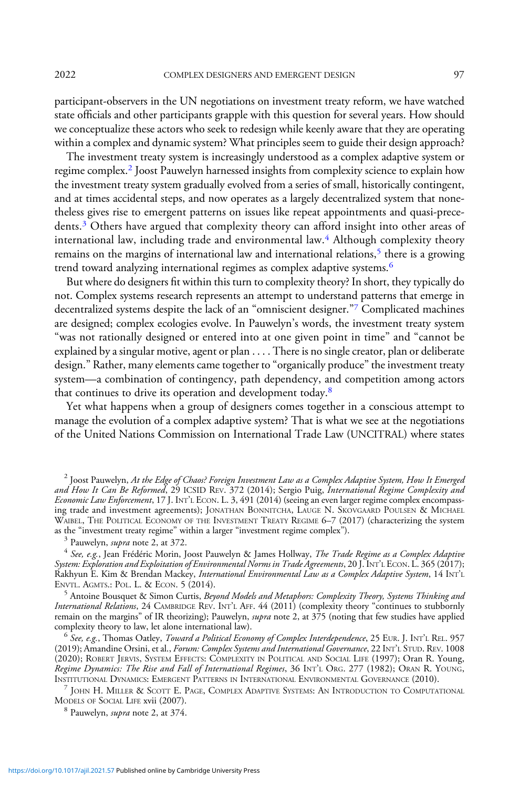participant-observers in the UN negotiations on investment treaty reform, we have watched state officials and other participants grapple with this question for several years. How should we conceptualize these actors who seek to redesign while keenly aware that they are operating within a complex and dynamic system? What principles seem to guide their design approach?

The investment treaty system is increasingly understood as a complex adaptive system or regime complex.<sup>2</sup> Joost Pauwelyn harnessed insights from complexity science to explain how the investment treaty system gradually evolved from a series of small, historically contingent, and at times accidental steps, and now operates as a largely decentralized system that nonetheless gives rise to emergent patterns on issues like repeat appointments and quasi-precedents.<sup>3</sup> Others have argued that complexity theory can afford insight into other areas of international law, including trade and environmental law.<sup>4</sup> Although complexity theory remains on the margins of international law and international relations,<sup>5</sup> there is a growing trend toward analyzing international regimes as complex adaptive systems.<sup>6</sup>

But where do designers fit within this turn to complexity theory? In short, they typically do not. Complex systems research represents an attempt to understand patterns that emerge in decentralized systems despite the lack of an "omniscient designer."<sup>7</sup> Complicated machines are designed; complex ecologies evolve. In Pauwelyn's words, the investment treaty system "was not rationally designed or entered into at one given point in time" and "cannot be explained by a singular motive, agent or plan . . . . There is no single creator, plan or deliberate design." Rather, many elements came together to "organically produce" the investment treaty system—a combination of contingency, path dependency, and competition among actors that continues to drive its operation and development today.8

Yet what happens when a group of designers comes together in a conscious attempt to manage the evolution of a complex adaptive system? That is what we see at the negotiations of the United Nations Commission on International Trade Law (UNCITRAL) where states

<sup>2</sup> Joost Pauwelyn, At the Edge of Chaos? Foreign Investment Law as a Complex Adaptive System, How It Emerged and How It Can Be Reformed, 29 ICSID REV. 372 (2014); Sergio Puig, International Regime Complexity and Economic Law Enforcement, 17 J. INT'L ECON. L. 3, 491 (2014) (seeing an even larger regime complex encompassing trade and investment agreements); JONATHAN BONNITCHA, LAUGE N. SKOVGAARD POULSEN & MICHAEL WAIBEL, THE POLITICAL ECONOMY OF THE INVESTMENT TREATY REGIME 6-7 (2017) (characterizing the system as the "investment treaty regime" within a larger "investment regime complex").

<sup>5</sup> Antoine Bousquet & Simon Curtis, *Beyond Models and Metaphors: Complexity Theory, Systems Thinking and* International Relations, 24 CAMBRIDGE REV. INT'<sup>L</sup> AFF. 44 (2011) (complexity theory "continues to stubbornly remain on the margins" of IR theorizing); Pauwelyn, *supra* note 2, at 375 (noting that few studies have applied complexity theory to law, let alone international law).<br><sup>6</sup> See, e.g., Thomas Oatley, *Toward a Political Economy of Complex Interdependence*, 25 EUR. J. INT'L REL. 957

(2019); Amandine Orsini, et al., Forum: Complex Systems and International Governance, 22 INT'L STUD. REV. 1008 (2020); ROBERT JERVIS, SYSTEM EFFECTS: COMPLEXITY IN POLITICAL AND SOCIAL LIFE (1997); Oran R. Young, Regime Dynamics: The Rise and Fall of International Regimes, 36 INT'L ORG. 277 (1982); ORAN R. YOUNG, INSTITUTIONAL DYNAMICS: EMERGENT PATTERNS IN INTERNATIONAL ENVIRONMENTAL GOVERNANCE (2010).

 $\frac{7}{7}$  JOHN H. MILLER & SCOTT E. PAGE, COMPLEX ADAPTIVE SYSTEMS: AN INTRODUCTION TO COMPUTATIONAL MODELS OF SOCIAL LIFE xvii (2007).

<sup>8</sup> Pauwelyn, *supra* note 2, at 374.

<sup>&</sup>lt;sup>3</sup> Pauwelyn, *supra* note 2, at 372.<br><sup>4</sup> See, e.g., Jean Frédéric Morin, Joost Pauwelyn & James Hollway, *The Trade Regime as a Complex Adaptive* System: Exploration and Exploitation of Environmental Norms in Trade Agreements, 20 J. INT'<sup>L</sup> ECON. L. 365 (2017); Rakhyun E. Kim & Brendan Mackey, *International Environmental Law as a Complex Adaptive System*, 14 INT<sup>'</sup>L<br>ENVTL. AGMTS.: POL. L. & ECON. 5 (2014).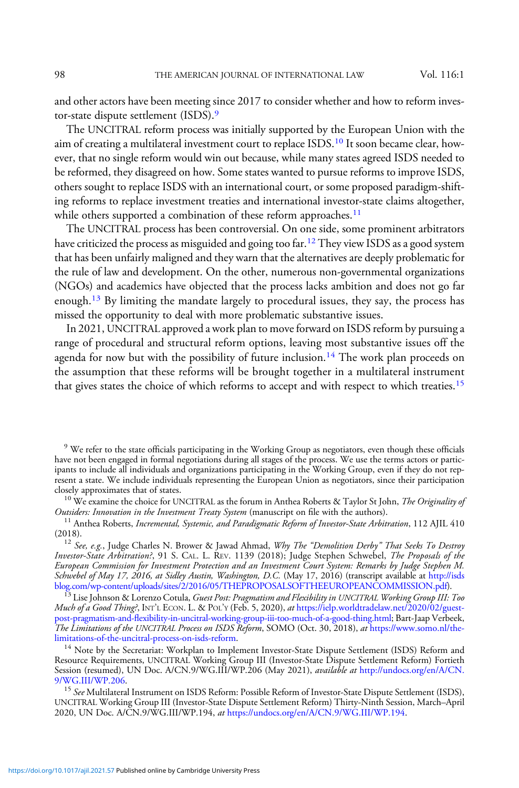and other actors have been meeting since 2017 to consider whether and how to reform investor-state dispute settlement (ISDS).<sup>9</sup>

The UNCITRAL reform process was initially supported by the European Union with the aim of creating a multilateral investment court to replace ISDS.<sup>10</sup> It soon became clear, however, that no single reform would win out because, while many states agreed ISDS needed to be reformed, they disagreed on how. Some states wanted to pursue reforms to improve ISDS, others sought to replace ISDS with an international court, or some proposed paradigm-shifting reforms to replace investment treaties and international investor-state claims altogether, while others supported a combination of these reform approaches.<sup>11</sup>

The UNCITRAL process has been controversial. On one side, some prominent arbitrators have criticized the process as misguided and going too far.<sup>12</sup> They view ISDS as a good system that has been unfairly maligned and they warn that the alternatives are deeply problematic for the rule of law and development. On the other, numerous non-governmental organizations (NGOs) and academics have objected that the process lacks ambition and does not go far enough.<sup>13</sup> By limiting the mandate largely to procedural issues, they say, the process has missed the opportunity to deal with more problematic substantive issues.

In 2021, UNCITRAL approved a work plan to move forward on ISDS reform by pursuing a range of procedural and structural reform options, leaving most substantive issues off the agenda for now but with the possibility of future inclusion.<sup>14</sup> The work plan proceeds on the assumption that these reforms will be brought together in a multilateral instrument that gives states the choice of which reforms to accept and with respect to which treaties.<sup>15</sup>

<sup>9</sup> We refer to the state officials participating in the Working Group as negotiators, even though these officials have not been engaged in formal negotiations during all stages of the process. We use the terms actors or participants to include all individuals and organizations participating in the Working Group, even if they do not represent a state. We include individuals representing the European Union as negotiators, since their participation

<sup>10</sup> We examine the choice for UNCITRAL as the forum in Anthea Roberts & Taylor St John, *The Originality of* Outsiders: *Innovation in the Investment Treaty System* (manuscript on file with the authors).

<sup>11</sup> Anthea Roberts, *Incremental, Systemic, and Paradigmatic Reform of Investor-State Arbitration*, 112 AJIL 410<br>(2018).

 $12$  See, e.g., Judge Charles N. Brower & Jawad Ahmad, Why The "Demolition Derby" That Seeks To Destroy Investor-State Arbitration?, 91 S. CAL. L. REV. 1139 (2018); Judge Stephen Schwebel, The Proposals of the European Commission for Investment Protection and an Investment Court System: Remarks by Judge Stephen M. Schwebel of May 17, 2016, at Sidley Austin, Washington, D.C. (May 17, 2016) (transcript available at [http://isds](http://isdsblog.com/wp-content/uploads/sites/2/2016/05/THEPROPOSALSOFTHEEUROPEANCOMMISSION.pdf)<br>blog.com/wp-content/uploads/sites/2/2016/05/THEPROPOSALSOFTHEEUROPEANCOMMISSION.pdf).

<sup>13</sup> Lise Johnson & Lorenzo Cotula, *Guest Post: Pragmatism and Flexibility in UNCITRAL Working Group III: Too* Much of a Good Thing?, INT'L ECON. L. & POL'Y (Feb. 5, 2020), at [https://ielp.worldtradelaw.net/2020/02/guest](https://ielp.worldtradelaw.net/2020/02/guest-post-pragmatism-and-flexibility-in-uncitral-working-group-iii-too-much-of-a-good-thing.html)post-pragmatism-and-fl[exibility-in-uncitral-working-group-iii-too-much-of-a-good-thing.html](https://ielp.worldtradelaw.net/2020/02/guest-post-pragmatism-and-flexibility-in-uncitral-working-group-iii-too-much-of-a-good-thing.html); Bart-Jaap Verbeek, The Limitations of the UNCITRAL Process on ISDS Reform, SOMO (Oct. 30, 2018), at [https://www.somo.nl/the](https://www.somo.nl/the-limitations-of-the-uncitral-process-on-isds-reform)[limitations-of-the-uncitral-process-on-isds-reform.](https://www.somo.nl/the-limitations-of-the-uncitral-process-on-isds-reform)<br><sup>14</sup> Note by the Secretariat: Workplan to Implement Investor-State Dispute Settlement (ISDS) Reform and

Resource Requirements, UNCITRAL Working Group III (Investor-State Dispute Settlement Reform) Fortieth Session (resumed), UN Doc. A/CN.9/WG.III/WP.206 (May 2021), *available at* [http://undocs.org/en/A/CN.](http://undocs.org/en/A/CN.9/WG.III/WP.206) [9/WG.III/WP.206](http://undocs.org/en/A/CN.9/WG.III/WP.206).<br><sup>15</sup> See Multilateral Instrument on ISDS Reform: Possible Reform of Investor-State Dispute Settlement (ISDS),

UNCITRAL Working Group III (Investor-State Dispute Settlement Reform) Thirty-Ninth Session, March–April 2020, UN Doc. A/CN.9/WG.III/WP.194, at <https://undocs.org/en/A/CN.9/WG.III/WP.194>.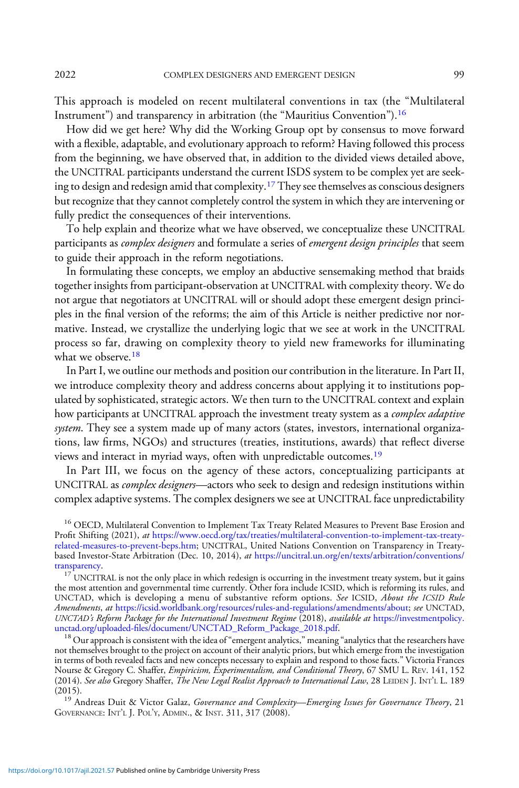This approach is modeled on recent multilateral conventions in tax (the "Multilateral Instrument") and transparency in arbitration (the "Mauritius Convention").<sup>16</sup>

How did we get here? Why did the Working Group opt by consensus to move forward with a flexible, adaptable, and evolutionary approach to reform? Having followed this process from the beginning, we have observed that, in addition to the divided views detailed above, the UNCITRAL participants understand the current ISDS system to be complex yet are seeking to design and redesign amid that complexity.<sup>17</sup> They see themselves as conscious designers but recognize that they cannot completely control the system in which they are intervening or fully predict the consequences of their interventions.

To help explain and theorize what we have observed, we conceptualize these UNCITRAL participants as *complex designers* and formulate a series of *emergent design principles* that seem to guide their approach in the reform negotiations.

In formulating these concepts, we employ an abductive sensemaking method that braids together insights from participant-observation at UNCITRAL with complexity theory. We do not argue that negotiators at UNCITRAL will or should adopt these emergent design principles in the final version of the reforms; the aim of this Article is neither predictive nor normative. Instead, we crystallize the underlying logic that we see at work in the UNCITRAL process so far, drawing on complexity theory to yield new frameworks for illuminating what we observe.<sup>18</sup>

In Part I, we outline our methods and position our contribution in the literature. In Part II, we introduce complexity theory and address concerns about applying it to institutions populated by sophisticated, strategic actors. We then turn to the UNCITRAL context and explain how participants at UNCITRAL approach the investment treaty system as a *complex adaptive* system. They see a system made up of many actors (states, investors, international organizations, law firms, NGOs) and structures (treaties, institutions, awards) that reflect diverse views and interact in myriad ways, often with unpredictable outcomes.<sup>19</sup>

In Part III, we focus on the agency of these actors, conceptualizing participants at UNCITRAL as complex designers—actors who seek to design and redesign institutions within complex adaptive systems. The complex designers we see at UNCITRAL face unpredictability

<sup>16</sup> OECD, Multilateral Convention to Implement Tax Treaty Related Measures to Prevent Base Erosion and Profit Shifting (2021), at [https://www.oecd.org/tax/treaties/multilateral-convention-to-implement-tax-treaty](https://www.oecd.org/tax/treaties/multilateral-convention-to-implement-tax-treaty-related-measures-to-prevent-beps.htm)[related-measures-to-prevent-beps.htm;](https://www.oecd.org/tax/treaties/multilateral-convention-to-implement-tax-treaty-related-measures-to-prevent-beps.htm) UNCITRAL, United Nations Convention on Transparency in Treatybased Investor-State Arbitration (Dec. 10, 2014), at [https://uncitral.un.org/en/texts/arbitration/conventions/](https://uncitral.un.org/en/texts/arbitration/conventions/transparency)

[transparency](https://uncitral.un.org/en/texts/arbitration/conventions/transparency).<br><sup>17</sup> UNCITRAL is not the only place in which redesign is occurring in the investment treaty system, but it gains the most attention and governmental time currently. Other fora include ICSID, which is reforming its rules, and UNCTAD, which is developing a menu of substantive reform options. See ICSID, About the ICSID Rule Amendments, at <https://icsid.worldbank.org/resources/rules-and-regulations/amendments/about>; see UNCTAD, UNCTAD's Reform Package for the International Investment Regime (2018), available at [https://investmentpolicy.](https://investmentpolicy.unctad.org/uploaded-files/document/UNCTAD_Reform_Package_2018.pdf)<br>unctad.org/uploaded-fi[les/document/UNCTAD\\_Reform\\_Package\\_2018.pdf](https://investmentpolicy.unctad.org/uploaded-files/document/UNCTAD_Reform_Package_2018.pdf).<br><sup>18</sup> Our approach is consistent with the ide

not themselves brought to the project on account of their analytic priors, but which emerge from the investigation in terms of both revealed facts and new concepts necessary to explain and respond to those facts." Victoria Frances Nourse & Gregory C. Shaffer, Empiricism, Experimentalism, and Conditional Theory, 67 SMU L. REV. 141, 152 (2014). *See also* Gregory Shaffer, *The New Legal Realist Approach to International Law*, 28 LEIDEN J. INT'L L. 189<br>(2015).

<sup>19</sup> Andreas Duit & Victor Galaz, Governance and Complexity—Emerging Issues for Governance Theory, 21 GOVERNANCE: INT'L J. POL'Y, ADMIN., & INST. 311, 317 (2008).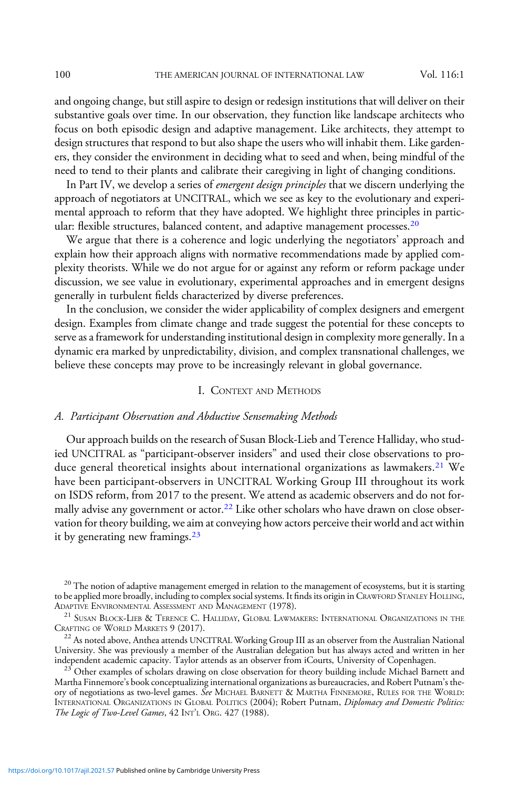and ongoing change, but still aspire to design or redesign institutions that will deliver on their substantive goals over time. In our observation, they function like landscape architects who focus on both episodic design and adaptive management. Like architects, they attempt to design structures that respond to but also shape the users who will inhabit them. Like gardeners, they consider the environment in deciding what to seed and when, being mindful of the need to tend to their plants and calibrate their caregiving in light of changing conditions.

In Part IV, we develop a series of *emergent design principles* that we discern underlying the approach of negotiators at UNCITRAL, which we see as key to the evolutionary and experimental approach to reform that they have adopted. We highlight three principles in particular: flexible structures, balanced content, and adaptive management processes.<sup>20</sup>

We argue that there is a coherence and logic underlying the negotiators' approach and explain how their approach aligns with normative recommendations made by applied complexity theorists. While we do not argue for or against any reform or reform package under discussion, we see value in evolutionary, experimental approaches and in emergent designs generally in turbulent fields characterized by diverse preferences.

In the conclusion, we consider the wider applicability of complex designers and emergent design. Examples from climate change and trade suggest the potential for these concepts to serve as a framework for understanding institutional design in complexity more generally. In a dynamic era marked by unpredictability, division, and complex transnational challenges, we believe these concepts may prove to be increasingly relevant in global governance.

#### I. CONTEXT AND METHODS

#### A. Participant Observation and Abductive Sensemaking Methods

Our approach builds on the research of Susan Block-Lieb and Terence Halliday, who studied UNCITRAL as "participant-observer insiders" and used their close observations to produce general theoretical insights about international organizations as lawmakers.<sup>21</sup> We have been participant-observers in UNCITRAL Working Group III throughout its work on ISDS reform, from 2017 to the present. We attend as academic observers and do not formally advise any government or actor.<sup>22</sup> Like other scholars who have drawn on close observation for theory building, we aim at conveying how actors perceive their world and act within it by generating new framings. $^{23}$ 

<sup>&</sup>lt;sup>20</sup> The notion of adaptive management emerged in relation to the management of ecosystems, but it is starting to be applied more broadly, including to complex social systems. It finds its origin in CRAWFORD STANLEY HOLLING, ADAPTIVE ENVIRONMENTAL ASSESSMENT AND MANAGEMENT (1978).

<sup>&</sup>lt;sup>21</sup> SUSAN BLOCK-LIEB & TERENCE C. HALLIDAY, GLOBAL LAWMAKERS: INTERNATIONAL ORGANIZATIONS IN THE CRAFTING OF WORLD MARKETS  $9$  (2017).

 $^{22}$  As noted above, Anthea attends UNCITRAL Working Group III as an observer from the Australian National University. She was previously a member of the Australian delegation but has always acted and written in her independent academic capacity. Taylor attends as an observer from iCourts, University of Copenhagen.

 $123$  Other examples of scholars drawing on close observation for theory building include Michael Barnett and Martha Finnemore's book conceptualizing international organizations as bureaucracies, and Robert Putnam's theory of negotiations as two-level games. See MICHAEL BARNETT & MARTHA FINNEMORE, RULES FOR THE WORLD: INTERNATIONAL ORGANIZATIONS IN GLOBAL POLITICS (2004); Robert Putnam, Diplomacy and Domestic Politics: The Logic of Two-Level Games, 42 INT'L ORG. 427 (1988).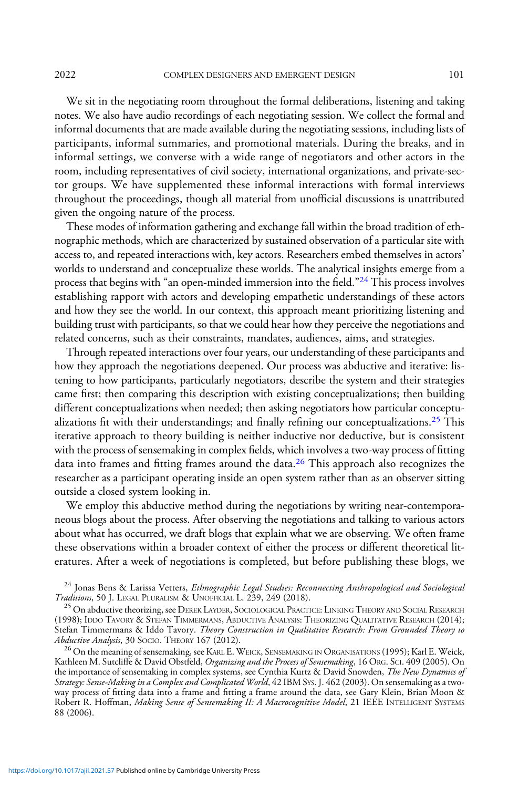2022 COMPLEX DESIGNERS AND EMERGENT DESIGN 101

We sit in the negotiating room throughout the formal deliberations, listening and taking notes. We also have audio recordings of each negotiating session. We collect the formal and informal documents that are made available during the negotiating sessions, including lists of participants, informal summaries, and promotional materials. During the breaks, and in informal settings, we converse with a wide range of negotiators and other actors in the room, including representatives of civil society, international organizations, and private-sector groups. We have supplemented these informal interactions with formal interviews throughout the proceedings, though all material from unofficial discussions is unattributed given the ongoing nature of the process.

These modes of information gathering and exchange fall within the broad tradition of ethnographic methods, which are characterized by sustained observation of a particular site with access to, and repeated interactions with, key actors. Researchers embed themselves in actors' worlds to understand and conceptualize these worlds. The analytical insights emerge from a process that begins with "an open-minded immersion into the field."<sup>24</sup> This process involves establishing rapport with actors and developing empathetic understandings of these actors and how they see the world. In our context, this approach meant prioritizing listening and building trust with participants, so that we could hear how they perceive the negotiations and related concerns, such as their constraints, mandates, audiences, aims, and strategies.

Through repeated interactions over four years, our understanding of these participants and how they approach the negotiations deepened. Our process was abductive and iterative: listening to how participants, particularly negotiators, describe the system and their strategies came first; then comparing this description with existing conceptualizations; then building different conceptualizations when needed; then asking negotiators how particular conceptualizations fit with their understandings; and finally refining our conceptualizations.<sup>25</sup> This iterative approach to theory building is neither inductive nor deductive, but is consistent with the process of sensemaking in complex fields, which involves a two-way process of fitting data into frames and fitting frames around the data.<sup>26</sup> This approach also recognizes the researcher as a participant operating inside an open system rather than as an observer sitting outside a closed system looking in.

We employ this abductive method during the negotiations by writing near-contemporaneous blogs about the process. After observing the negotiations and talking to various actors about what has occurred, we draft blogs that explain what we are observing. We often frame these observations within a broader context of either the process or different theoretical literatures. After a week of negotiations is completed, but before publishing these blogs, we

Kathleen M. Sutcliffe & David Obstfeld, *Organizing and the Process of Sensemaking*, 16 Or.G. SC1. 409 (2005). On the importance of sensemaking in complex systems, see Cynthia Kurtz & David Snowden, *The New Dynamics of Strategy: Sense-Making in a Complex and Complicated World*, 42 IBM Svs. J. 462 (2003). On sensemaking as a two-<br>way process of fitting data into a frame and fitting a frame around the data, see Gary Klein, Brian Moon & Robert R. Hoffman, Making Sense of Sensemaking II: A Macrocognitive Model, 21 IEEE INTELLIGENT SYSTEMS 88 (2006).

 $^{24}$  Jonas Bens & Larissa Vetters, *Ethnographic Legal Studies: Reconnecting Anthropological and Sociological Traditions*, 50 J. LEGAL PLURALISM & UNOFFICIAL L. 239, 249 (2018).

<sup>&</sup>lt;sup>25</sup> On abductive theorizing, see DEREK LAYDER, SOCIOLOGICAL PRACTICE: LINKING THEORY AND SOCIAL RESEARCH (1998); IDDO TAVORY & STEFAN TIMMERMANS, ABDUCTIVE ANALYSIS: THEORIZING QUALITATIVE RESEARCH (2014); Stefan Timmermans & Iddo Tavory. Theory Construction in Qualitative Research: From Grounded Theory to Abductive Analysis, 30 SOCIO. THEORY 167 (2012). Abductive Analysis, 30 Socio. Theory 167 (2012).<br><sup>26</sup> On the meaning of sensemaking, see KARL E. WEICK, SENSEMAKING IN ORGANISATIONS (1995); Karl E. Weick,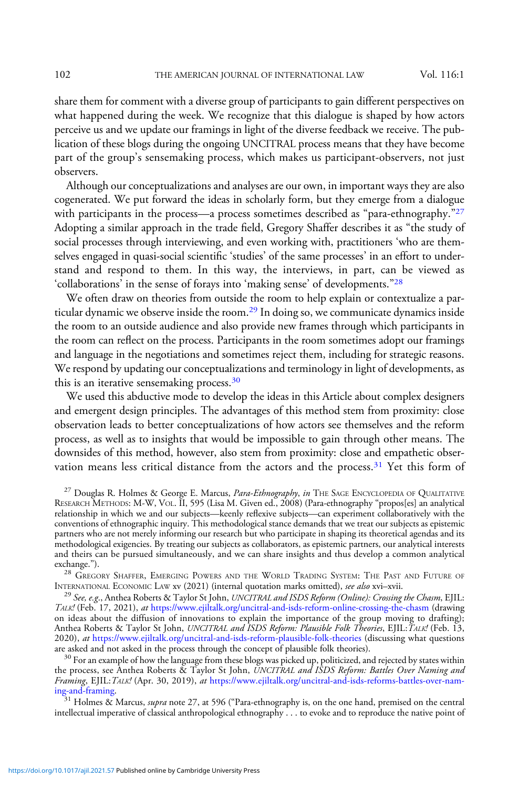share them for comment with a diverse group of participants to gain different perspectives on what happened during the week. We recognize that this dialogue is shaped by how actors perceive us and we update our framings in light of the diverse feedback we receive. The publication of these blogs during the ongoing UNCITRAL process means that they have become part of the group's sensemaking process, which makes us participant-observers, not just observers.

Although our conceptualizations and analyses are our own, in important ways they are also cogenerated. We put forward the ideas in scholarly form, but they emerge from a dialogue with participants in the process—a process sometimes described as "para-ethnography."<sup>27</sup> Adopting a similar approach in the trade field, Gregory Shaffer describes it as "the study of social processes through interviewing, and even working with, practitioners 'who are themselves engaged in quasi-social scientific 'studies' of the same processes' in an effort to understand and respond to them. In this way, the interviews, in part, can be viewed as 'collaborations' in the sense of forays into 'making sense' of developments."<sup>28</sup>

We often draw on theories from outside the room to help explain or contextualize a particular dynamic we observe inside the room.<sup>29</sup> In doing so, we communicate dynamics inside the room to an outside audience and also provide new frames through which participants in the room can reflect on the process. Participants in the room sometimes adopt our framings and language in the negotiations and sometimes reject them, including for strategic reasons. We respond by updating our conceptualizations and terminology in light of developments, as this is an iterative sensemaking process.<sup>30</sup>

We used this abductive mode to develop the ideas in this Article about complex designers and emergent design principles. The advantages of this method stem from proximity: close observation leads to better conceptualizations of how actors see themselves and the reform process, as well as to insights that would be impossible to gain through other means. The downsides of this method, however, also stem from proximity: close and empathetic observation means less critical distance from the actors and the process.<sup>31</sup> Yet this form of

<sup>27</sup> Douglas R. Holmes & George E. Marcus, *Para-Ethnography*, in THE SAGE ENCYCLOPEDIA OF QUALITATIVE RESEARCH METHODS: M-W, VOL. II, 595 (Lisa M. Given ed., 2008) (Para-ethnography "propos[es] an analytical relationship in which we and our subjects—keenly reflexive subjects—can experiment collaboratively with the conventions of ethnographic inquiry. This methodological stance demands that we treat our subjects as epistemic partners who are not merely informing our research but who participate in shaping its theoretical agendas and its methodological exigencies. By treating our subjects as collaborators, as epistemic partners, our analytical interests and theirs can be pursued simultaneously, and we can share insights and thus develop a common analytical

exchange.").<br><sup>28</sup> Gregory Shaffer, Emerging Powers and the World Trading System: The Past and Future of<br>International Economic Law xv (2021) (internal quotation marks omitted), *see also* xvi–xvii.

<sup>29</sup> See, e.g., Anthea Roberts & Taylor St John, UNCITRAL and ISDS Reform (Online): Crossing the Chasm, EJIL: TALK! (Feb. 17, 2021), at <https://www.ejiltalk.org/uncitral-and-isds-reform-online-crossing-the-chasm> (drawing on ideas about the diffusion of innovations to explain the importance of the group moving to drafting); Anthea Roberts & Taylor St John, *UNCITRAL and ISDS Reform: Plausible Folk Theories*, EJIL:*TALK!* (Feb. 13, 2020), *at* <https://www.ejiltalk.org/uncitral-and-isds-reform-plausible-folk-theories> (discussing what questions are asked and not asked in the process through the concept of plausible folk theories).

 $30$  For an example of how the language from these blogs was picked up, politicized, and rejected by states within the process, see Anthea Roberts & Taylor St John, UNCITRAL and ISDS Reform: Battles Over Naming and Framing, EJIL: TALK! (Apr. 30, 2019), at https://www.ejiltalk.org/uncitral-and-isds-reforms-battles-over-nam-<br>ing-and-framing.

 $^{31}$  Holmes & Marcus, supra note 27, at 596 ("Para-ethnography is, on the one hand, premised on the central intellectual imperative of classical anthropological ethnography . . . to evoke and to reproduce the native point of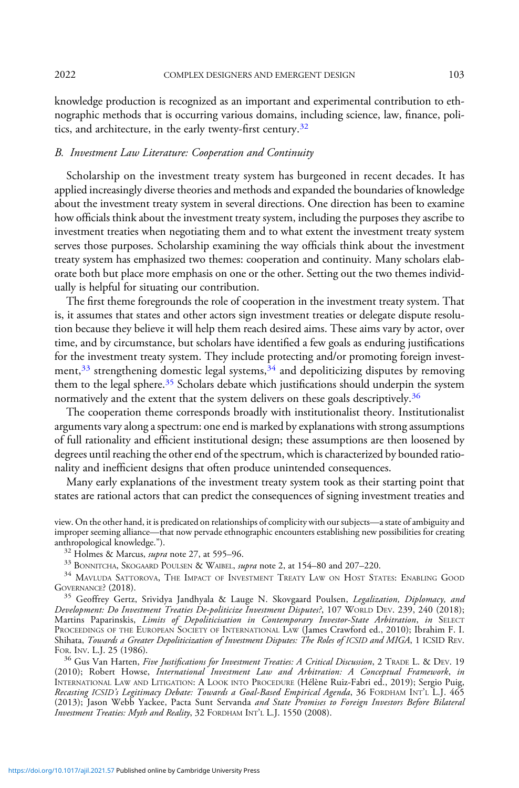knowledge production is recognized as an important and experimental contribution to ethnographic methods that is occurring various domains, including science, law, finance, politics, and architecture, in the early twenty-first century.<sup>32</sup>

### B. Investment Law Literature: Cooperation and Continuity

Scholarship on the investment treaty system has burgeoned in recent decades. It has applied increasingly diverse theories and methods and expanded the boundaries of knowledge about the investment treaty system in several directions. One direction has been to examine how officials think about the investment treaty system, including the purposes they ascribe to investment treaties when negotiating them and to what extent the investment treaty system serves those purposes. Scholarship examining the way officials think about the investment treaty system has emphasized two themes: cooperation and continuity. Many scholars elaborate both but place more emphasis on one or the other. Setting out the two themes individually is helpful for situating our contribution.

The first theme foregrounds the role of cooperation in the investment treaty system. That is, it assumes that states and other actors sign investment treaties or delegate dispute resolution because they believe it will help them reach desired aims. These aims vary by actor, over time, and by circumstance, but scholars have identified a few goals as enduring justifications for the investment treaty system. They include protecting and/or promoting foreign investment,<sup>33</sup> strengthening domestic legal systems,<sup>34</sup> and depoliticizing disputes by removing them to the legal sphere.<sup>35</sup> Scholars debate which justifications should underpin the system normatively and the extent that the system delivers on these goals descriptively.<sup>36</sup>

The cooperation theme corresponds broadly with institutionalist theory. Institutionalist arguments vary along a spectrum: one end is marked by explanations with strong assumptions of full rationality and efficient institutional design; these assumptions are then loosened by degrees until reaching the other end of the spectrum, which is characterized by bounded rationality and inefficient designs that often produce unintended consequences.

Many early explanations of the investment treaty system took as their starting point that states are rational actors that can predict the consequences of signing investment treaties and

view. On the other hand, it is predicated on relationships of complicity with our subjects—a state of ambiguity and improper seeming alliance—that now pervade ethnographic encounters establishing new possibilities for creating

<sup>32</sup> Holmes & Marcus, *supra* note 27, at 595–96.  $\frac{33}{13}$  BONNITCHA, SKOGAARD POULSEN & WAIBEL, *supra* note 2, at 154–80 and 207–220.

 $^{34}$  Mavluda Sattorova, The Impact of Investment Treaty Law on Host States: Enabling Good Governance? (2018).

<sup>35</sup> Geoffrey Gertz, Srividya Jandhyala & Lauge N. Skovgaard Poulsen, Legalization, Diplomacy, and Development: Do Investment Treaties De-politicize Investment Disputes?, 107 WORLD DEV. 239, 240 (2018); Martins Paparinskis, Limits of Depoliticisation in Contemporary Investor-State Arbitration, in SELECT PROCEEDINGS OF THE EUROPEAN SOCIETY OF INTERNATIONAL LAW (James Crawford ed., 2010); Ibrahim F. I. Shihata, *Towards a Greater Depoliticization of Investment Disputes: The Roles of ICSID and MIGA*, 1 ICSID REV.<br>FOR. INV. L.J. 25 (1986).

<sup>36</sup> Gus Van Harten, Five Justifications for Investment Treaties: A Critical Discussion, 2 TRADE L. & DEV. 19 (2010); Robert Howse, International Investment Law and Arbitration: A Conceptual Framework, in INTERNATIONAL LAW AND LITIGATION:ALOOK INTO PROCEDURE (Hélène Ruiz-Fabri ed., 2019); Sergio Puig, Recasting ICSID's Legitimacy Debate: Towards a Goal-Based Empirical Agenda, 36 FORDHAM INT'<sup>L</sup> L.J. 465 (2013); Jason Webb Yackee, Pacta Sunt Servanda and State Promises to Foreign Investors Before Bilateral Investment Treaties: Myth and Reality, 32 FORDHAM INT'<sup>L</sup> L.J. 1550 (2008).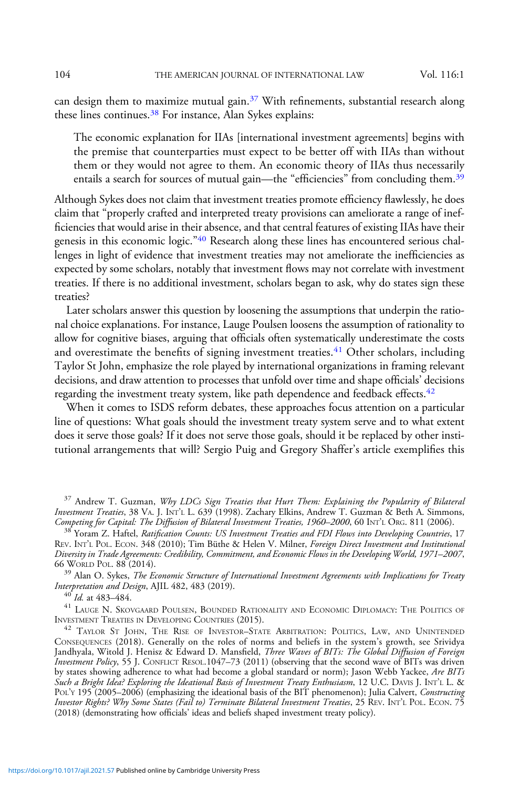can design them to maximize mutual gain. $37$  With refinements, substantial research along these lines continues.<sup>38</sup> For instance, Alan Sykes explains:

The economic explanation for IIAs [international investment agreements] begins with the premise that counterparties must expect to be better off with IIAs than without them or they would not agree to them. An economic theory of IIAs thus necessarily entails a search for sources of mutual gain—the "efficiencies" from concluding them.<sup>39</sup>

Although Sykes does not claim that investment treaties promote efficiency flawlessly, he does claim that "properly crafted and interpreted treaty provisions can ameliorate a range of inefficiencies that would arise in their absence, and that central features of existing IIAs have their genesis in this economic logic."<sup>40</sup> Research along these lines has encountered serious challenges in light of evidence that investment treaties may not ameliorate the inefficiencies as expected by some scholars, notably that investment flows may not correlate with investment treaties. If there is no additional investment, scholars began to ask, why do states sign these treaties?

Later scholars answer this question by loosening the assumptions that underpin the rational choice explanations. For instance, Lauge Poulsen loosens the assumption of rationality to allow for cognitive biases, arguing that officials often systematically underestimate the costs and overestimate the benefits of signing investment treaties.<sup>41</sup> Other scholars, including Taylor St John, emphasize the role played by international organizations in framing relevant decisions, and draw attention to processes that unfold over time and shape officials' decisions regarding the investment treaty system, like path dependence and feedback effects.<sup>42</sup>

When it comes to ISDS reform debates, these approaches focus attention on a particular line of questions: What goals should the investment treaty system serve and to what extent does it serve those goals? If it does not serve those goals, should it be replaced by other institutional arrangements that will? Sergio Puig and Gregory Shaffer's article exemplifies this

 $^{39}$  Alan O. Sykes, *The Economic Structure of International Investment Agreements with Implications for Treaty*<br>Interpretation and Design, AJIL 482, 483 (2019).

 $\frac{40}{1}$  Id. at 483–484.  $\frac{41}{1}$  Lauge N. Skovgaard Poulsen, Bounded Rationality and Economic Diplomacy: The Politics of Investment Treaties in Developing Countries (2015).

<sup>&</sup>lt;sup>37</sup> Andrew T. Guzman, Why LDCs Sign Treaties that Hurt Them: Explaining the Popularity of Bilateral Investment Treaties, 38 VA. J. INT'L L. 639 (1998). Zachary Elkins, Andrew T. Guzman & Beth A. Simmons, Competing for Capital: The Diffusion of Bilateral Investment Treaties, 1960–2000, 60 INT'L ORG. 811 (2006).

<sup>&</sup>lt;sup>38</sup> Yoram Z. Haftel, Ratification Counts: US Investment Treaties and FDI Flows into Developing Countries, 17 REV. INT'L POL. ECON. 348 (2010); Tim Büthe & Helen V. Milner, Foreign Direct Investment and Institutional Diversity in Trade Agreements: Credibility, Commitment, and Economic Flows in the Developing World, 1971–2007,

<sup>&</sup>lt;sup>42</sup> TAYLOR ST JOHN, THE RISE OF INVESTOR-STATE ARBITRATION: POLITICS, LAW, AND UNINTENDED CONSEQUENCES (2018). Generally on the roles of norms and beliefs in the system's growth, see Srividya Jandhyala, Witold J. Henisz & Edward D. Mansfield, Three Waves of BITs: The Global Diffusion of Foreign Investment Policy, 55 J. CONFLICT RESOL.1047–73 (2011) (observing that the second wave of BITs was driven by states showing adherence to what had become a global standard or norm); Jason Webb Yackee, Are BITs Such a Bright Idea? Exploring the Ideational Basis of Investment Treaty Enthusiasm, 12 U.C. DAVIS J. INT'<sup>L</sup> L. & POL'Y 195 (2005–2006) (emphasizing the ideational basis of the BIT phenomenon); Julia Calvert, Constructing Investor Rights? Why Some States (Fail to) Terminate Bilateral Investment Treaties, 25 REV. INT'<sup>L</sup> POL. ECON. 75 (2018) (demonstrating how officials' ideas and beliefs shaped investment treaty policy).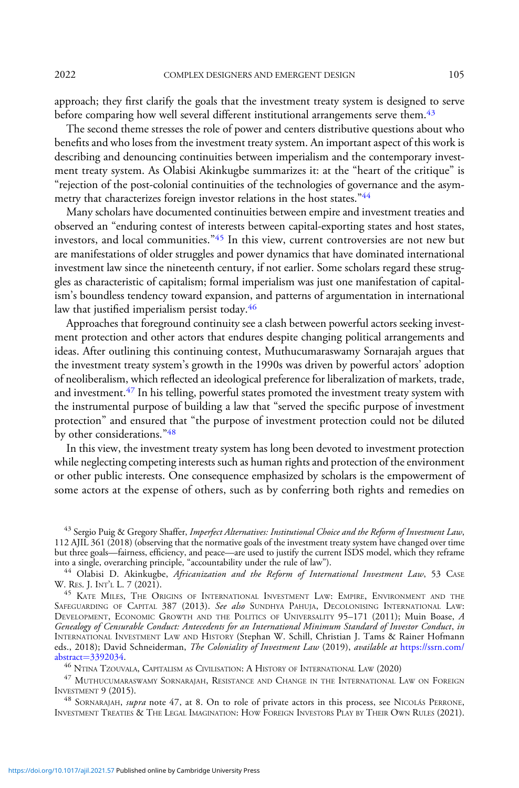2022 COMPLEX DESIGNERS AND EMERGENT DESIGN 105

approach; they first clarify the goals that the investment treaty system is designed to serve before comparing how well several different institutional arrangements serve them.<sup>43</sup>

The second theme stresses the role of power and centers distributive questions about who benefits and who loses from the investment treaty system. An important aspect of this work is describing and denouncing continuities between imperialism and the contemporary investment treaty system. As Olabisi Akinkugbe summarizes it: at the "heart of the critique" is "rejection of the post-colonial continuities of the technologies of governance and the asymmetry that characterizes foreign investor relations in the host states."<sup>44</sup>

Many scholars have documented continuities between empire and investment treaties and observed an "enduring contest of interests between capital-exporting states and host states, investors, and local communities."<sup>45</sup> In this view, current controversies are not new but are manifestations of older struggles and power dynamics that have dominated international investment law since the nineteenth century, if not earlier. Some scholars regard these struggles as characteristic of capitalism; formal imperialism was just one manifestation of capitalism's boundless tendency toward expansion, and patterns of argumentation in international law that justified imperialism persist today.<sup>46</sup>

Approaches that foreground continuity see a clash between powerful actors seeking investment protection and other actors that endures despite changing political arrangements and ideas. After outlining this continuing contest, Muthucumaraswamy Sornarajah argues that the investment treaty system's growth in the 1990s was driven by powerful actors' adoption of neoliberalism, which reflected an ideological preference for liberalization of markets, trade, and investment.<sup>47</sup> In his telling, powerful states promoted the investment treaty system with the instrumental purpose of building a law that "served the specific purpose of investment protection" and ensured that "the purpose of investment protection could not be diluted by other considerations."<sup>48</sup>

In this view, the investment treaty system has long been devoted to investment protection while neglecting competing interests such as human rights and protection of the environment or other public interests. One consequence emphasized by scholars is the empowerment of some actors at the expense of others, such as by conferring both rights and remedies on

 $^{43}$  Sergio Puig & Gregory Shaffer, Imperfect Alternatives: Institutional Choice and the Reform of Investment Law, 112 AJIL 361 (2018) (observing that the normative goals of the investment treaty system have changed over time but three goals—fairness, efficiency, and peace—are used to justify the current ISDS model, which they reframe into a single, overarching principle, "accountability under the rule of law").

<sup>44</sup> Olabisi D. Akinkugbe, Africanization and the Reform of International Investment Law, 53 CASE W. RES. J. INT'<sup>L</sup> L. 7 (2021).

<sup>45</sup> KATE MILES, THE ORIGINS OF INTERNATIONAL INVESTMENT LAW: EMPIRE, ENVIRONMENT AND THE SAFEGUARDING OF CAPITAL 387 (2013). See also SUNDHYA PAHUJA, DECOLONISING INTERNATIONAL LAW: DEVELOPMENT, ECONOMIC GROWTH AND THE POLITICS OF UNIVERSALITY 95–171 (2011); Muin Boase, A Genealogy of Censurable Conduct: Antecedents for an International Minimum Standard of Investor Conduct, in INTERNATIONAL INVESTMENT LAW AND HISTORY (Stephan W. Schill, Christian J. Tams & Rainer Hofmann eds., 2018); David Schneiderman, The Coloniality of Investment Law (2019), available at [https://ssrn.com/](https://ssrn.com/abstract=3392034)<br>abstract=3392034.

 $^{46}$  Ntina Tzouvala, Capitalism as Civilisation: A History of International Law (2020)

 $^{47}$ MUTHUCUMARASWAMY SORNARAJAH, RESISTANCE AND CHANGE IN THE INTERNATIONAL LAW ON FOREIGN INVESTMENT  $9$  (2015).

<sup>48</sup> SORNARAJAH, supra note 47, at 8. On to role of private actors in this process, see NICOLÁS PERRONE, INVESTMENT TREATIES & THE LEGAL IMAGINATION: HOW FOREIGN INVESTORS PLAY BY THEIR OWN RULES (2021).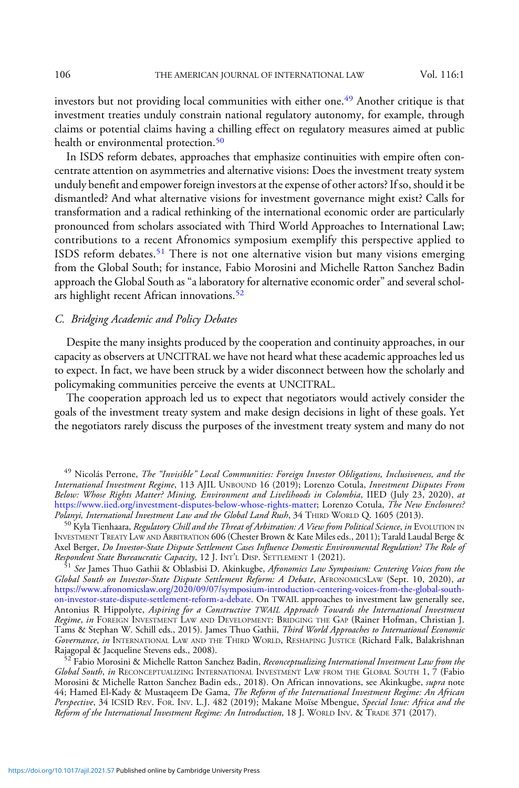investors but not providing local communities with either one.<sup>49</sup> Another critique is that investment treaties unduly constrain national regulatory autonomy, for example, through claims or potential claims having a chilling effect on regulatory measures aimed at public health or environmental protection.<sup>50</sup>

In ISDS reform debates, approaches that emphasize continuities with empire often concentrate attention on asymmetries and alternative visions: Does the investment treaty system unduly benefit and empower foreign investors at the expense of other actors? If so, should it be dismantled? And what alternative visions for investment governance might exist? Calls for transformation and a radical rethinking of the international economic order are particularly pronounced from scholars associated with Third World Approaches to International Law; contributions to a recent Afronomics symposium exemplify this perspective applied to ISDS reform debates.<sup>51</sup> There is not one alternative vision but many visions emerging from the Global South; for instance, Fabio Morosini and Michelle Ratton Sanchez Badin approach the Global South as "a laboratory for alternative economic order" and several scholars highlight recent African innovations. $52$ 

### C. Bridging Academic and Policy Debates

Despite the many insights produced by the cooperation and continuity approaches, in our capacity as observers at UNCITRAL we have not heard what these academic approaches led us to expect. In fact, we have been struck by a wider disconnect between how the scholarly and policymaking communities perceive the events at UNCITRAL.

The cooperation approach led us to expect that negotiators would actively consider the goals of the investment treaty system and make design decisions in light of these goals. Yet the negotiators rarely discuss the purposes of the investment treaty system and many do not

<sup>49</sup> Nicolás Perrone, *The "Invisible" Local Communities: Foreign Investor Obligations, Inclusiveness, and the* International Investment Regime, 113 AJIL UNBOUND 16 (2019); Lorenzo Cotula, Investment Disputes From Below: Whose Rights Matter? Mining, Environment and Livelihoods in Colombia, IIED (July 23, 2020), at [https://www.iied.org/investment-disputes-below-whose-rights-matter;](https://www.iied.org/investment-disputes-below-whose-rights-matter) Lorenzo Cotula, The New Enclosures?<br>Polanyi, International Investment Law and the Global Land Rush, 34 THIRD WORLD Q. 1605 (2013).

 $^{50}$  Kyla Tienhaara, *Regulatory Chill and the Threat of Arbitration: A View from Political Science, in E*VOLUTION IN INVESTMENT TREATY LAW AND ARBITRATION 606 (Chester Brown & Kate Miles eds., 2011); Tarald Laudal Berge & Axel Berger, Do Investor-State Dispute Settlement Cases Influence Domestic Environmental Regulation? The Role of<br>Respondent State Bureaucratic Capacity, 12 J. INT'l. DISP. SETTLEMENT 1 (2021).

<sup>51</sup> See James Thuo Gathii & Oblasbisi D. Akinkugbe, Afronomics Law Symposium: Centering Voices from the Global South on Investor-State Dispute Settlement Reform: A Debate, AFRONOMICSLAW (Sept. 10, 2020), at [https://www.afronomicslaw.org/2020/09/07/symposium-introduction-centering-voices-from-the-global-south](https://www.afronomicslaw.org/2020/09/07/symposium-introduction-centering-voices-from-the-global-south-on-investor-state-dispute-settlement-reform-a-debate)[on-investor-state-dispute-settlement-reform-a-debate.](https://www.afronomicslaw.org/2020/09/07/symposium-introduction-centering-voices-from-the-global-south-on-investor-state-dispute-settlement-reform-a-debate) On TWAIL approaches to investment law generally see, Antonius R Hippolyte, Aspiring for a Constructive TWAIL Approach Towards the International Investment Regime, in FOREIGN INVESTMENT LAW AND DEVELOPMENT: BRIDGING THE GAP (Rainer Hofman, Christian J. Tams & Stephan W. Schill eds., 2015). James Thuo Gathii, Third World Approaches to International Economic *Governance, in* INTERNATIONAL LAW AND THE THIRD WORLD, RESHAPING JUSTICE (Richard Falk, Balakrishnan<br>Rajagopal & Jacqueline Stevens eds., 2008).

52 Fabio Morosini & Michelle Ratton Sanchez Badin, Reconceptualizing International Investment Law from the Global South, in RECONCEPTUALIZING INTERNATIONAL INVESTMENT LAW FROM THE GLOBAL SOUTH 1, 7 (Fabio Morosini & Michelle Ratton Sanchez Badin eds., 2018). On African innovations, see Akinkugbe, *supra* note 44; Hamed El-Kady & Mustaqeem De Gama, The Reform of the International Investment Regime: An African Perspective, 34 ICSID REV. FOR. INV. L.J. 482 (2019); Makane Moïse Mbengue, Special Issue: Africa and the Reform of the International Investment Regime: An Introduction, 18 J. WORLD INV. & TRADE 371 (2017).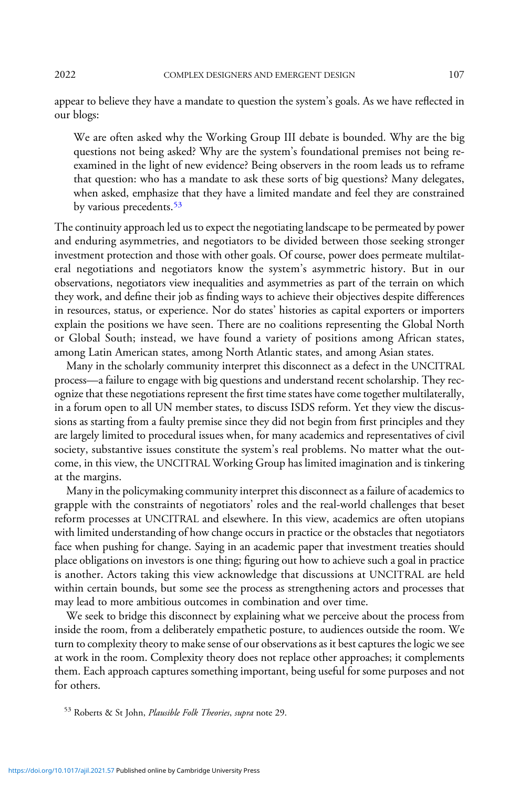appear to believe they have a mandate to question the system's goals. As we have reflected in our blogs:

We are often asked why the Working Group III debate is bounded. Why are the big questions not being asked? Why are the system's foundational premises not being reexamined in the light of new evidence? Being observers in the room leads us to reframe that question: who has a mandate to ask these sorts of big questions? Many delegates, when asked, emphasize that they have a limited mandate and feel they are constrained by various precedents.<sup>53</sup>

The continuity approach led us to expect the negotiating landscape to be permeated by power and enduring asymmetries, and negotiators to be divided between those seeking stronger investment protection and those with other goals. Of course, power does permeate multilateral negotiations and negotiators know the system's asymmetric history. But in our observations, negotiators view inequalities and asymmetries as part of the terrain on which they work, and define their job as finding ways to achieve their objectives despite differences in resources, status, or experience. Nor do states' histories as capital exporters or importers explain the positions we have seen. There are no coalitions representing the Global North or Global South; instead, we have found a variety of positions among African states, among Latin American states, among North Atlantic states, and among Asian states.

Many in the scholarly community interpret this disconnect as a defect in the UNCITRAL process—a failure to engage with big questions and understand recent scholarship. They recognize that these negotiations represent the first time states have come together multilaterally, in a forum open to all UN member states, to discuss ISDS reform. Yet they view the discussions as starting from a faulty premise since they did not begin from first principles and they are largely limited to procedural issues when, for many academics and representatives of civil society, substantive issues constitute the system's real problems. No matter what the outcome, in this view, the UNCITRAL Working Group has limited imagination and is tinkering at the margins.

Many in the policymaking community interpret this disconnect as a failure of academics to grapple with the constraints of negotiators' roles and the real-world challenges that beset reform processes at UNCITRAL and elsewhere. In this view, academics are often utopians with limited understanding of how change occurs in practice or the obstacles that negotiators face when pushing for change. Saying in an academic paper that investment treaties should place obligations on investors is one thing; figuring out how to achieve such a goal in practice is another. Actors taking this view acknowledge that discussions at UNCITRAL are held within certain bounds, but some see the process as strengthening actors and processes that may lead to more ambitious outcomes in combination and over time.

We seek to bridge this disconnect by explaining what we perceive about the process from inside the room, from a deliberately empathetic posture, to audiences outside the room. We turn to complexity theory to make sense of our observations as it best captures the logic we see at work in the room. Complexity theory does not replace other approaches; it complements them. Each approach captures something important, being useful for some purposes and not for others.

53 Roberts & St John, Plausible Folk Theories, supra note 29.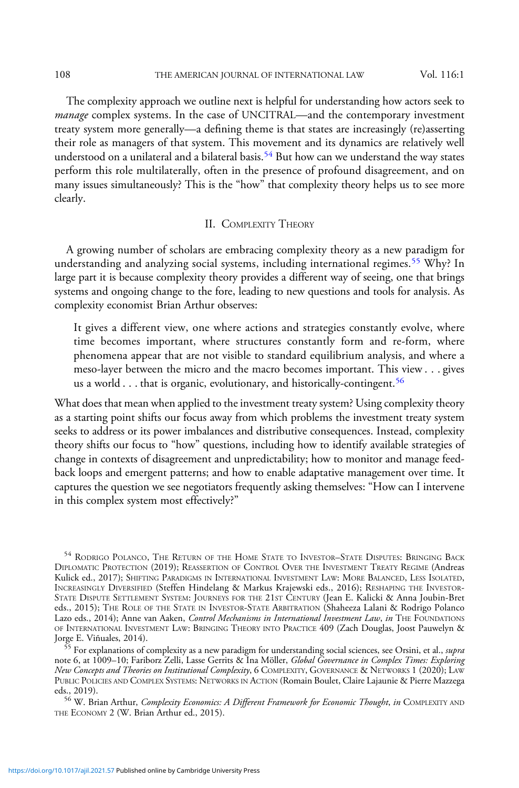The complexity approach we outline next is helpful for understanding how actors seek to *manage* complex systems. In the case of UNCITRAL—and the contemporary investment treaty system more generally—a defining theme is that states are increasingly (re)asserting their role as managers of that system. This movement and its dynamics are relatively well understood on a unilateral and a bilateral basis.<sup>54</sup> But how can we understand the way states perform this role multilaterally, often in the presence of profound disagreement, and on many issues simultaneously? This is the "how" that complexity theory helps us to see more clearly.

# II. COMPLEXITY THEORY

A growing number of scholars are embracing complexity theory as a new paradigm for understanding and analyzing social systems, including international regimes.<sup>55</sup> Why? In large part it is because complexity theory provides a different way of seeing, one that brings systems and ongoing change to the fore, leading to new questions and tools for analysis. As complexity economist Brian Arthur observes:

It gives a different view, one where actions and strategies constantly evolve, where time becomes important, where structures constantly form and re-form, where phenomena appear that are not visible to standard equilibrium analysis, and where a meso-layer between the micro and the macro becomes important. This view . . . gives us a world  $\ldots$  that is organic, evolutionary, and historically-contingent.<sup>56</sup>

What does that mean when applied to the investment treaty system? Using complexity theory as a starting point shifts our focus away from which problems the investment treaty system seeks to address or its power imbalances and distributive consequences. Instead, complexity theory shifts our focus to "how" questions, including how to identify available strategies of change in contexts of disagreement and unpredictability; how to monitor and manage feedback loops and emergent patterns; and how to enable adaptative management over time. It captures the question we see negotiators frequently asking themselves: "How can I intervene in this complex system most effectively?"

<sup>54</sup> RODRIGO POLANCO, THE RETURN OF THE HOME STATE TO INVESTOR–STATE DISPUTES: BRINGING BACK DIPLOMATIC PROTECTION (2019); REASSERTION OF CONTROL OVER THE INVESTMENT TREATY REGIME (Andreas Kulick ed., 2017); SHIFTING PARADIGMS IN INTERNATIONAL INVESTMENT LAW: MORE BALANCED, LESS ISOLATED, INCREASINGLY DIVERSIFIED (Steffen Hindelang & Markus Krajewski eds., 2016); RESHAPING THE INVESTOR-STATE DISPUTE SETTLEMENT SYSTEM: JOURNEYS FOR THE 21ST CENTURY (Jean E. Kalicki & Anna Joubin-Bret eds., 2015); THE ROLE OF THE STATE IN INVESTOR-STATE ARBITRATION (Shaheeza Lalani & Rodrigo Polanco Lazo eds., 2014); Anne van Aaken, Control Mechanisms in International Investment Law, in THE FOUNDATIONS OF INTERNATIONAL INVESTMENT LAW: BRINGING THEORY INTO PRACTICE 409 (Zach Douglas, Joost Pauwelyn & Jorge E. Viñuales, 2014).

For explanations of complexity as a new paradigm for understanding social sciences, see Orsini, et al., supra note 6, at 1009–10; Fariborz Zelli, Lasse Gerrits & Ina Möller, Global Governance in Complex Times: Exploring New Concepts and Theories on Institutional Complexity,6COMPLEXITY, GOVERNANCE & NETWORKS 1 (2020); LAW PUBLIC POLICIES AND COMPLEX SYSTEMS: NETWORKS IN ACTION (Romain Boulet, Claire Lajaunie & Pierre Mazzega eds., 2019).

<sup>56</sup> W. Brian Arthur, *Complexity Economics: A Different Framework for Economic Thought, in* COMPLEXITY AND THE ECONOMY 2 (W. Brian Arthur ed., 2015).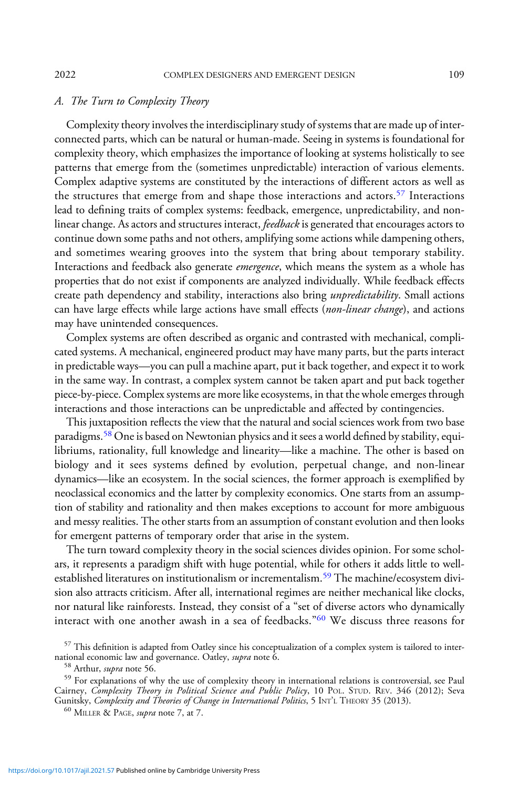#### 2022 COMPLEX DESIGNERS AND EMERGENT DESIGN 109

#### A. The Turn to Complexity Theory

Complexity theory involves the interdisciplinary study of systems that are made up of interconnected parts, which can be natural or human-made. Seeing in systems is foundational for complexity theory, which emphasizes the importance of looking at systems holistically to see patterns that emerge from the (sometimes unpredictable) interaction of various elements. Complex adaptive systems are constituted by the interactions of different actors as well as the structures that emerge from and shape those interactions and actors.<sup>57</sup> Interactions lead to defining traits of complex systems: feedback, emergence, unpredictability, and nonlinear change. As actors and structures interact, feedback is generated that encourages actors to continue down some paths and not others, amplifying some actions while dampening others, and sometimes wearing grooves into the system that bring about temporary stability. Interactions and feedback also generate *emergence*, which means the system as a whole has properties that do not exist if components are analyzed individually. While feedback effects create path dependency and stability, interactions also bring *unpredictability*. Small actions can have large effects while large actions have small effects (non-linear change), and actions may have unintended consequences.

Complex systems are often described as organic and contrasted with mechanical, complicated systems. A mechanical, engineered product may have many parts, but the parts interact in predictable ways—you can pull a machine apart, put it back together, and expect it to work in the same way. In contrast, a complex system cannot be taken apart and put back together piece-by-piece. Complex systems are more like ecosystems, in that the whole emerges through interactions and those interactions can be unpredictable and affected by contingencies.

This juxtaposition reflects the view that the natural and social sciences work from two base paradigms.<sup>58</sup> One is based on Newtonian physics and it sees a world defined by stability, equilibriums, rationality, full knowledge and linearity—like a machine. The other is based on biology and it sees systems defined by evolution, perpetual change, and non-linear dynamics—like an ecosystem. In the social sciences, the former approach is exemplified by neoclassical economics and the latter by complexity economics. One starts from an assumption of stability and rationality and then makes exceptions to account for more ambiguous and messy realities. The other starts from an assumption of constant evolution and then looks for emergent patterns of temporary order that arise in the system.

The turn toward complexity theory in the social sciences divides opinion. For some scholars, it represents a paradigm shift with huge potential, while for others it adds little to wellestablished literatures on institutionalism or incrementalism.<sup>59</sup> The machine/ecosystem division also attracts criticism. After all, international regimes are neither mechanical like clocks, nor natural like rainforests. Instead, they consist of a "set of diverse actors who dynamically interact with one another awash in a sea of feedbacks."<sup>60</sup> We discuss three reasons for

 $^{57}$  This definition is adapted from Oatley since his conceptualization of a complex system is tailored to international economic law and governance. Oatley, *supra* note 6. national economic law and governance. Oatley, *supra* note 6.  $^{58}$  Arthur, *supra* note 56.  $^{59}$  For explanations of why the use of complexity theory in international relations is controversial, see Paul

Cairney, *Complexity Theory in Political Science and Public Policy*, 10 POL. STUD. REV. 346 (2012); Seva Gunitsky, *Complexity and Theories of Change in International Politics*, 5 INT'l THEORY 35 (2013).<br><sup>60</sup> MILLER & PAGE, *supra* note 7, at 7.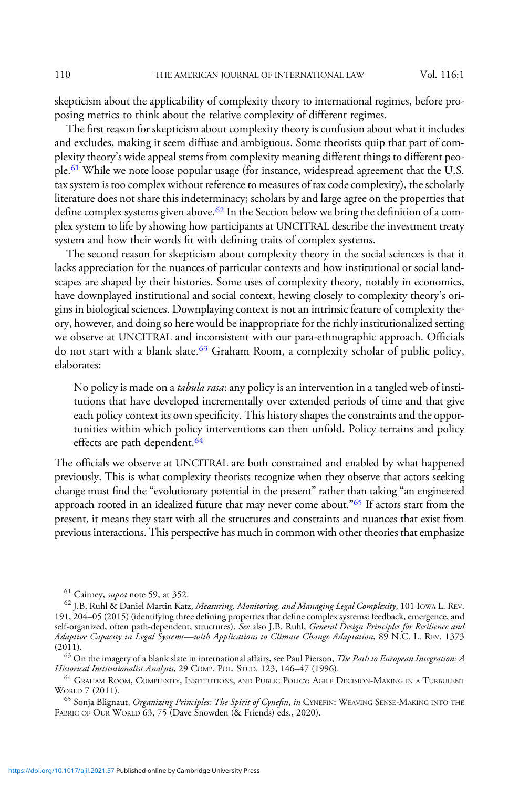skepticism about the applicability of complexity theory to international regimes, before proposing metrics to think about the relative complexity of different regimes.

The first reason for skepticism about complexity theory is confusion about what it includes and excludes, making it seem diffuse and ambiguous. Some theorists quip that part of complexity theory's wide appeal stems from complexity meaning different things to different people.61 While we note loose popular usage (for instance, widespread agreement that the U.S. tax system is too complex without reference to measures of tax code complexity), the scholarly literature does not share this indeterminacy; scholars by and large agree on the properties that define complex systems given above.<sup>62</sup> In the Section below we bring the definition of a complex system to life by showing how participants at UNCITRAL describe the investment treaty system and how their words fit with defining traits of complex systems.

The second reason for skepticism about complexity theory in the social sciences is that it lacks appreciation for the nuances of particular contexts and how institutional or social landscapes are shaped by their histories. Some uses of complexity theory, notably in economics, have downplayed institutional and social context, hewing closely to complexity theory's origins in biological sciences. Downplaying context is not an intrinsic feature of complexity theory, however, and doing so here would be inappropriate for the richly institutionalized setting we observe at UNCITRAL and inconsistent with our para-ethnographic approach. Officials do not start with a blank slate.<sup>63</sup> Graham Room, a complexity scholar of public policy, elaborates:

No policy is made on a *tabula rasa*: any policy is an intervention in a tangled web of institutions that have developed incrementally over extended periods of time and that give each policy context its own specificity. This history shapes the constraints and the opportunities within which policy interventions can then unfold. Policy terrains and policy effects are path dependent.<sup>64</sup>

The officials we observe at UNCITRAL are both constrained and enabled by what happened previously. This is what complexity theorists recognize when they observe that actors seeking change must find the "evolutionary potential in the present" rather than taking "an engineered approach rooted in an idealized future that may never come about."<sup>65</sup> If actors start from the present, it means they start with all the structures and constraints and nuances that exist from previous interactions. This perspective has much in common with other theories that emphasize

(2011).<br><sup>63</sup> On the imagery of a blank slate in international affairs, see Paul Pierson, *The Path to European Integration: A*<br>*Historical Institutionalist Analysis*, 29 COMP. POL. STUD. 123, 146–47 (1996).

<sup>64</sup> GRAHAM ROOM, COMPLEXITY, INSTITUTIONS, AND PUBLIC POLICY: AGILE DECISION-MAKING IN A TURBULENT WORLD 7 (2011).

 $^{65}$  Sonja Blignaut, *Organizing Principles: The Spirit of Cynefin, in CYNEFIN*: WEAVING SENSE-MAKING INTO THE FABRIC OF OUR WORLD 63, 75 (Dave Snowden (& Friends) eds., 2020).

<sup>&</sup>lt;sup>61</sup> Cairney, *supra* note 59, at 352.<br><sup>62</sup> J.B. Ruhl & Daniel Martin Katz, *Measuring, Monitoring, and Managing Legal Complexity*, 101 IOwa L. Rev. 191, 204–05 (2015) (identifying three defining properties that define complex systems: feedback, emergence, and self-organized, often path-dependent, structures). *See* also J.B. Ruhl, *General Design Principles for Resilience and* Adaptive Capacity in Legal Systems—with Applications to Climate Change Adaptation, 89 N.C. L. REV. 1373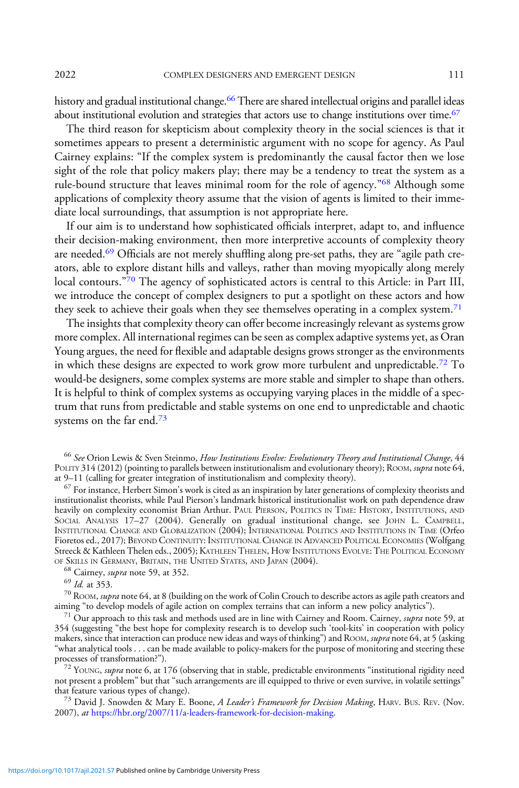2022 COMPLEX DESIGNERS AND EMERGENT DESIGN 111

history and gradual institutional change.<sup>66</sup> There are shared intellectual origins and parallel ideas about institutional evolution and strategies that actors use to change institutions over time.<sup>67</sup>

The third reason for skepticism about complexity theory in the social sciences is that it sometimes appears to present a deterministic argument with no scope for agency. As Paul Cairney explains: "If the complex system is predominantly the causal factor then we lose sight of the role that policy makers play; there may be a tendency to treat the system as a rule-bound structure that leaves minimal room for the role of agency."<sup>68</sup> Although some applications of complexity theory assume that the vision of agents is limited to their immediate local surroundings, that assumption is not appropriate here.

If our aim is to understand how sophisticated officials interpret, adapt to, and influence their decision-making environment, then more interpretive accounts of complexity theory are needed.<sup>69</sup> Officials are not merely shuffling along pre-set paths, they are "agile path creators, able to explore distant hills and valleys, rather than moving myopically along merely local contours."<sup>70</sup> The agency of sophisticated actors is central to this Article: in Part III, we introduce the concept of complex designers to put a spotlight on these actors and how they seek to achieve their goals when they see themselves operating in a complex system.<sup>71</sup>

The insights that complexity theory can offer become increasingly relevant as systems grow more complex. All international regimes can be seen as complex adaptive systems yet, as Oran Young argues, the need for flexible and adaptable designs grows stronger as the environments in which these designs are expected to work grow more turbulent and unpredictable.<sup>72</sup> To would-be designers, some complex systems are more stable and simpler to shape than others. It is helpful to think of complex systems as occupying varying places in the middle of a spectrum that runs from predictable and stable systems on one end to unpredictable and chaotic systems on the far end.<sup>73</sup>

 $\frac{67}{67}$  For instance, Herbert Simon's work is cited as an inspiration by later generations of complexity theorists and institutionalist theorists, while Paul Pierson's landmark historical institutionalist work on path dependence draw heavily on complexity economist Brian Arthur. PAUL PIERSON, POLITICS IN TIME: HISTORY, INSTITUTIONS, AND SOCIAL ANALYSIS 17–27 (2004). Generally on gradual institutional change, see JOHN L. CAMPBELL, INSTITUTIONAL CHANGE AND GLOBALIZATION (2004); INTERNATIONAL POLITICS AND INSTITUTIONS IN TIME (Orfeo Fioretos ed., 2017); BEYOND CONTINUITY: INSTITUTIONAL CHANGE IN ADVANCED POLITICAL ECONOMIES (Wolfgang Streeck & Kathleen Thelen eds., 2005); KATHLEEN THELEN, HOW INSTITUTIONS EVOLVE: THE POLITICAL ECONOMY OF SKILLS IN GERMANY, BRITAIN, THE UNITED STATES, AND JAPAN (2004).

<sup>68</sup> Cairney, *supra* note 59, at 352.<br><sup>69</sup> *Id.* at 353.<br><sup>70</sup> ROOM, *supra* note 64, at 8 (building on the work of Colin Crouch to describe actors as agile path creators and<br>aiming "to develop models of agile action on c

 $171$  Our approach to this task and methods used are in line with Cairney and Room. Cairney, supra note 59, at 354 (suggesting "the best hope for complexity research is to develop such 'tool-kits' in cooperation with policy makers, since that interaction can produce new ideas and ways of thinking") and ROOM, supra note 64, at 5 (asking "what analytical tools . . . can be made available to policy-makers for the purpose of monitoring and steering these

 $72$  YOUNG, supra note 6, at 176 (observing that in stable, predictable environments "institutional rigidity need not present a problem" but that "such arrangements are ill equipped to thrive or even survive, in volatile settings"

<sup>73</sup> David J. Snowden & Mary E. Boone, *A Leader's Framework for Decision Making*, HARV. BUS. REV. (Nov. 2007), at <https://hbr.org/2007/11/a-leaders-framework-for-decision-making>.

<sup>&</sup>lt;sup>66</sup> See Orion Lewis & Sven Steinmo, How Institutions Evolve: Evolutionary Theory and Institutional Change, 44 POLITY 314 (2012) (pointing to parallels between institutionalism and evolutionary theory); ROOM, supra note 64, at 9–11 (calling for greater integration of institutionalism and complexity theory).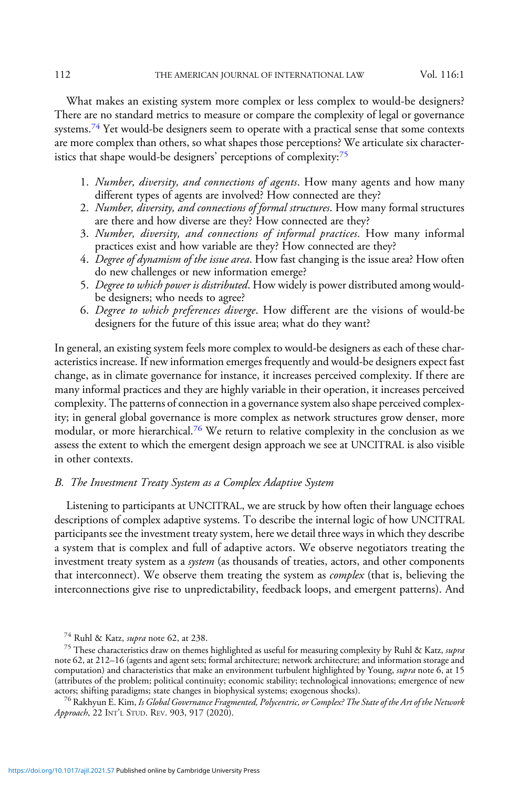What makes an existing system more complex or less complex to would-be designers? There are no standard metrics to measure or compare the complexity of legal or governance systems.<sup>74</sup> Yet would-be designers seem to operate with a practical sense that some contexts are more complex than others, so what shapes those perceptions? We articulate six characteristics that shape would-be designers' perceptions of complexity:<sup>75</sup>

- 1. Number, diversity, and connections of agents. How many agents and how many different types of agents are involved? How connected are they?
- 2. Number, diversity, and connections of formal structures. How many formal structures are there and how diverse are they? How connected are they?
- 3. Number, diversity, and connections of informal practices. How many informal practices exist and how variable are they? How connected are they?
- 4. Degree of dynamism of the issue area. How fast changing is the issue area? How often do new challenges or new information emerge?
- 5. Degree to which power is distributed. How widely is power distributed among wouldbe designers; who needs to agree?
- 6. Degree to which preferences diverge. How different are the visions of would-be designers for the future of this issue area; what do they want?

In general, an existing system feels more complex to would-be designers as each of these characteristics increase. If new information emerges frequently and would-be designers expect fast change, as in climate governance for instance, it increases perceived complexity. If there are many informal practices and they are highly variable in their operation, it increases perceived complexity. The patterns of connection in a governance system also shape perceived complexity; in general global governance is more complex as network structures grow denser, more modular, or more hierarchical.<sup>76</sup> We return to relative complexity in the conclusion as we assess the extent to which the emergent design approach we see at UNCITRAL is also visible in other contexts.

# B. The Investment Treaty System as a Complex Adaptive System

Listening to participants at UNCITRAL, we are struck by how often their language echoes descriptions of complex adaptive systems. To describe the internal logic of how UNCITRAL participants see the investment treaty system, here we detail three ways in which they describe a system that is complex and full of adaptive actors. We observe negotiators treating the investment treaty system as a system (as thousands of treaties, actors, and other components that interconnect). We observe them treating the system as *complex* (that is, believing the interconnections give rise to unpredictability, feedback loops, and emergent patterns). And

<sup>&</sup>lt;sup>74</sup> Ruhl & Katz, *supra* note 62, at 238.<br><sup>75</sup> These characteristics draw on themes highlighted as useful for measuring complexity by Ruhl & Katz, *supra* note 62, at 212–16 (agents and agent sets; formal architecture; network architecture; and information storage and computation) and characteristics that make an environment turbulent highlighted by Young, supra note 6, at 15 (attributes of the problem; political continuity; economic stability; technological innovations; emergence of new actors; shifting paradigms; state changes in biophysical systems; exogenous shocks).

<sup>&</sup>lt;sup>76</sup> Rakhyun E. Kim, *Is Global Governance Fragmented, Polycentric, or Complex? The State of the Art of the Network* Approach, 22 INT'L STUD. REV. 903, 917 (2020).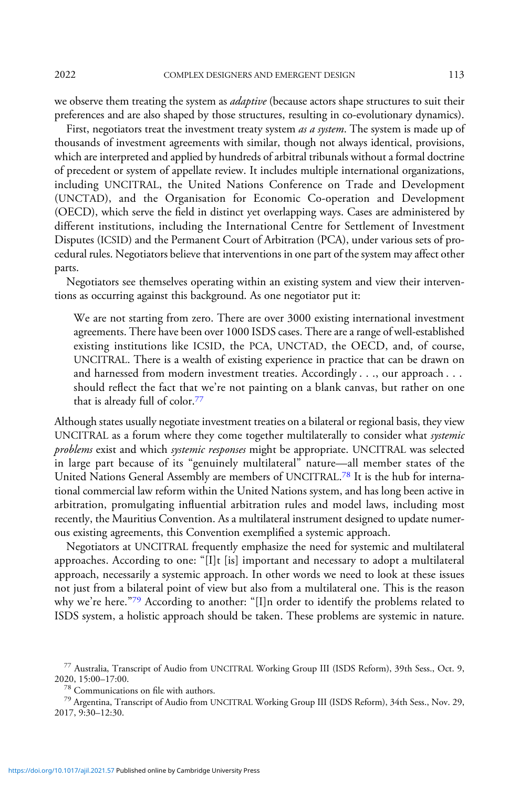2022 COMPLEX DESIGNERS AND EMERGENT DESIGN 113

we observe them treating the system as *adaptive* (because actors shape structures to suit their preferences and are also shaped by those structures, resulting in co-evolutionary dynamics).

First, negotiators treat the investment treaty system as a system. The system is made up of thousands of investment agreements with similar, though not always identical, provisions, which are interpreted and applied by hundreds of arbitral tribunals without a formal doctrine of precedent or system of appellate review. It includes multiple international organizations, including UNCITRAL, the United Nations Conference on Trade and Development (UNCTAD), and the Organisation for Economic Co-operation and Development (OECD), which serve the field in distinct yet overlapping ways. Cases are administered by different institutions, including the International Centre for Settlement of Investment Disputes (ICSID) and the Permanent Court of Arbitration (PCA), under various sets of procedural rules. Negotiators believe that interventions in one part of the system may affect other parts.

Negotiators see themselves operating within an existing system and view their interventions as occurring against this background. As one negotiator put it:

We are not starting from zero. There are over 3000 existing international investment agreements. There have been over 1000 ISDS cases. There are a range of well-established existing institutions like ICSID, the PCA, UNCTAD, the OECD, and, of course, UNCITRAL. There is a wealth of existing experience in practice that can be drawn on and harnessed from modern investment treaties. Accordingly . . ., our approach . . . should reflect the fact that we're not painting on a blank canvas, but rather on one that is already full of color.<sup>77</sup>

Although states usually negotiate investment treaties on a bilateral or regional basis, they view UNCITRAL as a forum where they come together multilaterally to consider what systemic problems exist and which systemic responses might be appropriate. UNCITRAL was selected in large part because of its "genuinely multilateral" nature—all member states of the United Nations General Assembly are members of UNCITRAL.<sup>78</sup> It is the hub for international commercial law reform within the United Nations system, and has long been active in arbitration, promulgating influential arbitration rules and model laws, including most recently, the Mauritius Convention. As a multilateral instrument designed to update numerous existing agreements, this Convention exemplified a systemic approach.

Negotiators at UNCITRAL frequently emphasize the need for systemic and multilateral approaches. According to one: "[I]t [is] important and necessary to adopt a multilateral approach, necessarily a systemic approach. In other words we need to look at these issues not just from a bilateral point of view but also from a multilateral one. This is the reason why we're here."79 According to another: "[I]n order to identify the problems related to ISDS system, a holistic approach should be taken. These problems are systemic in nature.

 $^{77}$  Australia, Transcript of Audio from UNCITRAL Working Group III (ISDS Reform), 39th Sess., Oct. 9, 2020, 15:00-17:00.

<sup>&</sup>lt;sup>78</sup> Communications on file with authors.<br><sup>79</sup> Argentina, Transcript of Audio from UNCITRAL Working Group III (ISDS Reform), 34th Sess., Nov. 29, 2017, 9:30–12:30.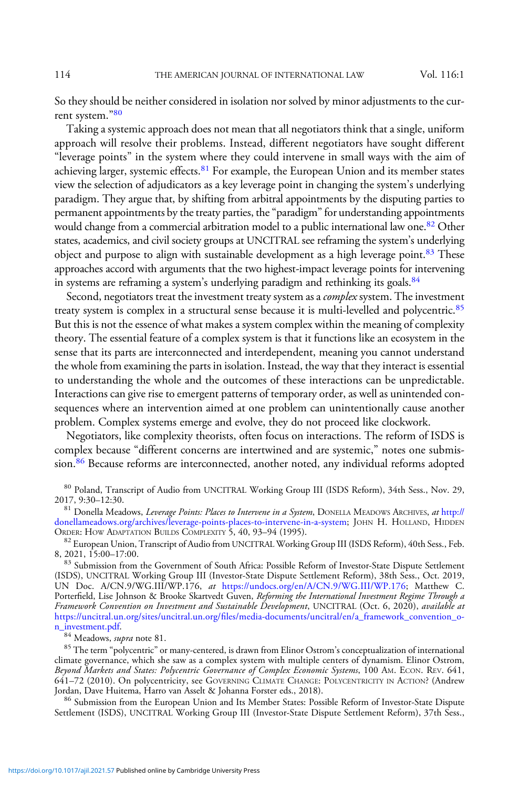So they should be neither considered in isolation nor solved by minor adjustments to the current system."<sup>80</sup>

Taking a systemic approach does not mean that all negotiators think that a single, uniform approach will resolve their problems. Instead, different negotiators have sought different "leverage points" in the system where they could intervene in small ways with the aim of achieving larger, systemic effects.<sup>81</sup> For example, the European Union and its member states view the selection of adjudicators as a key leverage point in changing the system's underlying paradigm. They argue that, by shifting from arbitral appointments by the disputing parties to permanent appointments by the treaty parties, the"paradigm"for understanding appointments would change from a commercial arbitration model to a public international law one.<sup>82</sup> Other states, academics, and civil society groups at UNCITRAL see reframing the system's underlying object and purpose to align with sustainable development as a high leverage point.<sup>83</sup> These approaches accord with arguments that the two highest-impact leverage points for intervening in systems are reframing a system's underlying paradigm and rethinking its goals.<sup>84</sup>

Second, negotiators treat the investment treaty system as a *complex* system. The investment treaty system is complex in a structural sense because it is multi-levelled and polycentric.<sup>85</sup> But this is not the essence of what makes a system complex within the meaning of complexity theory. The essential feature of a complex system is that it functions like an ecosystem in the sense that its parts are interconnected and interdependent, meaning you cannot understand the whole from examining the parts in isolation. Instead, the way that they interact is essential to understanding the whole and the outcomes of these interactions can be unpredictable. Interactions can give rise to emergent patterns of temporary order, as well as unintended consequences where an intervention aimed at one problem can unintentionally cause another problem. Complex systems emerge and evolve, they do not proceed like clockwork.

Negotiators, like complexity theorists, often focus on interactions. The reform of ISDS is complex because "different concerns are intertwined and are systemic," notes one submission.86 Because reforms are interconnected, another noted, any individual reforms adopted

 $80$  Poland, Transcript of Audio from UNCITRAL Working Group III (ISDS Reform), 34th Sess., Nov. 29, 2017, 9:30-12:30.

<sup>81</sup> Donella Meadows, *Leverage Points: Places to Intervene in a System*, DONELLA MEADOWS ARCHIVES, at [http://](http://donellameadows.org/archives/leverage-points-places-to-intervene-in-a-system) [donellameadows.org/archives/leverage-points-places-to-intervene-in-a-system;](http://donellameadows.org/archives/leverage-points-places-to-intervene-in-a-system) JOHN H. HOLLAND, HIDDEN ORDER: HOW ADAPTATION BUILDS COMPLEXITY 5, 40, 93–94 (1995).<br><sup>82</sup> European Union, Transcript of Audio from UNCITRAL Working Group III (ISDS Reform), 40th Sess., Feb.

8, 2021, 15:00–17:00.<br><sup>83</sup> Submission from the Government of South Africa: Possible Reform of Investor-State Dispute Settlement

(ISDS), UNCITRAL Working Group III (Investor-State Dispute Settlement Reform), 38th Sess., Oct. 2019, UN Doc. A/CN.9/WG.III/WP.176, at <https://undocs.org/en/A/CN.9/WG.III/WP.176>; Matthew C. Porterfield, Lise Johnson & Brooke Skartvedt Guven, Reforming the International Investment Regime Through a Framework Convention on Investment and Sustainable Development, UNCITRAL (Oct. 6, 2020), available at [https://](https://uncitral.un.org/sites/uncitral.un.org/files/media-documents/uncitral/en/a_framework_convention_on_investment.pdf)uncitral.un.org/sites/uncitral.un.org/fi[les/media-documents/uncitral/en/a\\_framework\\_convention\\_o-](https://uncitral.un.org/sites/uncitral.un.org/files/media-documents/uncitral/en/a_framework_convention_on_investment.pdf)

<sup>84</sup> Meadows, *supra* note 81. **85 The term "polycentric" or many-centered**, is drawn from Elinor Ostrom's conceptualization of international **85** The term "polycentric" or many-centered, is drawn from Elinor Ostrom's con climate governance, which she saw as a complex system with multiple centers of dynamism. Elinor Ostrom, Beyond Markets and States: Polycentric Governance of Complex Economic Systems, 100 AM. ECON. REV. 641, 641–72 (2010). On polycentricity, see GOVERNING CLIMATE CHANGE: POLYCENTRICITY IN ACTION? (Andrew

<sup>86</sup> Submission from the European Union and Its Member States: Possible Reform of Investor-State Dispute Settlement (ISDS), UNCITRAL Working Group III (Investor-State Dispute Settlement Reform), 37th Sess.,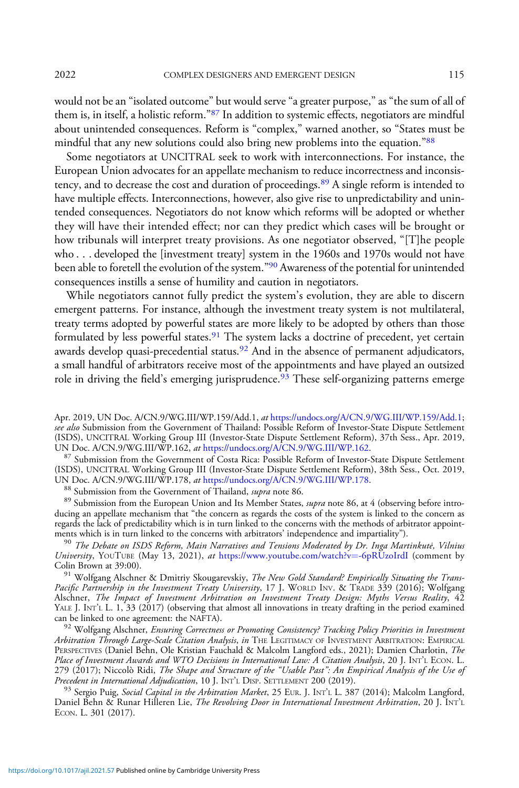would not be an "isolated outcome" but would serve "a greater purpose," as "the sum of all of them is, in itself, a holistic reform."<sup>87</sup> In addition to systemic effects, negotiators are mindful about unintended consequences. Reform is "complex," warned another, so "States must be mindful that any new solutions could also bring new problems into the equation."88

Some negotiators at UNCITRAL seek to work with interconnections. For instance, the European Union advocates for an appellate mechanism to reduce incorrectness and inconsistency, and to decrease the cost and duration of proceedings.<sup>89</sup> A single reform is intended to have multiple effects. Interconnections, however, also give rise to unpredictability and unintended consequences. Negotiators do not know which reforms will be adopted or whether they will have their intended effect; nor can they predict which cases will be brought or how tribunals will interpret treaty provisions. As one negotiator observed, "[T]he people who . . . developed the [investment treaty] system in the 1960s and 1970s would not have been able to foretell the evolution of the system."<sup>90</sup> Awareness of the potential for unintended consequences instills a sense of humility and caution in negotiators.

While negotiators cannot fully predict the system's evolution, they are able to discern emergent patterns. For instance, although the investment treaty system is not multilateral, treaty terms adopted by powerful states are more likely to be adopted by others than those formulated by less powerful states.<sup>91</sup> The system lacks a doctrine of precedent, yet certain awards develop quasi-precedential status. $92$  And in the absence of permanent adjudicators, a small handful of arbitrators receive most of the appointments and have played an outsized role in driving the field's emerging jurisprudence.<sup>93</sup> These self-organizing patterns emerge

<sup>8/</sup> Submission from the Government of Costa Rica: Possible Reform of Investor-State Dispute Settlement (ISDS), UNCITRAL Working Group III (Investor-State Dispute Settlement Reform), 38th Sess., Oct. 2019,<br>UN Doc. A/CN.9/WG.III/WP.178, *at* https://undocs.org/A/CN.9/WG.III/WP.178.

<sup>88</sup> Submission from the Government of Thailand, *supra* note 86.<br><sup>89</sup> Submission from the European Union and Its Member States, *supra* note 86, at 4 (observing before introducing an appellate mechanism that "the concern as regards the costs of the system is linked to the concern as regards the lack of predictability which is in turn linked to the concerns with the methods of arbitrator appoint-<br>ments which is in turn linked to the concerns with arbitrators' independence and impartiality").

 $^{90}$  The Debate on ISDS Reform, Main Narratives and Tensions Moderated by Dr. Inga Martinkutė, Vilnius University, YOUTUBE (May 13, 2021), at [https://www.youtube.com/watch?v](https://www.youtube.com/watch?v=-6pRUzoIrdI)=[-6pRUzoIrdI](https://www.youtube.com/watch?v=-6pRUzoIrdI) (comment by Colin Brown at 39:00).

 $^{91}$  Wolfgang Alschner & Dmitriy Skougarevskiy, The New Gold Standard? Empirically Situating the Trans-Pacific Partnership in the Investment Treaty University, 17 J. WORLD INV. & TRADE 339 (2016); Wolfgang Alschner, The Impact of Investment Arbitration on Investment Treaty Design: Myths Versus Reality, 42 YALE J. INT'L L. 1, 33 (2017) (observing that almost all innovations in treaty drafting in the period examined can be linked to one agreement: the NAFTA).

<sup>92</sup> Wolfgang Alschner, Ensuring Correctness or Promoting Consistency? Tracking Policy Priorities in Investment Arbitration Through Large-Scale Citation Analysis, in THE LEGITIMACY OF INVESTMENT ARBITRATION: EMPIRICAL PERSPECTIVES (Daniel Behn, Ole Kristian Fauchald & Malcolm Langford eds., 2021); Damien Charlotin, The Place of Investment Awards and WTO Decisions in International Law: A Citation Analysis, 20 J. INT'L ECON. L. 279 (2017); Niccolò Ridi, *The Shape and Structure of the "Usable Past": An Empirical Analysis of the Use of*<br>Precedent in International Adjudication, 10 J. INT'L DISP. SETTLEMENT 200 (2019).

<sup>93</sup> Sergio Puig, Social Capital in the Arbitration Market, 25 EUR. J. INT'L L. 387 (2014); Malcolm Langford, Daniel Behn & Runar Hilleren Lie, The Revolving Door in International Investment Arbitration, 20 J. INT'L ECON. L. 301 (2017).

Apr. 2019, UN Doc. A/CN.9/WG.III/WP.159/Add.1, at [https://undocs.org/A/CN.9/WG.III/WP.159/Add.1;](https://undocs.org/A/CN.9/WG.III/WP.159/Add.1) see also Submission from the Government of Thailand: Possible Reform of Investor-State Dispute Settlement (ISDS), UNCITRAL Working Group III (Investor-State Dispute Settlement Reform), 37th Sess., Apr. 2019,<br>UN Doc. A/CN.9/WG.III/WP.162, *at* https://undocs.org/A/CN.9/WG.III/WP.162.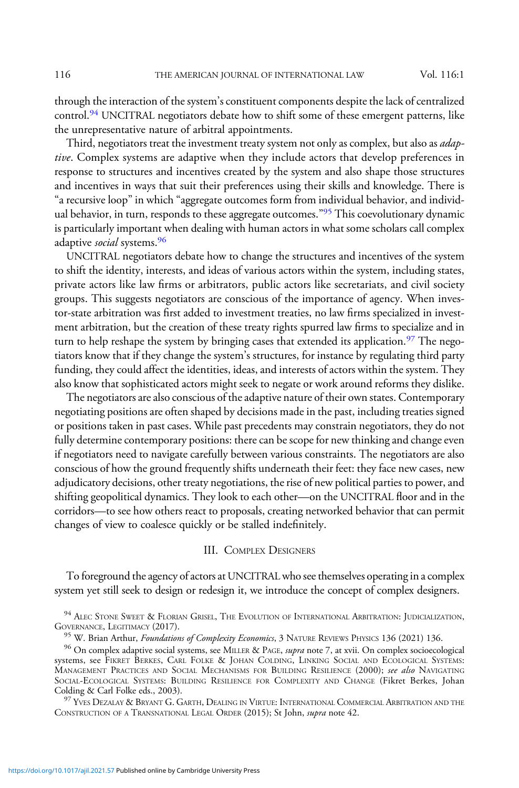through the interaction of the system's constituent components despite the lack of centralized control.<sup>94</sup> UNCITRAL negotiators debate how to shift some of these emergent patterns, like the unrepresentative nature of arbitral appointments.

Third, negotiators treat the investment treaty system not only as complex, but also as *adap*tive. Complex systems are adaptive when they include actors that develop preferences in response to structures and incentives created by the system and also shape those structures and incentives in ways that suit their preferences using their skills and knowledge. There is "a recursive loop" in which "aggregate outcomes form from individual behavior, and individual behavior, in turn, responds to these aggregate outcomes."<sup>95</sup> This coevolutionary dynamic is particularly important when dealing with human actors in what some scholars call complex adaptive *social* systems.<sup>96</sup>

UNCITRAL negotiators debate how to change the structures and incentives of the system to shift the identity, interests, and ideas of various actors within the system, including states, private actors like law firms or arbitrators, public actors like secretariats, and civil society groups. This suggests negotiators are conscious of the importance of agency. When investor-state arbitration was first added to investment treaties, no law firms specialized in investment arbitration, but the creation of these treaty rights spurred law firms to specialize and in turn to help reshape the system by bringing cases that extended its application.<sup>97</sup> The negotiators know that if they change the system's structures, for instance by regulating third party funding, they could affect the identities, ideas, and interests of actors within the system. They also know that sophisticated actors might seek to negate or work around reforms they dislike.

The negotiators are also conscious of the adaptive nature of their own states. Contemporary negotiating positions are often shaped by decisions made in the past, including treaties signed or positions taken in past cases. While past precedents may constrain negotiators, they do not fully determine contemporary positions: there can be scope for new thinking and change even if negotiators need to navigate carefully between various constraints. The negotiators are also conscious of how the ground frequently shifts underneath their feet: they face new cases, new adjudicatory decisions, other treaty negotiations, the rise of new political parties to power, and shifting geopolitical dynamics. They look to each other—on the UNCITRAL floor and in the corridors—to see how others react to proposals, creating networked behavior that can permit changes of view to coalesce quickly or be stalled indefinitely.

### III. COMPLEX DESIGNERS

To foreground the agency of actors at UNCITRALwho see themselves operating in a complex system yet still seek to design or redesign it, we introduce the concept of complex designers.

 $^{94}$  ALEC STONE SWEET & FLORIAN GRISEL, THE EVOLUTION OF INTERNATIONAL ARBITRATION: JUDICIALIZATION, GOVERNANCE, LEGITIMACY (2017).

 $^{97}$  Yves Dezalay & Bryant G. Garth, Dealing in Virtue: International Commercial Arbitration and the CONSTRUCTION OF A TRANSNATIONAL LEGAL ORDER (2015); St John, supra note 42.

<sup>&</sup>lt;sup>95</sup> W. Brian Arthur, *Foundations of Complexity Economics*, 3 NATURE REVIEWS PHYSICS 136 (2021) 136.<br><sup>96</sup> On complex adaptive social systems, see MILLER & PAGE, *supra* note 7, at xvii. On complex socioecological systems, see FIKRET BERKES, CARL FOLKE & JOHAN COLDING, LINKING SOCIAL AND ECOLOGICAL SYSTEMS: MANAGEMENT PRACTICES AND SOCIAL MECHANISMS FOR BUILDING RESILIENCE (2000); see also NAVIGATING SOCIAL-ECOLOGICAL SYSTEMS: BUILDING RESILIENCE FOR COMPLEXITY AND CHANGE (Fikret Berkes, Johan Colding & Carl Folke eds., 2003).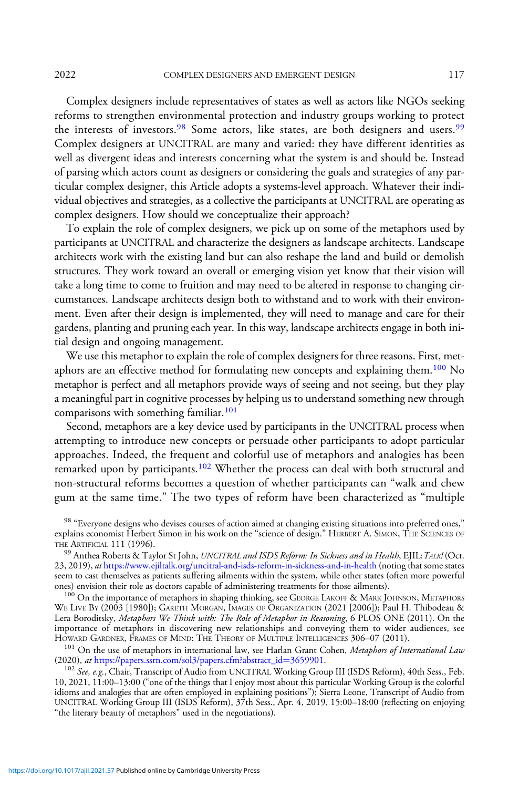2022 COMPLEX DESIGNERS AND EMERGENT DESIGN 117

Complex designers include representatives of states as well as actors like NGOs seeking reforms to strengthen environmental protection and industry groups working to protect the interests of investors.<sup>98</sup> Some actors, like states, are both designers and users.<sup>99</sup> Complex designers at UNCITRAL are many and varied: they have different identities as well as divergent ideas and interests concerning what the system is and should be. Instead of parsing which actors count as designers or considering the goals and strategies of any particular complex designer, this Article adopts a systems-level approach. Whatever their individual objectives and strategies, as a collective the participants at UNCITRAL are operating as complex designers. How should we conceptualize their approach?

To explain the role of complex designers, we pick up on some of the metaphors used by participants at UNCITRAL and characterize the designers as landscape architects. Landscape architects work with the existing land but can also reshape the land and build or demolish structures. They work toward an overall or emerging vision yet know that their vision will take a long time to come to fruition and may need to be altered in response to changing circumstances. Landscape architects design both to withstand and to work with their environment. Even after their design is implemented, they will need to manage and care for their gardens, planting and pruning each year. In this way, landscape architects engage in both initial design and ongoing management.

We use this metaphor to explain the role of complex designers for three reasons. First, metaphors are an effective method for formulating new concepts and explaining them.<sup>100</sup> No metaphor is perfect and all metaphors provide ways of seeing and not seeing, but they play a meaningful part in cognitive processes by helping us to understand something new through comparisons with something familiar.<sup>101</sup>

Second, metaphors are a key device used by participants in the UNCITRAL process when attempting to introduce new concepts or persuade other participants to adopt particular approaches. Indeed, the frequent and colorful use of metaphors and analogies has been remarked upon by participants.<sup>102</sup> Whether the process can deal with both structural and non-structural reforms becomes a question of whether participants can "walk and chew gum at the same time." The two types of reform have been characterized as "multiple

<sup>98</sup> "Everyone designs who devises courses of action aimed at changing existing situations into preferred ones," explains economist Herbert Simon in his work on the "science of design." HERBERT A. SIMON, THE SCIENCES OF THE ARTIFICIAL 111 (1996).

99 Anthea Roberts & Taylor St John, UNCITRAL and ISDS Reform: In Sickness and in Health, EJIL: TALK! (Oct. 23, 2019), at <https://www.ejiltalk.org/uncitral-and-isds-reform-in-sickness-and-in-health> (noting that some states seem to cast themselves as patients suffering ailments within the system, while other states (often more powerful ones) envision their role as doctors capable of administering treatments for those ailments).

<sup>100</sup> On the importance of metaphors in shaping thinking, see GEORGE LAKOFF & MARK JOHNSON, METAPHORS WE LIVE BY (2003 [1980]); GARETH MORGAN, IMAGES OF ORGANIZATION (2021 [2006]); Paul H. Thibodeau & Lera Boroditsky, Metaphors We Think with: The Role of Metaphor in Reasoning, 6 PLOS ONE (2011). On the importance of metaphors in discovering new relationships and conveying them to wider audiences, see<br>HOWARD GARDNER, FRAMES OF MIND: THE THEORY OF MULTIPLE INTELLIGENCES 306-07 (2011).

<sup>101</sup> On the use of metaphors in international law, see Harlan Grant Cohen, *Metaphors of International Law* (2020), *at* https://papers.ssrn.com/sol3/papers.cfm?abstract\_id=3659901.

<sup>102</sup> See, e.g., Chair, Transcript of Audio from UNCITRAL Working Group III (ISDS Reform), 40th Sess., Feb. 10, 2021, 11:00–13:00 ("one of the things that I enjoy most about this particular Working Group is the colorful idioms and analogies that are often employed in explaining positions"); Sierra Leone, Transcript of Audio from UNCITRAL Working Group III (ISDS Reform), 37th Sess., Apr. 4, 2019, 15:00–18:00 (reflecting on enjoying "the literary beauty of metaphors" used in the negotiations).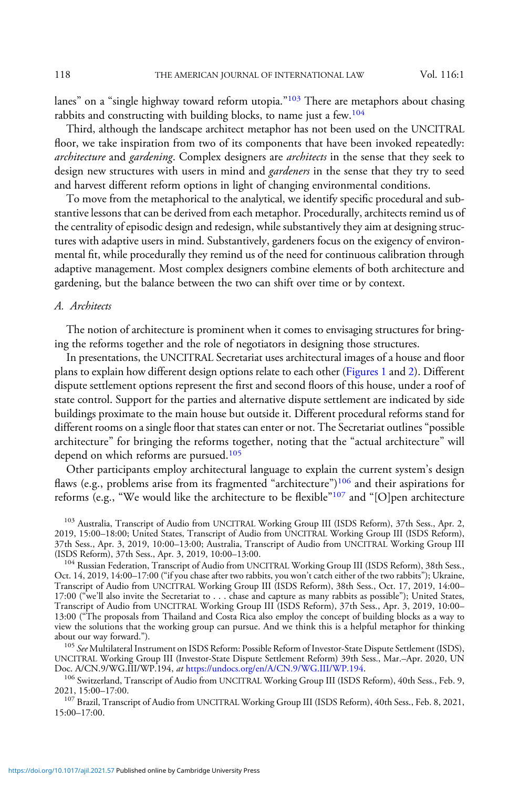lanes" on a "single highway toward reform utopia."<sup>103</sup> There are metaphors about chasing rabbits and constructing with building blocks, to name just a few.<sup>104</sup>

Third, although the landscape architect metaphor has not been used on the UNCITRAL floor, we take inspiration from two of its components that have been invoked repeatedly: architecture and gardening. Complex designers are architects in the sense that they seek to design new structures with users in mind and *gardeners* in the sense that they try to seed and harvest different reform options in light of changing environmental conditions.

To move from the metaphorical to the analytical, we identify specific procedural and substantive lessons that can be derived from each metaphor. Procedurally, architects remind us of the centrality of episodic design and redesign, while substantively they aim at designing structures with adaptive users in mind. Substantively, gardeners focus on the exigency of environmental fit, while procedurally they remind us of the need for continuous calibration through adaptive management. Most complex designers combine elements of both architecture and gardening, but the balance between the two can shift over time or by context.

#### A. Architects

The notion of architecture is prominent when it comes to envisaging structures for bringing the reforms together and the role of negotiators in designing those structures.

In presentations, the UNCITRAL Secretariat uses architectural images of a house and floor plans to explain how different design options relate to each other ([Figures 1](#page-23-0) and [2\)](#page-23-0). Different dispute settlement options represent the first and second floors of this house, under a roof of state control. Support for the parties and alternative dispute settlement are indicated by side buildings proximate to the main house but outside it. Different procedural reforms stand for different rooms on a single floor that states can enter or not. The Secretariat outlines"possible architecture" for bringing the reforms together, noting that the "actual architecture" will depend on which reforms are pursued.<sup>105</sup>

Other participants employ architectural language to explain the current system's design flaws (e.g., problems arise from its fragmented "architecture")<sup>106</sup> and their aspirations for reforms (e.g., "We would like the architecture to be flexible"<sup>107</sup> and "[O]pen architecture

105 See Multilateral Instrument on ISDS Reform: Possible Reform of Investor-State Dispute Settlement (ISDS), UNCITRAL Working Group III (Investor-State Dispute Settlement Reform) 39th Sess., Mar.–Apr. 2020, UN<br>Doc. A/CN.9/WG.III/WP.194, at https://undocs.org/en/A/CN.9/WG.III/WP.194.

 $106$  Switzerland, Transcript of Audio from UNCITRAL Working Group III (ISDS Reform), 40th Sess., Feb. 9, 2021, 15:00–17:00.

<sup>107</sup> Brazil, Transcript of Audio from UNCITRAL Working Group III (ISDS Reform), 40th Sess., Feb. 8, 2021, 15:00–17:00.

<sup>&</sup>lt;sup>103</sup> Australia, Transcript of Audio from UNCITRAL Working Group III (ISDS Reform), 37th Sess., Apr. 2, 2019, 15:00–18:00; United States, Transcript of Audio from UNCITRAL Working Group III (ISDS Reform), 37th Sess., Apr. 3, 2019, 10:00–13:00; Australia, Transcript of Audio from UNCITRAL Working Group III

<sup>&</sup>lt;sup>104</sup> Russian Federation, Transcript of Audio from UNCITRAL Working Group III (ISDS Reform), 38th Sess., Oct. 14, 2019, 14:00–17:00 ("if you chase after two rabbits, you won't catch either of the two rabbits"); Ukraine, Transcript of Audio from UNCITRAL Working Group III (ISDS Reform), 38th Sess., Oct. 17, 2019, 14:00– 17:00 ("we'll also invite the Secretariat to . . . chase and capture as many rabbits as possible"); United States, Transcript of Audio from UNCITRAL Working Group III (ISDS Reform), 37th Sess., Apr. 3, 2019, 10:00– 13:00 ("The proposals from Thailand and Costa Rica also employ the concept of building blocks as a way to view the solutions that the working group can pursue. And we think this is a helpful metaphor for thinking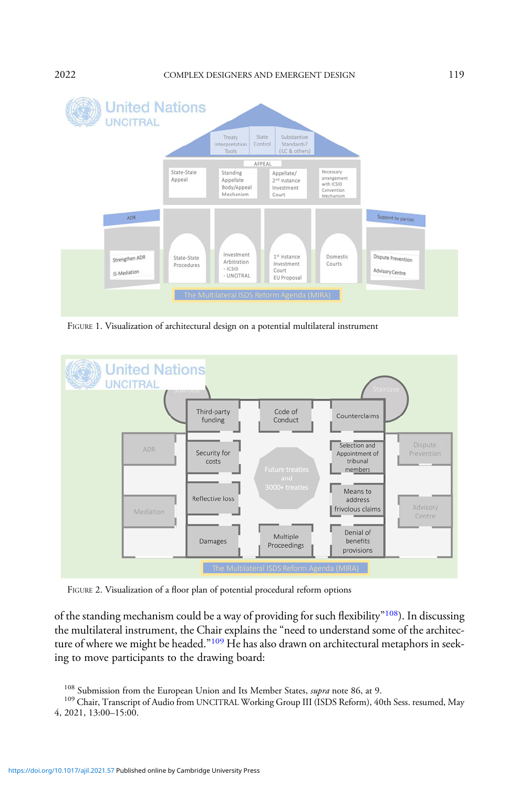### <span id="page-23-0"></span>2022 COMPLEX DESIGNERS AND EMERGENT DESIGN 119



FIGURE 1. Visualization of architectural design on a potential multilateral instrument



FIGURE 2. Visualization of a floor plan of potential procedural reform options

of the standing mechanism could be a way of providing for such flexibility"<sup>108</sup>). In discussing the multilateral instrument, the Chair explains the "need to understand some of the architecture of where we might be headed."<sup>109</sup> He has also drawn on architectural metaphors in seeking to move participants to the drawing board:

<sup>&</sup>lt;sup>108</sup> Submission from the European Union and Its Member States, *supra* note 86, at 9.<br><sup>109</sup> Chair, Transcript of Audio from UNCITRAL Working Group III (ISDS Reform), 40th Sess. resumed, May 4, 2021, 13:00–15:00.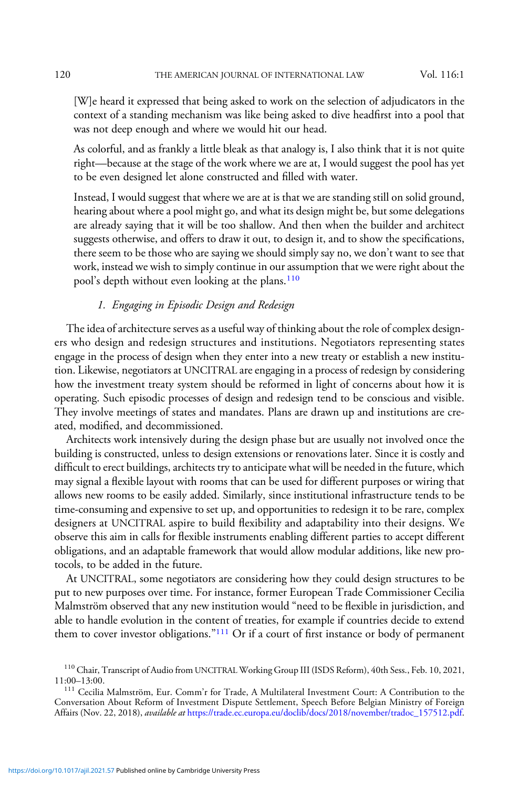[W]e heard it expressed that being asked to work on the selection of adjudicators in the context of a standing mechanism was like being asked to dive headfirst into a pool that was not deep enough and where we would hit our head.

As colorful, and as frankly a little bleak as that analogy is, I also think that it is not quite right—because at the stage of the work where we are at, I would suggest the pool has yet to be even designed let alone constructed and filled with water.

Instead, I would suggest that where we are at is that we are standing still on solid ground, hearing about where a pool might go, and what its design might be, but some delegations are already saying that it will be too shallow. And then when the builder and architect suggests otherwise, and offers to draw it out, to design it, and to show the specifications, there seem to be those who are saying we should simply say no, we don't want to see that work, instead we wish to simply continue in our assumption that we were right about the pool's depth without even looking at the plans.<sup>110</sup>

# 1. Engaging in Episodic Design and Redesign

The idea of architecture serves as a useful way of thinking about the role of complex designers who design and redesign structures and institutions. Negotiators representing states engage in the process of design when they enter into a new treaty or establish a new institution. Likewise, negotiators at UNCITRAL are engaging in a process of redesign by considering how the investment treaty system should be reformed in light of concerns about how it is operating. Such episodic processes of design and redesign tend to be conscious and visible. They involve meetings of states and mandates. Plans are drawn up and institutions are created, modified, and decommissioned.

Architects work intensively during the design phase but are usually not involved once the building is constructed, unless to design extensions or renovations later. Since it is costly and difficult to erect buildings, architects try to anticipate what will be needed in the future, which may signal a flexible layout with rooms that can be used for different purposes or wiring that allows new rooms to be easily added. Similarly, since institutional infrastructure tends to be time-consuming and expensive to set up, and opportunities to redesign it to be rare, complex designers at UNCITRAL aspire to build flexibility and adaptability into their designs. We observe this aim in calls for flexible instruments enabling different parties to accept different obligations, and an adaptable framework that would allow modular additions, like new protocols, to be added in the future.

At UNCITRAL, some negotiators are considering how they could design structures to be put to new purposes over time. For instance, former European Trade Commissioner Cecilia Malmström observed that any new institution would "need to be flexible in jurisdiction, and able to handle evolution in the content of treaties, for example if countries decide to extend them to cover investor obligations."<sup>111</sup> Or if a court of first instance or body of permanent

<sup>&</sup>lt;sup>110</sup> Chair, Transcript of Audio from UNCITRAL Working Group III (ISDS Reform), 40th Sess., Feb. 10, 2021, 11:00–13:00.

<sup>&</sup>lt;sup>111</sup> Cecilia Malmström, Eur. Comm'r for Trade, A Multilateral Investment Court: A Contribution to the Conversation About Reform of Investment Dispute Settlement, Speech Before Belgian Ministry of Foreign Affairs (Nov. 22, 2018), available at [https://trade.ec.europa.eu/doclib/docs/2018/november/tradoc\\_157512.pdf.](https://trade.ec.europa.eu/doclib/docs/2018/november/tradoc_157512.pdf)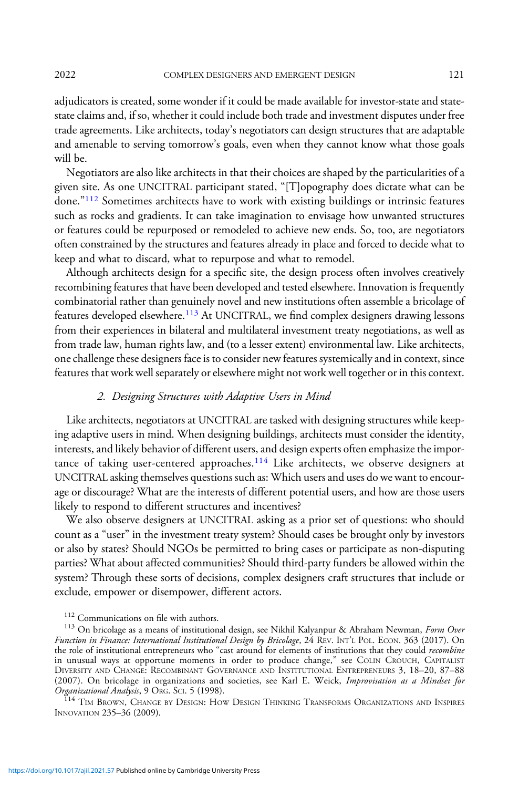adjudicators is created, some wonder if it could be made available for investor-state and statestate claims and, if so, whether it could include both trade and investment disputes under free trade agreements. Like architects, today's negotiators can design structures that are adaptable and amenable to serving tomorrow's goals, even when they cannot know what those goals will be.

Negotiators are also like architects in that their choices are shaped by the particularities of a given site. As one UNCITRAL participant stated, "[T]opography does dictate what can be done."<sup>112</sup> Sometimes architects have to work with existing buildings or intrinsic features such as rocks and gradients. It can take imagination to envisage how unwanted structures or features could be repurposed or remodeled to achieve new ends. So, too, are negotiators often constrained by the structures and features already in place and forced to decide what to keep and what to discard, what to repurpose and what to remodel.

Although architects design for a specific site, the design process often involves creatively recombining features that have been developed and tested elsewhere. Innovation is frequently combinatorial rather than genuinely novel and new institutions often assemble a bricolage of features developed elsewhere.<sup>113</sup> At UNCITRAL, we find complex designers drawing lessons from their experiences in bilateral and multilateral investment treaty negotiations, as well as from trade law, human rights law, and (to a lesser extent) environmental law. Like architects, one challenge these designers face is to consider new features systemically and in context, since features that work well separately or elsewhere might not work well together or in this context.

# 2. Designing Structures with Adaptive Users in Mind

Like architects, negotiators at UNCITRAL are tasked with designing structures while keeping adaptive users in mind. When designing buildings, architects must consider the identity, interests, and likely behavior of different users, and design experts often emphasize the importance of taking user-centered approaches.<sup>114</sup> Like architects, we observe designers at UNCITRAL asking themselves questions such as: Which users and uses do we want to encourage or discourage? What are the interests of different potential users, and how are those users likely to respond to different structures and incentives?

We also observe designers at UNCITRAL asking as a prior set of questions: who should count as a "user" in the investment treaty system? Should cases be brought only by investors or also by states? Should NGOs be permitted to bring cases or participate as non-disputing parties? What about affected communities? Should third-party funders be allowed within the system? Through these sorts of decisions, complex designers craft structures that include or exclude, empower or disempower, different actors.

<sup>114</sup> TIM BROWN, CHANGE BY DESIGN: HOW DESIGN THINKING TRANSFORMS ORGANIZATIONS AND INSPIRES INNOVATION 235–36 (2009).

<sup>&</sup>lt;sup>112</sup> Communications on file with authors.<br><sup>113</sup> On bricolage as a means of institutional design, see Nikhil Kalyanpur & Abraham Newman, *Form Over* Function in Finance: International Institutional Design by Bricolage, 24 REV. INT'<sup>L</sup> POL. ECON. 363 (2017). On the role of institutional entrepreneurs who "cast around for elements of institutions that they could *recombine* in unusual ways at opportune moments in order to produce change," see COLIN CROUCH, CAPITALIST DIVERSITY AND CHANGE: RECOMBINANT GOVERNANCE AND INSTITUTIONAL ENTREPRENEURS 3, 18–20, 87–88 (2007). On bricolage in organizations and societies, see Karl E. Weick, Improvisation as a Mindset for<br>Organizational Analysis, 9 Or.G. Sci. 5 (1998).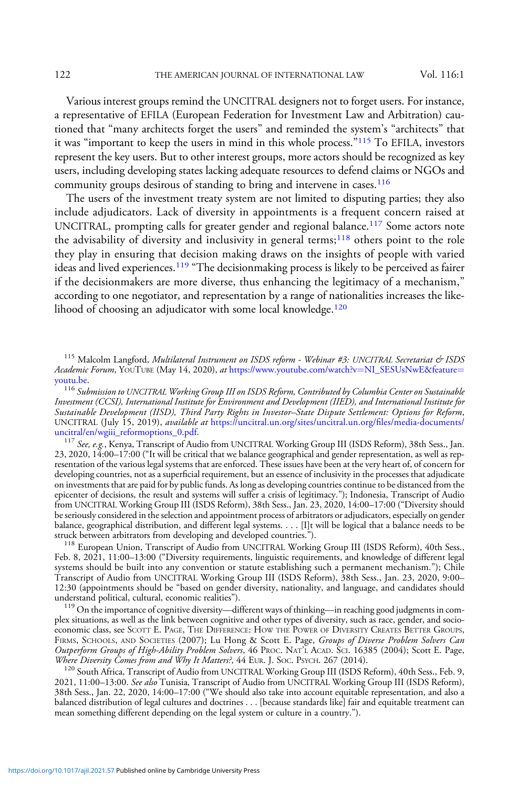Various interest groups remind the UNCITRAL designers not to forget users. For instance, a representative of EFILA (European Federation for Investment Law and Arbitration) cautioned that "many architects forget the users" and reminded the system's "architects" that it was "important to keep the users in mind in this whole process."<sup>115</sup> To EFILA, investors represent the key users. But to other interest groups, more actors should be recognized as key users, including developing states lacking adequate resources to defend claims or NGOs and community groups desirous of standing to bring and intervene in cases.<sup>116</sup>

The users of the investment treaty system are not limited to disputing parties; they also include adjudicators. Lack of diversity in appointments is a frequent concern raised at UNCITRAL, prompting calls for greater gender and regional balance.<sup>117</sup> Some actors note the advisability of diversity and inclusivity in general terms;<sup>118</sup> others point to the role they play in ensuring that decision making draws on the insights of people with varied ideas and lived experiences.<sup>119</sup> "The decisionmaking process is likely to be perceived as fairer if the decisionmakers are more diverse, thus enhancing the legitimacy of a mechanism," according to one negotiator, and representation by a range of nationalities increases the likelihood of choosing an adjudicator with some local knowledge.<sup>120</sup>

 $^{116}$  Submission to UNCITRAL Working Group III on ISDS Reform, Contributed by Columbia Center on Sustainable Investment (CCSI), International Institute for Environment and Development (IIED), and International Institute for Sustainable Development (IISD), Third Party Rights in Investor–State Dispute Settlement: Options for Reform, UNCITRAL (July 15, 2019), *available at* [https://uncitral.un.org/sites/uncitral.un.org/](https://uncitral.un.org/sites/uncitral.un.org/files/media-documents/uncitral/en/wgiii_reformoptions_0.pdf)files/media-documents/<br>uncitral/en/wgiii\_reformoptions\_0.pdf.

<sup>117</sup> See, e.g., Kenya, Transcript of Audio from UNCITRAL Working Group III (ISDS Reform), 38th Sess., Jan. 23, 2020, 14:00–17:00 ("It will be critical that we balance geographical and gender representation, as well as representation of the various legal systems that are enforced. These issues have been at the very heart of, of concern for developing countries, not as a superficial requirement, but an essence of inclusivity in the processes that adjudicate on investments that are paid for by public funds. As long as developing countries continue to be distanced from the epicenter of decisions, the result and systems will suffer a crisis of legitimacy."); Indonesia, Transcript of Audio from UNCITRAL Working Group III (ISDS Reform), 38th Sess., Jan. 23, 2020, 14:00–17:00 ("Diversity should be seriously considered in the selection and appointment process of arbitrators or adjudicators, especially on gender balance, geographical distribution, and different legal systems. . . . [I]t will be logical that a balance needs to be struck between arbitrators from developing and developed countries.").

<sup>118</sup> European Union, Transcript of Audio from UNCITRAL Working Group III (ISDS Reform), 40th Sess., Feb. 8, 2021, 11:00–13:00 ("Diversity requirements, linguistic requirements, and knowledge of different legal systems should be built into any convention or statute establishing such a permanent mechanism."); Chile Transcript of Audio from UNCITRAL Working Group III (ISDS Reform), 38th Sess., Jan. 23, 2020, 9:00– 12:30 (appointments should be "based on gender diversity, nationality, and language, and candidates should understand political, cultural, economic realities").<br><sup>119</sup> On the importance of cognitive diversity—different ways of thinking—in reaching good judgments in com-

plex situations, as well as the link between cognitive and other types of diversity, such as race, gender, and socioeconomic class, see SCOTT E. PAGE, THE DIFFERENCE: HOW THE POWER OF DIVERSITY CREATES BETTER GROUPS, FIRMS, SCHOOLS, AND SOCIETIES (2007); Lu Hong & Scott E. Page, Groups of Diverse Problem Solvers Can Outperform Groups of High-Ability Problem Solvers, 46 PROC. NAT'L ACAD. SCI. 16385 (2004); Scott E. Page, Where Diversity Comes from and Why It Matters?, 44 EUR. J. Soc. PsyCH. 267 (2014).

<sup>120</sup> South Africa, Transcript of Audio from UNCITRAL Working Group III (ISDS Reform), 40th Sess., Feb. 9, 2021, 11:00-13:00. See also Tunisia, Transcript of Audio from UNCITRAL Working Group III (ISDS Reform), 38th Sess., Jan. 22, 2020, 14:00–17:00 ("We should also take into account equitable representation, and also a balanced distribution of legal cultures and doctrines . . . [because standards like] fair and equitable treatment can mean something different depending on the legal system or culture in a country.").

<sup>115</sup> Malcolm Langford, Multilateral Instrument on ISDS reform - Webinar #3: UNCITRAL Secretariat & ISDS Academic Forum, YOUTUBE (May 14, 2020), at [https://www.youtube.com/watch?v](https://www.youtube.com/watch?v=NI_SESUsNwE&feature=youtu.be)=[NI\\_SESUsNwE&feature](https://www.youtube.com/watch?v=NI_SESUsNwE&feature=youtu.be)=<br>voutu.be.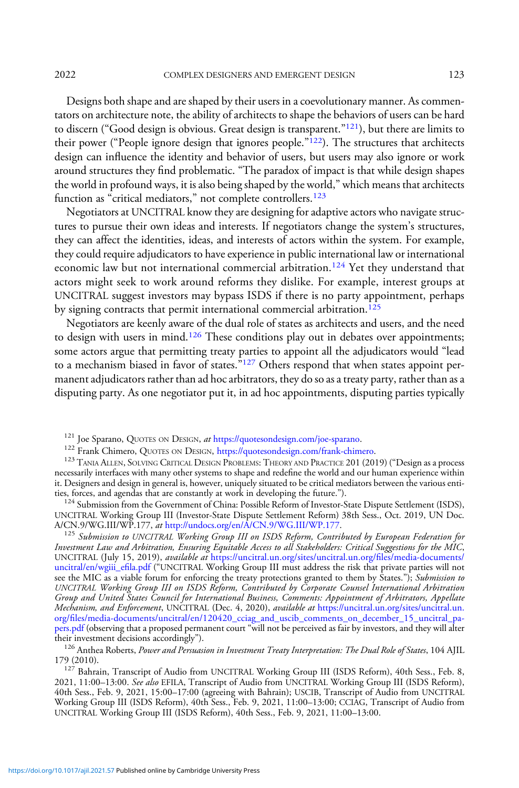Designs both shape and are shaped by their users in a coevolutionary manner. As commentators on architecture note, the ability of architects to shape the behaviors of users can be hard to discern ("Good design is obvious. Great design is transparent."121), but there are limits to their power ("People ignore design that ignores people."<sup>122</sup>). The structures that architects design can influence the identity and behavior of users, but users may also ignore or work around structures they find problematic. "The paradox of impact is that while design shapes the world in profound ways, it is also being shaped by the world," which means that architects function as "critical mediators," not complete controllers.<sup>123</sup>

Negotiators at UNCITRAL know they are designing for adaptive actors who navigate structures to pursue their own ideas and interests. If negotiators change the system's structures, they can affect the identities, ideas, and interests of actors within the system. For example, they could require adjudicators to have experience in public international law or international economic law but not international commercial arbitration.<sup>124</sup> Yet they understand that actors might seek to work around reforms they dislike. For example, interest groups at UNCITRAL suggest investors may bypass ISDS if there is no party appointment, perhaps by signing contracts that permit international commercial arbitration.<sup>125</sup>

Negotiators are keenly aware of the dual role of states as architects and users, and the need to design with users in mind.<sup>126</sup> These conditions play out in debates over appointments; some actors argue that permitting treaty parties to appoint all the adjudicators would "lead to a mechanism biased in favor of states."<sup>127</sup> Others respond that when states appoint permanent adjudicators rather than ad hoc arbitrators, they do so as a treaty party, rather than as a disputing party. As one negotiator put it, in ad hoc appointments, disputing parties typically

<sup>124</sup> Submission from the Government of China: Possible Reform of Investor-State Dispute Settlement (ISDS), UNCITRAL Working Group III (Investor-State Dispute Settlement Reform) 38th Sess., Oct. 2019, UN Doc.<br>A/CN.9/WG.III/WP.177, at http://undocs.org/en/A/CN.9/WG.III/WP.177.

<sup>125</sup> Submission to UNCITRAL Working Group III on ISDS Reform, Contributed by European Federation for Investment Law and Arbitration, Ensuring Equitable Access to all Stakeholders: Critical Suggestions for the MIC, UNCITRAL (July 15, 2019), available at [https://uncitral.un.org/sites/uncitral.un.org/](https://uncitral.un.org/sites/uncitral.un.org/files/media-documents/uncitral/en/wgiii_efila.pdf)files/media-documents/ [uncitral/en/wgiii\\_e](https://uncitral.un.org/sites/uncitral.un.org/files/media-documents/uncitral/en/wgiii_efila.pdf)fila.pdf ("UNCITRAL Working Group III must address the risk that private parties will not see the MIC as a viable forum for enforcing the treaty protections granted to them by States."); Submission to UNCITRAL Working Group III on ISDS Reform, Contributed by Corporate Counsel International Arbitration Group and United States Council for International Business, Comments: Appointment of Arbitrators, Appellate Mechanism, and Enforcement, UNCITRAL (Dec. 4, 2020), available at [https://uncitral.un.org/sites/uncitral.un.](https://uncitral.un.org/sites/uncitral.un.org/files/media-documents/uncitral/en/120420_cciag_and_uscib_comments_on_december_15_uncitral_papers.pdf) org/fi[les/media-documents/uncitral/en/120420\\_cciag\\_and\\_uscib\\_comments\\_on\\_december\\_15\\_uncitral\\_pa](https://uncitral.un.org/sites/uncitral.un.org/files/media-documents/uncitral/en/120420_cciag_and_uscib_comments_on_december_15_uncitral_papers.pdf)[pers.pdf](https://uncitral.un.org/sites/uncitral.un.org/files/media-documents/uncitral/en/120420_cciag_and_uscib_comments_on_december_15_uncitral_papers.pdf) (observing that a proposed permanent court "will not be perceived as fair by investors, and they will alter<br>their investment decisions accordingly").

 $t^{126}$  Anthea Roberts, *Power and Persuasion in Investment Treaty Interpretation: The Dual Role of States*, 104 AJIL<br>179 (2010).

<sup>127</sup> Bahrain, Transcript of Audio from UNCITRAL Working Group III (ISDS Reform), 40th Sess., Feb. 8, 2021, 11:00–13:00. See also EFILA, Transcript of Audio from UNCITRAL Working Group III (ISDS Reform), 40th Sess., Feb. 9, 2021, 15:00–17:00 (agreeing with Bahrain); USCIB, Transcript of Audio from UNCITRAL Working Group III (ISDS Reform), 40th Sess., Feb. 9, 2021, 11:00–13:00; CCIAG, Transcript of Audio from UNCITRAL Working Group III (ISDS Reform), 40th Sess., Feb. 9, 2021, 11:00–13:00.

<sup>&</sup>lt;sup>121</sup> Joe Sparano, QUOTES ON DESIGN, *at* [https://quotesondesign.com/joe-sparano.](https://quotesondesign.com/joe-sparano)<br><sup>122</sup> Frank Chimero, QUOTES ON DESIGN, [https://quotesondesign.com/frank-chimero.](https://quotesondesign.com/frank-chimero)<br><sup>123</sup> TANIA ALLEN, SOLVING CRITICAL DESIGN PROBLEMS: THEORY necessarily interfaces with many other systems to shape and redefine the world and our human experience within it. Designers and design in general is, however, uniquely situated to be critical mediators between the various enti-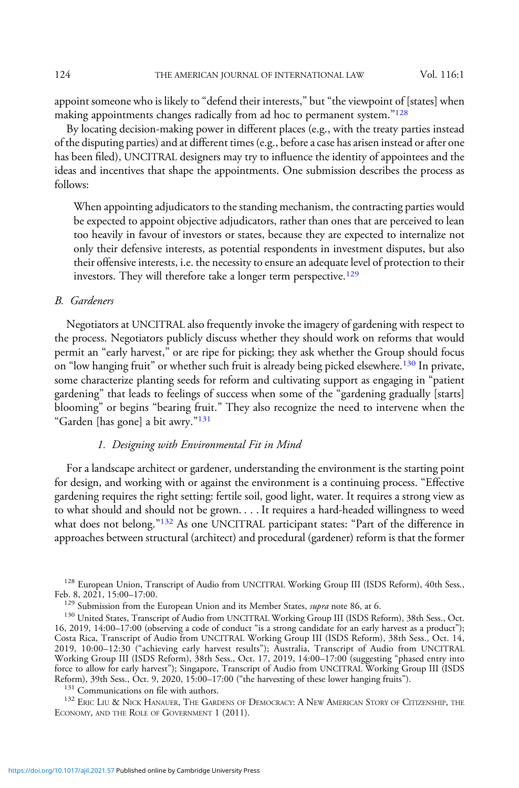appoint someone who is likely to "defend their interests," but "the viewpoint of [states] when making appointments changes radically from ad hoc to permanent system."<sup>128</sup>

By locating decision-making power in different places (e.g., with the treaty parties instead of the disputing parties) and at different times (e.g., before a case has arisen instead or after one has been filed), UNCITRAL designers may try to influence the identity of appointees and the ideas and incentives that shape the appointments. One submission describes the process as follows:

When appointing adjudicators to the standing mechanism, the contracting parties would be expected to appoint objective adjudicators, rather than ones that are perceived to lean too heavily in favour of investors or states, because they are expected to internalize not only their defensive interests, as potential respondents in investment disputes, but also their offensive interests, i.e. the necessity to ensure an adequate level of protection to their investors. They will therefore take a longer term perspective.<sup>129</sup>

# B. Gardeners

Negotiators at UNCITRAL also frequently invoke the imagery of gardening with respect to the process. Negotiators publicly discuss whether they should work on reforms that would permit an "early harvest," or are ripe for picking; they ask whether the Group should focus on "low hanging fruit" or whether such fruit is already being picked elsewhere.<sup>130</sup> In private, some characterize planting seeds for reform and cultivating support as engaging in "patient gardening" that leads to feelings of success when some of the "gardening gradually [starts] blooming" or begins "bearing fruit." They also recognize the need to intervene when the "Garden [has gone] a bit awry."<sup>131</sup>

### 1. Designing with Environmental Fit in Mind

For a landscape architect or gardener, understanding the environment is the starting point for design, and working with or against the environment is a continuing process. "Effective gardening requires the right setting: fertile soil, good light, water. It requires a strong view as to what should and should not be grown. . . . It requires a hard-headed willingness to weed what does not belong."<sup>132</sup> As one UNCITRAL participant states: "Part of the difference in approaches between structural (architect) and procedural (gardener) reform is that the former

 $^{128}$  European Union, Transcript of Audio from UNCITRAL Working Group III (ISDS Reform), 40th Sess., Feb. 8, 2021, 15:00–17:00.

 $^{131}$  Communications on file with authors.<br> $^{132}$  Eric Liu & Nick Hanauer, The Gardens of Democracy: A New American Story of Citizenship, the ECONOMY, AND THE ROLE OF GOVERNMENT 1 (2011).

<sup>&</sup>lt;sup>129</sup> Submission from the European Union and its Member States, *supra* note 86, at 6. 130 United States, Transcript of Audio from UNCITRAL Working Group III (ISDS Reform), 38th Sess., Oct. 16, 2019, 14:00–17:00 (observing a code of conduct "is a strong candidate for an early harvest as a product"); Costa Rica, Transcript of Audio from UNCITRAL Working Group III (ISDS Reform), 38th Sess., Oct. 14, 2019, 10:00–12:30 ("achieving early harvest results"); Australia, Transcript of Audio from UNCITRAL Working Group III (ISDS Reform), 38th Sess., Oct. 17, 2019, 14:00–17:00 (suggesting "phased entry into force to allow for early harvest"); Singapore, Transcript of Audio from UNCITRAL Working Group III (ISDS Reform), 39th Sess., Oct. 9, 2020, 15:00–17:00 ("the harvesting of these lower hanging fruits").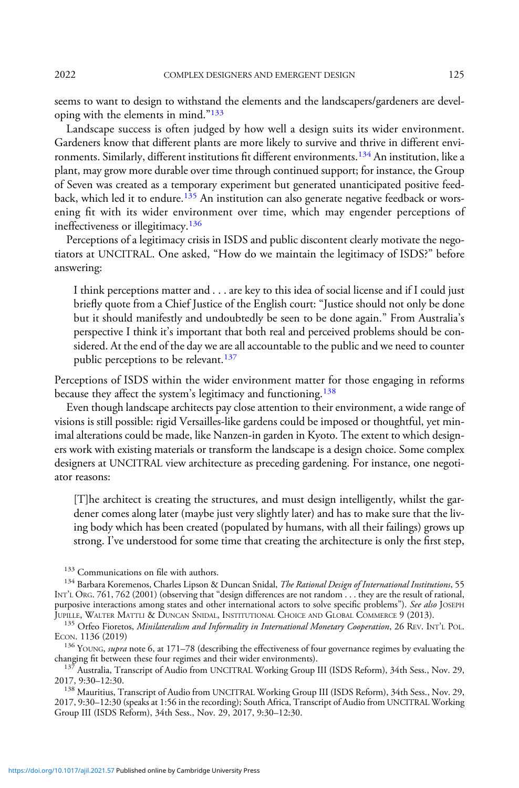2022 COMPLEX DESIGNERS AND EMERGENT DESIGN 125

seems to want to design to withstand the elements and the landscapers/gardeners are developing with the elements in mind."<sup>133</sup>

Landscape success is often judged by how well a design suits its wider environment. Gardeners know that different plants are more likely to survive and thrive in different environments. Similarly, different institutions fit different environments.<sup>134</sup> An institution, like a plant, may grow more durable over time through continued support; for instance, the Group of Seven was created as a temporary experiment but generated unanticipated positive feedback, which led it to endure.<sup>135</sup> An institution can also generate negative feedback or worsening fit with its wider environment over time, which may engender perceptions of ineffectiveness or illegitimacy.<sup>136</sup>

Perceptions of a legitimacy crisis in ISDS and public discontent clearly motivate the negotiators at UNCITRAL. One asked, "How do we maintain the legitimacy of ISDS?" before answering:

I think perceptions matter and . . . are key to this idea of social license and if I could just briefly quote from a Chief Justice of the English court: "Justice should not only be done but it should manifestly and undoubtedly be seen to be done again." From Australia's perspective I think it's important that both real and perceived problems should be considered. At the end of the day we are all accountable to the public and we need to counter public perceptions to be relevant.<sup>137</sup>

Perceptions of ISDS within the wider environment matter for those engaging in reforms because they affect the system's legitimacy and functioning.<sup>138</sup>

Even though landscape architects pay close attention to their environment, a wide range of visions is still possible: rigid Versailles-like gardens could be imposed or thoughtful, yet minimal alterations could be made, like Nanzen-in garden in Kyoto. The extent to which designers work with existing materials or transform the landscape is a design choice. Some complex designers at UNCITRAL view architecture as preceding gardening. For instance, one negotiator reasons:

[T]he architect is creating the structures, and must design intelligently, whilst the gardener comes along later (maybe just very slightly later) and has to make sure that the living body which has been created (populated by humans, with all their failings) grows up strong. I've understood for some time that creating the architecture is only the first step,

<sup>133</sup> Communications on file with authors.

<sup>134</sup> Barbara Koremenos, Charles Lipson & Duncan Snidal, The Rational Design of International Institutions, 55 INT'<sup>L</sup> ORG. 761, 762 (2001) (observing that "design differences are not random . . . they are the result of rational, purposive interactions among states and other international actors to solve specific problems"). See also JOSEPH<br>JUPILLE, WALTER MATTLI & DUNCAN SNIDAL, INSTITUTIONAL CHOICE AND GLOBAL COMMERCE 9 (2013).

<sup>136</sup> YOUNG, *supra* note 6, at 171–78 (describing the effectiveness of four governance regimes by evaluating the changing fit between these four regimes and their wider environments).

<sup>137</sup> Australia, Transcript of Audio from UNCITRAL Working Group III (ISDS Reform), 34th Sess., Nov. 29, 2017, 9:30–12:30.

<sup>138</sup> Mauritius, Transcript of Audio from UNCITRAL Working Group III (ISDS Reform), 34th Sess., Nov. 29, 2017, 9:30–12:30 (speaks at 1:56 in the recording); South Africa, Transcript of Audio from UNCITRAL Working Group III (ISDS Reform), 34th Sess., Nov. 29, 2017, 9:30–12:30.

 $^{135}$  Orfeo Fioretos, *Minilateralism and Informality in International Monetary Cooperation*, 26 REV. INT'L POL. ECON. 1136 (2019)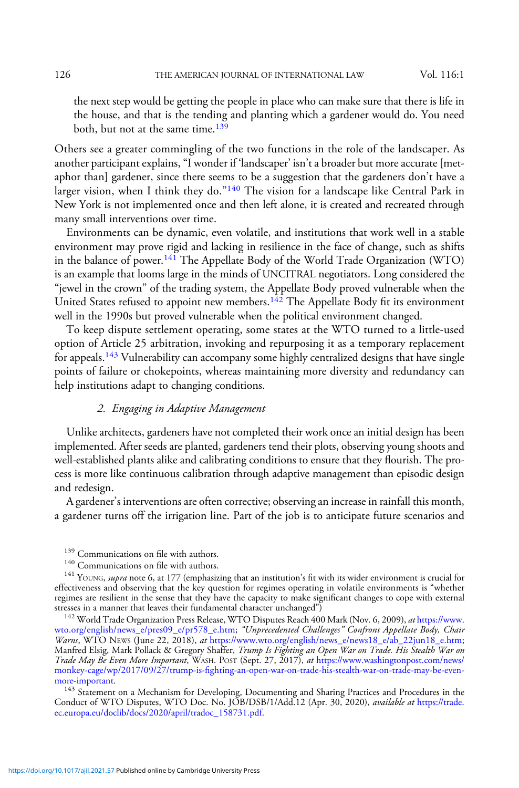the next step would be getting the people in place who can make sure that there is life in the house, and that is the tending and planting which a gardener would do. You need both, but not at the same time.<sup>139</sup>

Others see a greater commingling of the two functions in the role of the landscaper. As another participant explains,"I wonder if 'landscaper' isn't a broader but more accurate [metaphor than] gardener, since there seems to be a suggestion that the gardeners don't have a larger vision, when I think they do." $140$  The vision for a landscape like Central Park in New York is not implemented once and then left alone, it is created and recreated through many small interventions over time.

Environments can be dynamic, even volatile, and institutions that work well in a stable environment may prove rigid and lacking in resilience in the face of change, such as shifts in the balance of power.<sup>141</sup> The Appellate Body of the World Trade Organization (WTO) is an example that looms large in the minds of UNCITRAL negotiators. Long considered the "jewel in the crown" of the trading system, the Appellate Body proved vulnerable when the United States refused to appoint new members.<sup>142</sup> The Appellate Body fit its environment well in the 1990s but proved vulnerable when the political environment changed.

To keep dispute settlement operating, some states at the WTO turned to a little-used option of Article 25 arbitration, invoking and repurposing it as a temporary replacement for appeals.<sup>143</sup> Vulnerability can accompany some highly centralized designs that have single points of failure or chokepoints, whereas maintaining more diversity and redundancy can help institutions adapt to changing conditions.

# 2. Engaging in Adaptive Management

Unlike architects, gardeners have not completed their work once an initial design has been implemented. After seeds are planted, gardeners tend their plots, observing young shoots and well-established plants alike and calibrating conditions to ensure that they flourish. The process is more like continuous calibration through adaptive management than episodic design and redesign.

A gardener's interventions are often corrective; observing an increase in rainfall this month, a gardener turns off the irrigation line. Part of the job is to anticipate future scenarios and

<sup>&</sup>lt;sup>139</sup> Communications on file with authors.<br><sup>140</sup> Communications on file with authors.<br><sup>141</sup> YOUNG, *supra* note 6, at 177 (emphasizing that an institution's fit with its wider environment is crucial for effectiveness and observing that the key question for regimes operating in volatile environments is "whether regimes are resilient in the sense that they have the capacity to make significant changes to cope with external stresses in a manner that leaves their fundamental character unchanged") stresses in a manner that leaves their fundamental character unchanged")<br><sup>142</sup> World Trade Organization Press Release, WTO Disputes Reach 400 Mark (Nov. 6, 2009), *at* [https://www.](https://www.wto.org/english/news_e/pres09_e/pr578_e.htm)

[wto.org/english/news\\_e/pres09\\_e/pr578\\_e.htm](https://www.wto.org/english/news_e/pres09_e/pr578_e.htm); "Unprecedented Challenges" Confront Appellate Body, Chair Warns, WTO NEWS (June 22, 2018), at [https://www.wto.org/english/news\\_e/news18\\_e/ab\\_22jun18\\_e.htm;](https://www.wto.org/english/news_e/news18_e/ab_22jun18_e.htm) Manfred Elsig, Mark Pollack & Gregory Shaffer, Trump Is Fighting an Open War on Trade. His Stealth War on Trade May Be Even More Important, WASH. POST (Sept. 27, 2017), at [https://www.washingtonpost.com/news/](https://www.washingtonpost.com/news/monkey-cage/wp/2017/09/27/trump-is-fighting-an-open-war-on-trade-his-stealth-war-on-trade-may-be-even-more-important) monkey-cage/wp/2017/09/27/trump-is-fi[ghting-an-open-war-on-trade-his-stealth-war-on-trade-may-be-even-](https://www.washingtonpost.com/news/monkey-cage/wp/2017/09/27/trump-is-fighting-an-open-war-on-trade-his-stealth-war-on-trade-may-be-even-more-important)

<sup>&</sup>lt;sup>143</sup> Statement on a Mechanism for Developing, Documenting and Sharing Practices and Procedures in the Conduct of WTO Disputes, WTO Doc. No. JOB/DSB/1/Add.12 (Apr. 30, 2020), available at [https://trade.](https://trade.ec.europa.eu/doclib/docs/2020/april/tradoc_158731.pdf) [ec.europa.eu/doclib/docs/2020/april/tradoc\\_158731.pdf](https://trade.ec.europa.eu/doclib/docs/2020/april/tradoc_158731.pdf).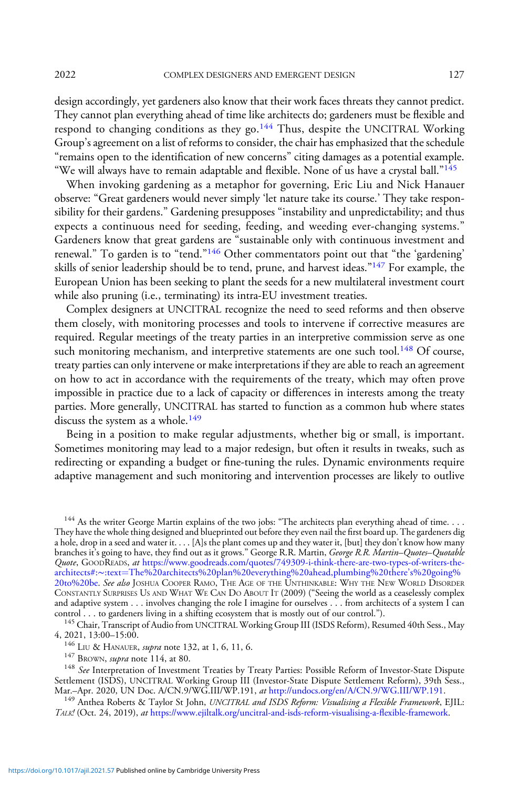design accordingly, yet gardeners also know that their work faces threats they cannot predict. They cannot plan everything ahead of time like architects do; gardeners must be flexible and respond to changing conditions as they go.<sup>144</sup> Thus, despite the UNCITRAL Working Group's agreement on a list of reforms to consider, the chair has emphasized that the schedule "remains open to the identification of new concerns" citing damages as a potential example. "We will always have to remain adaptable and flexible. None of us have a crystal ball." $145$ 

When invoking gardening as a metaphor for governing, Eric Liu and Nick Hanauer observe: "Great gardeners would never simply 'let nature take its course.' They take responsibility for their gardens." Gardening presupposes "instability and unpredictability; and thus expects a continuous need for seeding, feeding, and weeding ever-changing systems." Gardeners know that great gardens are "sustainable only with continuous investment and renewal." To garden is to "tend."<sup>146</sup> Other commentators point out that "the 'gardening' skills of senior leadership should be to tend, prune, and harvest ideas."<sup>147</sup> For example, the European Union has been seeking to plant the seeds for a new multilateral investment court while also pruning (i.e., terminating) its intra-EU investment treaties.

Complex designers at UNCITRAL recognize the need to seed reforms and then observe them closely, with monitoring processes and tools to intervene if corrective measures are required. Regular meetings of the treaty parties in an interpretive commission serve as one such monitoring mechanism, and interpretive statements are one such tool.<sup>148</sup> Of course, treaty parties can only intervene or make interpretations if they are able to reach an agreement on how to act in accordance with the requirements of the treaty, which may often prove impossible in practice due to a lack of capacity or differences in interests among the treaty parties. More generally, UNCITRAL has started to function as a common hub where states discuss the system as a whole.<sup>149</sup>

Being in a position to make regular adjustments, whether big or small, is important. Sometimes monitoring may lead to a major redesign, but often it results in tweaks, such as redirecting or expanding a budget or fine-tuning the rules. Dynamic environments require adaptive management and such monitoring and intervention processes are likely to outlive

<sup>144</sup> As the writer George Martin explains of the two jobs: "The architects plan everything ahead of time. . . . They have the whole thing designed and blueprinted out before they even nail the first board up. The gardeners dig a hole, drop in a seed and water it. . . . [A]s the plant comes up and they water it, [but] they don't know how many branches it's going to have, they find out as it grows." George R.R. Martin, *George R.R. Martin–Quotes–Quotable* Quote, GOODREADS, at [https://www.goodreads.com/quotes/749309-i-think-there-are-two-types-of-writers-the](https://www.goodreads.com/quotes/749309-i-think-there-are-two-types-of-writers-the-architects%23:~:text=The%20architects%20plan%20everything%20ahead,plumbing%20there's%20going%20to%20be)[architects#:](https://www.goodreads.com/quotes/749309-i-think-there-are-two-types-of-writers-the-architects%23:~:text=The%20architects%20plan%20everything%20ahead,plumbing%20there's%20going%20to%20be)∼:text=[The%20architects%20plan%20everything%20ahead,plumbing%20there](https://www.goodreads.com/quotes/749309-i-think-there-are-two-types-of-writers-the-architects%23:~:text=The%20architects%20plan%20everything%20ahead,plumbing%20there's%20going%20to%20be)'s%20going%<br>[20to%20be.](https://www.goodreads.com/quotes/749309-i-think-there-are-two-types-of-writers-the-architects%23:~:text=The%20architects%20plan%20everything%20ahead,plumbing%20there's%20going%20to%20be) *See also* JOSHUA COOPER RAMO, THE AGE OF THE UNTHINKABLE: WHY THE NEW WORLD DISORDER CONSTANTLY SURPRISES US AND WHAT WE CAN DO ABOUT IT (2009) ("Seeing the world as a ceaselessly complex and adaptive system . . . involves changing the role I imagine for ourselves . . . from architects of a system I can control . . . to gardeners living in a shifting ecosystem that is mostly out of our control.").

 $^{145}$  Chair, Transcript of Audio from UNCITRAL Working Group III (ISDS Reform), Resumed 40th Sess., May 4, 2021, 13:00–15:00.

<sup>146</sup> LIU & HANAUER, *supra* note 132, at 1, 6, 11, 6.<br><sup>147</sup> BROWN, *supra* note 114, at 80.

<sup>148</sup> See Interpretation of Investment Treaties by Treaty Parties: Possible Reform of Investor-State Dispute Settlement (ISDS), UNCITRAL Working Group III (Investor-State Dispute Settlement Reform), 39th Sess., Mar.-Apr. 2020, UN Doc. A/CN.9/WG.III/WP.191, at http://undocs.org/en/A/CN.9/WG.III/WP.191.

<sup>149</sup> Anthea Roberts & Taylor St John, UNCITRAL and ISDS Reform: Visualising a Flexible Framework, EJIL: TALK! (Oct. 24, 2019), at [https://www.ejiltalk.org/uncitral-and-isds-reform-visualising-a-](https://www.ejiltalk.org/uncitral-and-isds-reform-visualising-a-flexible-framework)flexible-framework.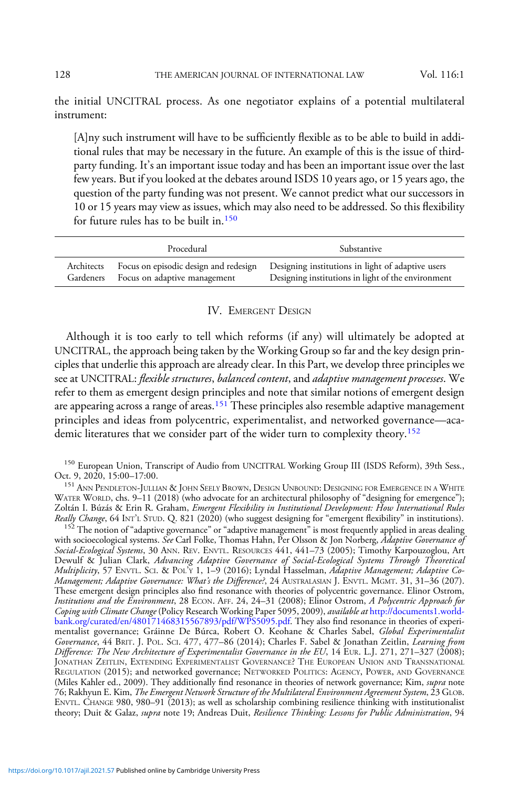the initial UNCITRAL process. As one negotiator explains of a potential multilateral instrument:

[A]ny such instrument will have to be sufficiently flexible as to be able to build in additional rules that may be necessary in the future. An example of this is the issue of thirdparty funding. It's an important issue today and has been an important issue over the last few years. But if you looked at the debates around ISDS 10 years ago, or 15 years ago, the question of the party funding was not present. We cannot predict what our successors in 10 or 15 years may view as issues, which may also need to be addressed. So this flexibility for future rules has to be built in.<sup>150</sup>

|                         | Procedural                   | Substantive                                                                                                                                   |
|-------------------------|------------------------------|-----------------------------------------------------------------------------------------------------------------------------------------------|
| Architects<br>Gardeners | Focus on adaptive management | Focus on episodic design and redesign Designing institutions in light of adaptive users<br>Designing institutions in light of the environment |

# IV. EMERGENT DESIGN

Although it is too early to tell which reforms (if any) will ultimately be adopted at UNCITRAL, the approach being taken by the Working Group so far and the key design principles that underlie this approach are already clear. In this Part, we develop three principles we see at UNCITRAL: flexible structures, balanced content, and adaptive management processes. We refer to them as emergent design principles and note that similar notions of emergent design are appearing across a range of areas.<sup>151</sup> These principles also resemble adaptive management principles and ideas from polycentric, experimentalist, and networked governance—academic literatures that we consider part of the wider turn to complexity theory.<sup>152</sup>

<sup>150</sup> European Union, Transcript of Audio from UNCITRAL Working Group III (ISDS Reform), 39th Sess., Oct. 9, 2020, 15:00-17:00.

<sup>151</sup> Ann Pendleton-Jullian & John Seely Brown, Design Unbound: Designing for Emergence in a White WATER WORLD, chs. 9–11 (2018) (who advocate for an architectural philosophy of "designing for emergence"); Zoltán I. Búzás & Erin R. Graham, *Emergent Flexibility in Institutional Development: How International Rules*<br>Really Change, 64 INT'L STUD. Q. 821 (2020) (who suggest designing for "emergent flexibility" in institutions). *Really Change*, 64 INT'L STUD. Q. 821 (2020) (who suggest designing for "emergent flexibility" in institutions). <sup>152</sup> The notion of "adaptive governance" or "adaptive management" is most frequently applied in areas deal

with socioecological systems. *See* Carl Folke, Thomas Hahn, Per Olsson & Jon Norberg, *Adaptive Governance of* Social-Ecological Systems, 30 ANN. REV. ENVTL. RESOURCES 441, 441–73 (2005); Timothy Karpouzoglou, Art Dewulf & Julian Clark, Advancing Adaptive Governance of Social-Ecological Systems Through Theoretical Multiplicity, 57 ENVTL. SCI.&POL'<sup>Y</sup> 1, 1–9 (2016); Lyndal Hasselman, Adaptive Management; Adaptive Co-Management; Adaptive Governance: What's the Difference?, 24 AUSTRALASIAN J. ENVTL. MGMT. 31, 31-36 (207). These emergent design principles also find resonance with theories of polycentric governance. Elinor Ostrom, Institutions and the Environment, 28 ECON. AFF. 24, 24–31 (2008); Elinor Ostrom, A Polycentric Approach for Coping with Climate Change (Policy Research Working Paper 5095, 2009), available at [http://documents1.world](http://documents1.worldbank.org/curated/en/480171468315567893/pdf/WPS5095.pdf)[bank.org/curated/en/480171468315567893/pdf/WPS5095.pdf.](http://documents1.worldbank.org/curated/en/480171468315567893/pdf/WPS5095.pdf) They also find resonance in theories of experimentalist governance; Gráinne De Búrca, Robert O. Keohane & Charles Sabel, Global Experimentalist Governance, 44 BRIT. J. POL. SCI. 477, 477-86 (2014); Charles F. Sabel & Jonathan Zeitlin, Learning from Difference: The New Architecture of Experimentalist Governance in the EU, 14 EUR. L.J. 271, 271–327 (2008); JONATHAN ZEITLIN, EXTENDING EXPERIMENTALIST GOVERNANCE? THE EUROPEAN UNION AND TRANSNATIONAL REGULATION (2015); and networked governance; NETWORKED POLITICS: AGENCY, POWER, AND GOVERNANCE (Miles Kahler ed., 2009). They additionally find resonance in theories of network governance; Kim, *supra* note 76; Rakhyun E. Kim, The Emergent Network Structure of the Multilateral Environment Agreement System, 23 GLOB. ENVTL. CHANGE 980, 980–91 (2013); as well as scholarship combining resilience thinking with institutionalist theory; Duit & Galaz, supra note 19; Andreas Duit, Resilience Thinking: Lessons for Public Administration, 94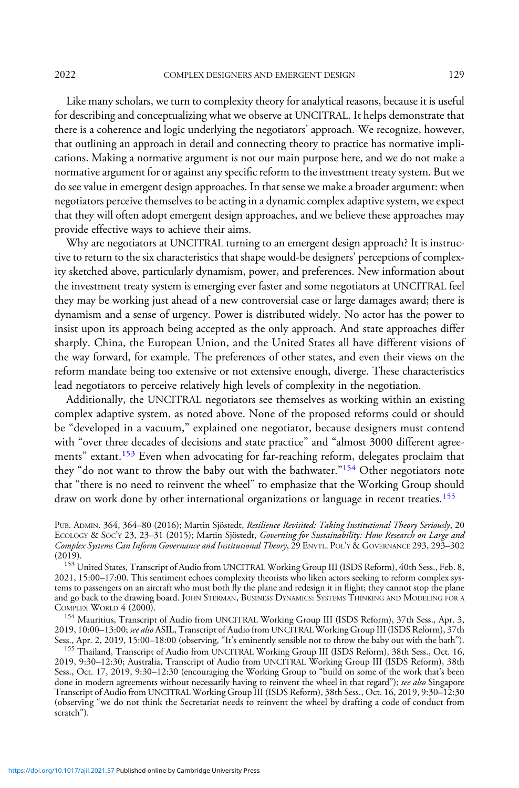2022 COMPLEX DESIGNERS AND EMERGENT DESIGN 129

Like many scholars, we turn to complexity theory for analytical reasons, because it is useful for describing and conceptualizing what we observe at UNCITRAL. It helps demonstrate that there is a coherence and logic underlying the negotiators' approach. We recognize, however, that outlining an approach in detail and connecting theory to practice has normative implications. Making a normative argument is not our main purpose here, and we do not make a normative argument for or against any specific reform to the investment treaty system. But we do see value in emergent design approaches. In that sense we make a broader argument: when negotiators perceive themselves to be acting in a dynamic complex adaptive system, we expect that they will often adopt emergent design approaches, and we believe these approaches may provide effective ways to achieve their aims.

Why are negotiators at UNCITRAL turning to an emergent design approach? It is instructive to return to the six characteristics that shape would-be designers' perceptions of complexity sketched above, particularly dynamism, power, and preferences. New information about the investment treaty system is emerging ever faster and some negotiators at UNCITRAL feel they may be working just ahead of a new controversial case or large damages award; there is dynamism and a sense of urgency. Power is distributed widely. No actor has the power to insist upon its approach being accepted as the only approach. And state approaches differ sharply. China, the European Union, and the United States all have different visions of the way forward, for example. The preferences of other states, and even their views on the reform mandate being too extensive or not extensive enough, diverge. These characteristics lead negotiators to perceive relatively high levels of complexity in the negotiation.

Additionally, the UNCITRAL negotiators see themselves as working within an existing complex adaptive system, as noted above. None of the proposed reforms could or should be "developed in a vacuum," explained one negotiator, because designers must contend with "over three decades of decisions and state practice" and "almost 3000 different agreements" extant.<sup>153</sup> Even when advocating for far-reaching reform, delegates proclaim that they "do not want to throw the baby out with the bathwater."<sup>154</sup> Other negotiators note that "there is no need to reinvent the wheel" to emphasize that the Working Group should draw on work done by other international organizations or language in recent treaties.<sup>155</sup>

<sup>154</sup> Mauritius, Transcript of Audio from UNCITRAL Working Group III (ISDS Reform), 37th Sess., Apr. 3, 2019, 10:00–13:00; see also ASIL, Transcript of Audio from UNCITRAL Working Group III (ISDS Reform), 37th Sess., Apr. 2, 2019, 15:00–18:00 (observing, "It's eminently sensible not to throw the baby out with the bath"). <sup>155</sup> Thailand, Transcript of Audio from UNCITRAL Working Group III (ISDS Reform), 38th Sess., Oct. 16,

PUB. ADMIN. 364, 364-80 (2016); Martin Sjöstedt, Resilience Revisited: Taking Institutional Theory Seriously, 20 ECOLOGY & SOC'Y 23, 23-31 (2015); Martin Sjöstedt, Governing for Sustainability: How Research on Large and Complex Systems Can Inform Governance and Institutional Theory, 29 ENVTL. POL'Y & GOVERNANCE 293, 293–302<br>(2019).

<sup>&</sup>lt;sup>153</sup> United States, Transcript of Audio from UNCITRAL Working Group III (ISDS Reform), 40th Sess., Feb. 8, 2021, 15:00–17:00. This sentiment echoes complexity theorists who liken actors seeking to reform complex systems to passengers on an aircraft who must both fly the plane and redesign it in flight; they cannot stop the plane and go back to the drawing board. JOHN STERMAN, BUSINESS DYNAMICS: SYSTEMS THINKING AND MODELING FOR A COMPLEX WORLD 4 (2000).

<sup>2019, 9:30</sup>–12:30; Australia, Transcript of Audio from UNCITRAL Working Group III (ISDS Reform), 38th Sess., Oct. 17, 2019, 9:30–12:30 (encouraging the Working Group to "build on some of the work that's been done in modern agreements without necessarily having to reinvent the wheel in that regard"); see also Singapore Transcript of Audio from UNCITRAL Working Group III (ISDS Reform), 38th Sess., Oct. 16, 2019, 9:30–12:30 (observing "we do not think the Secretariat needs to reinvent the wheel by drafting a code of conduct from scratch").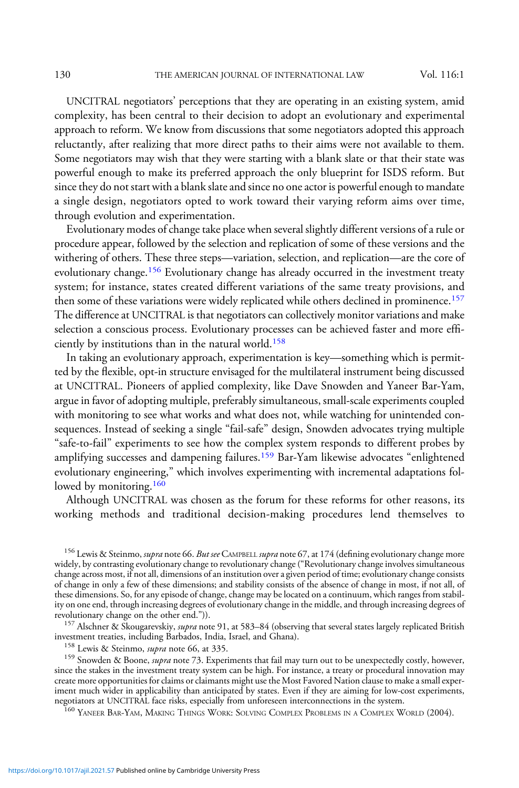UNCITRAL negotiators' perceptions that they are operating in an existing system, amid complexity, has been central to their decision to adopt an evolutionary and experimental approach to reform. We know from discussions that some negotiators adopted this approach reluctantly, after realizing that more direct paths to their aims were not available to them. Some negotiators may wish that they were starting with a blank slate or that their state was powerful enough to make its preferred approach the only blueprint for ISDS reform. But since they do not start with a blank slate and since no one actor is powerful enough to mandate a single design, negotiators opted to work toward their varying reform aims over time, through evolution and experimentation.

Evolutionary modes of change take place when several slightly different versions of a rule or procedure appear, followed by the selection and replication of some of these versions and the withering of others. These three steps—variation, selection, and replication—are the core of evolutionary change.<sup>156</sup> Evolutionary change has already occurred in the investment treaty system; for instance, states created different variations of the same treaty provisions, and then some of these variations were widely replicated while others declined in prominence.<sup>157</sup> The difference at UNCITRAL is that negotiators can collectively monitor variations and make selection a conscious process. Evolutionary processes can be achieved faster and more efficiently by institutions than in the natural world.<sup>158</sup>

In taking an evolutionary approach, experimentation is key—something which is permitted by the flexible, opt-in structure envisaged for the multilateral instrument being discussed at UNCITRAL. Pioneers of applied complexity, like Dave Snowden and Yaneer Bar-Yam, argue in favor of adopting multiple, preferably simultaneous, small-scale experiments coupled with monitoring to see what works and what does not, while watching for unintended consequences. Instead of seeking a single "fail-safe" design, Snowden advocates trying multiple "safe-to-fail" experiments to see how the complex system responds to different probes by amplifying successes and dampening failures.<sup>159</sup> Bar-Yam likewise advocates "enlightened evolutionary engineering," which involves experimenting with incremental adaptations followed by monitoring.<sup>160</sup>

Although UNCITRAL was chosen as the forum for these reforms for other reasons, its working methods and traditional decision-making procedures lend themselves to

<sup>156</sup> Lewis & Steinmo, *supra* note 66. *But see* Campbell *supra* note 67, at 174 (defining evolutionary change more widely, by contrasting evolutionary change to revolutionary change ("Revolutionary change involves simultaneous change across most, if not all, dimensions of an institution over a given period of time; evolutionary change consists of change in only a few of these dimensions; and stability consists of the absence of change in most, if not all, of these dimensions. So, for any episode of change, change may be located on a continuum, which ranges from stability on one end, through increasing degrees of evolutionary change in the middle, and through increasing degrees of

<sup>157</sup> Alschner & Skougarevskiy, *supra* note 91, at 583–84 (observing that several states largely replicated British investment treaties, including Barbados, India, Israel, and Ghana).

<sup>158</sup> Lewis & Steinmo, *supra* note 66, at 335. 159 Snowden & Boone, *supra* note 66, at 335. 159 Snowden & Boone, *supra* note 73. Experiments that fail may turn out to be unexpectedly costly, however, since the stakes in the investment treaty system can be high. For instance, a treaty or procedural innovation may create more opportunities for claims or claimants might use the Most Favored Nation clause to make a small experiment much wider in applicability than anticipated by states. Even if they are aiming for low-cost experiments, negotiators at UNCITRAL face risks, especially from unforeseen interconnections in the system.<br><sup>160</sup> YANEER BAR-YAM, MAKING THINGS WORK: SOLVING COMPLEX PROBLEMS IN A COMPLEX WORLD (2004).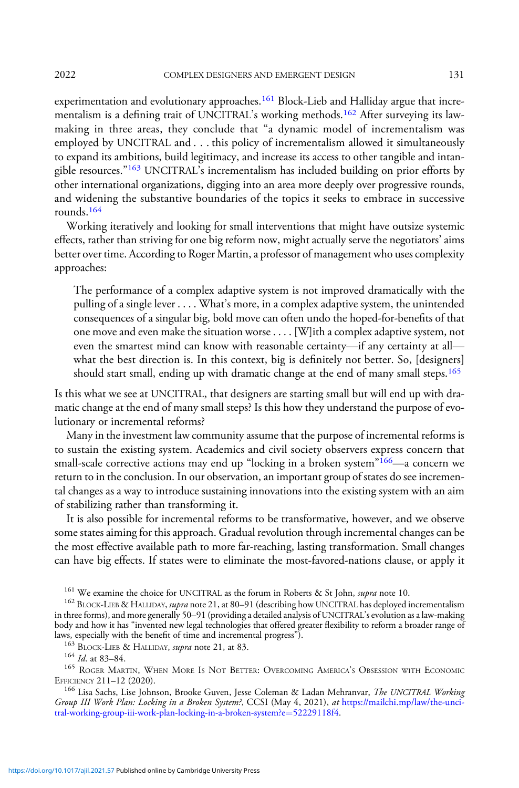experimentation and evolutionary approaches.<sup>161</sup> Block-Lieb and Halliday argue that incrementalism is a defining trait of UNCITRAL's working methods.<sup>162</sup> After surveying its lawmaking in three areas, they conclude that "a dynamic model of incrementalism was employed by UNCITRAL and . . . this policy of incrementalism allowed it simultaneously to expand its ambitions, build legitimacy, and increase its access to other tangible and intangible resources."<sup>163</sup> UNCITRAL's incrementalism has included building on prior efforts by other international organizations, digging into an area more deeply over progressive rounds, and widening the substantive boundaries of the topics it seeks to embrace in successive rounds.164

Working iteratively and looking for small interventions that might have outsize systemic effects, rather than striving for one big reform now, might actually serve the negotiators' aims better over time. According to Roger Martin, a professor of management who uses complexity approaches:

The performance of a complex adaptive system is not improved dramatically with the pulling of a single lever . . . . What's more, in a complex adaptive system, the unintended consequences of a singular big, bold move can often undo the hoped-for-benefits of that one move and even make the situation worse . . . . [W]ith a complex adaptive system, not even the smartest mind can know with reasonable certainty—if any certainty at all what the best direction is. In this context, big is definitely not better. So, [designers] should start small, ending up with dramatic change at the end of many small steps.<sup>165</sup>

Is this what we see at UNCITRAL, that designers are starting small but will end up with dramatic change at the end of many small steps? Is this how they understand the purpose of evolutionary or incremental reforms?

Many in the investment law community assume that the purpose of incremental reforms is to sustain the existing system. Academics and civil society observers express concern that small-scale corrective actions may end up "locking in a broken system" $166$ —a concern we return to in the conclusion. In our observation, an important group of states do see incremental changes as a way to introduce sustaining innovations into the existing system with an aim of stabilizing rather than transforming it.

It is also possible for incremental reforms to be transformative, however, and we observe some states aiming for this approach. Gradual revolution through incremental changes can be the most effective available path to more far-reaching, lasting transformation. Small changes can have big effects. If states were to eliminate the most-favored-nations clause, or apply it

<sup>161</sup> We examine the choice for UNCITRAL as the forum in Roberts & St John, *supra* note 10.<br><sup>162</sup> BLOCK-LIEB & HALLIDAY, *supra* note 21, at 80–91 (describing how UNCITRAL has deployed incrementalism in three forms), and more generally 50–91 (providing a detailed analysis of UNCITRAL's evolution as a law-making<br>body and how it has "invented new legal technologies that offered greater flexibility to reform a broader ran laws, especially with the benefit of time and incremental progress").<br><sup>163</sup> BLOCK-LIEB & HALLIDAY, *supra* note 21, at 83.<br><sup>164</sup> *Id.* at 83–84.

<sup>165</sup> ROGER MARTIN, WHEN MORE IS NOT BETTER: OVERCOMING AMERICA'S OBSESSION WITH ECONOMIC EFFICIENCY 211–12 (2020).

<sup>166</sup> Lisa Sachs, Lise Johnson, Brooke Guven, Jesse Coleman & Ladan Mehranvar, The UNCITRAL Working Group III Work Plan: Locking in a Broken System?, CCSI (May 4, 2021), at [https://mailchi.mp/law/the-unci](https://mailchi.mp/law/the-uncitral-working-group-iii-work-plan-locking-in-a-broken-system?e=52229118f4)[tral-working-group-iii-work-plan-locking-in-a-broken-system?e](https://mailchi.mp/law/the-uncitral-working-group-iii-work-plan-locking-in-a-broken-system?e=52229118f4)=[52229118f4](https://mailchi.mp/law/the-uncitral-working-group-iii-work-plan-locking-in-a-broken-system?e=52229118f4).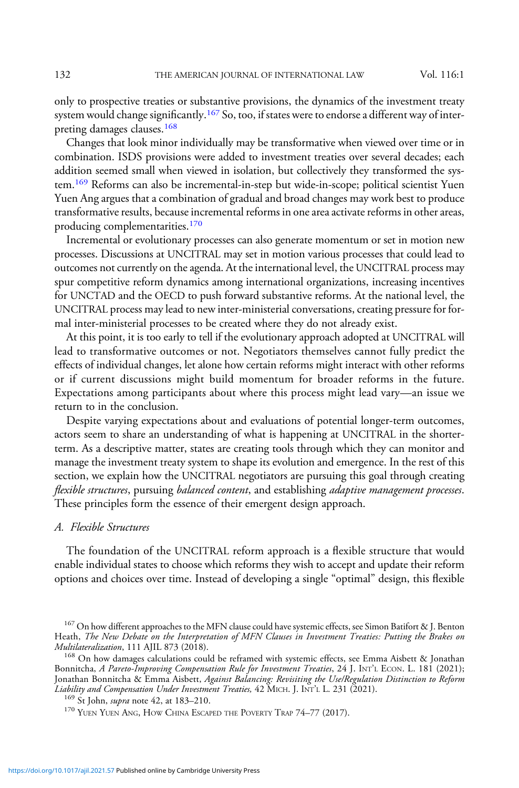only to prospective treaties or substantive provisions, the dynamics of the investment treaty system would change significantly.<sup>167</sup> So, too, if states were to endorse a different way of interpreting damages clauses.<sup>168</sup>

Changes that look minor individually may be transformative when viewed over time or in combination. ISDS provisions were added to investment treaties over several decades; each addition seemed small when viewed in isolation, but collectively they transformed the system.<sup>169</sup> Reforms can also be incremental-in-step but wide-in-scope; political scientist Yuen Yuen Ang argues that a combination of gradual and broad changes may work best to produce transformative results, because incremental reforms in one area activate reforms in other areas, producing complementarities.<sup>170</sup>

Incremental or evolutionary processes can also generate momentum or set in motion new processes. Discussions at UNCITRAL may set in motion various processes that could lead to outcomes not currently on the agenda. At the international level, the UNCITRAL process may spur competitive reform dynamics among international organizations, increasing incentives for UNCTAD and the OECD to push forward substantive reforms. At the national level, the UNCITRAL process may lead to new inter-ministerial conversations, creating pressure for formal inter-ministerial processes to be created where they do not already exist.

At this point, it is too early to tell if the evolutionary approach adopted at UNCITRAL will lead to transformative outcomes or not. Negotiators themselves cannot fully predict the effects of individual changes, let alone how certain reforms might interact with other reforms or if current discussions might build momentum for broader reforms in the future. Expectations among participants about where this process might lead vary—an issue we return to in the conclusion.

Despite varying expectations about and evaluations of potential longer-term outcomes, actors seem to share an understanding of what is happening at UNCITRAL in the shorterterm. As a descriptive matter, states are creating tools through which they can monitor and manage the investment treaty system to shape its evolution and emergence. In the rest of this section, we explain how the UNCITRAL negotiators are pursuing this goal through creating flexible structures, pursuing balanced content, and establishing adaptive management processes. These principles form the essence of their emergent design approach.

### A. Flexible Structures

The foundation of the UNCITRAL reform approach is a flexible structure that would enable individual states to choose which reforms they wish to accept and update their reform options and choices over time. Instead of developing a single "optimal" design, this flexible

<sup>&</sup>lt;sup>167</sup> On how different approaches to the MFN clause could have systemic effects, see Simon Batifort & J. Benton Heath, *The New Debate on the Interpretation of MFN Clauses in Investment Treaties: Putting the Brakes on Multilateralization*, 111 AJIL 873 (2018).

 $168$  On how damages calculations could be reframed with systemic effects, see Emma Aisbett & Jonathan Bonnitcha, A Pareto-Improving Compensation Rule for Investment Treaties, 24 J. INT'L ECON. L. 181 (2021); Jonathan Bonnitcha & Emma Aisbett, Against Balancing: Revisiting the Use/Regulation Distinction to Reform<br>Liability and Compensation Under Investment Treaties, 42 MICH. J. INT'L L. 231 (2021).

<sup>&</sup>lt;sup>169</sup> St John, *supra* note 42, at 183–210.<br><sup>170</sup> Yuen Yuen Ang, How China Escaped the Poverty Trap 74–77 (2017).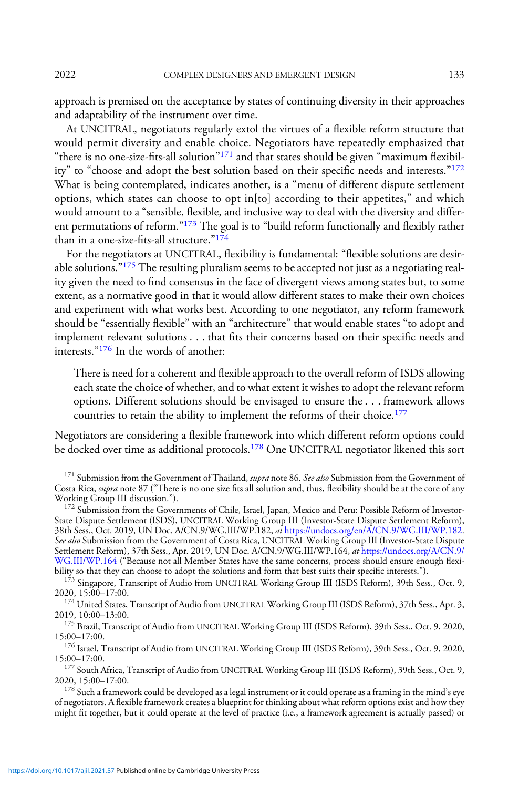approach is premised on the acceptance by states of continuing diversity in their approaches and adaptability of the instrument over time.

At UNCITRAL, negotiators regularly extol the virtues of a flexible reform structure that would permit diversity and enable choice. Negotiators have repeatedly emphasized that "there is no one-size-fits-all solution" $171$  and that states should be given "maximum flexibility" to "choose and adopt the best solution based on their specific needs and interests."<sup>172</sup> What is being contemplated, indicates another, is a "menu of different dispute settlement options, which states can choose to opt in[to] according to their appetites," and which would amount to a "sensible, flexible, and inclusive way to deal with the diversity and different permutations of reform."<sup>173</sup> The goal is to "build reform functionally and flexibly rather than in a one-size-fits-all structure."<sup>174</sup>

For the negotiators at UNCITRAL, flexibility is fundamental: "flexible solutions are desirable solutions." $175$  The resulting pluralism seems to be accepted not just as a negotiating reality given the need to find consensus in the face of divergent views among states but, to some extent, as a normative good in that it would allow different states to make their own choices and experiment with what works best. According to one negotiator, any reform framework should be "essentially flexible" with an "architecture" that would enable states "to adopt and implement relevant solutions . . . that fits their concerns based on their specific needs and interests."<sup>176</sup> In the words of another:

There is need for a coherent and flexible approach to the overall reform of ISDS allowing each state the choice of whether, and to what extent it wishes to adopt the relevant reform options. Different solutions should be envisaged to ensure the . . . framework allows countries to retain the ability to implement the reforms of their choice.<sup>177</sup>

Negotiators are considering a flexible framework into which different reform options could be docked over time as additional protocols.<sup>178</sup> One UNCITRAL negotiator likened this sort

<sup>172</sup> Submission from the Governments of Chile, Israel, Japan, Mexico and Peru: Possible Reform of Investor-State Dispute Settlement (ISDS), UNCITRAL Working Group III (Investor-State Dispute Settlement Reform), 38th Sess., Oct. 2019, UN Doc. A/CN.9/WG.III/WP.182, at [https://undocs.org/en/A/CN.9/WG.III/WP.182.](https://undocs.org/en/A/CN.9/WG.III/WP.182) See also Submission from the Government of Costa Rica, UNCITRAL Working Group III (Investor-State Dispute Settlement Reform), 37th Sess., Apr. 2019, UN Doc. A/CN.9/[WG.III/WP.164](https://undocs.org/A/CN.9/WG.III/WP.164), *at* [https://undocs.org/A/CN.9/](https://undocs.org/A/CN.9/WG.III/WP.164)<br>WG.III/WP.164 ("Because not all Member States have the same concerns, process should ensure enough flexibility so that they can choose to adopt the solutions and form that best suits their specific interests."). <sup>173</sup> Singapore, Transcript of Audio from UNCITRAL Working Group III (ISDS Reform), 39th Sess., Oct. 9,

2020, 15:00–17:00.

 $^{174}$  United States, Transcript of Audio from UNCITRAL Working Group III (ISDS Reform), 37th Sess., Apr. 3, 2019, 10:00–13:00.

<sup>175</sup> Brazil, Transcript of Audio from UNCITRAL Working Group III (ISDS Reform), 39th Sess., Oct. 9, 2020, 15:00–17:00.

 $^{176}$  Israel, Transcript of Audio from UNCITRAL Working Group III (ISDS Reform), 39th Sess., Oct. 9, 2020, 15:00–17:00.

<sup>177</sup> South Africa, Transcript of Audio from UNCITRAL Working Group III (ISDS Reform), 39th Sess., Oct. 9, 2020, 15:00–17:00.

 $178$  Such a framework could be developed as a legal instrument or it could operate as a framing in the mind's eye of negotiators. A flexible framework creates a blueprint for thinking about what reform options exist and how they might fit together, but it could operate at the level of practice (i.e., a framework agreement is actually passed) or

<sup>&</sup>lt;sup>171</sup> Submission from the Government of Thailand, *supra* note 86. See also Submission from the Government of Costa Rica, *supra* note 87 ("There is no one size fits all solution and, thus, flexibility should be at the core of any Working Group III discussion.").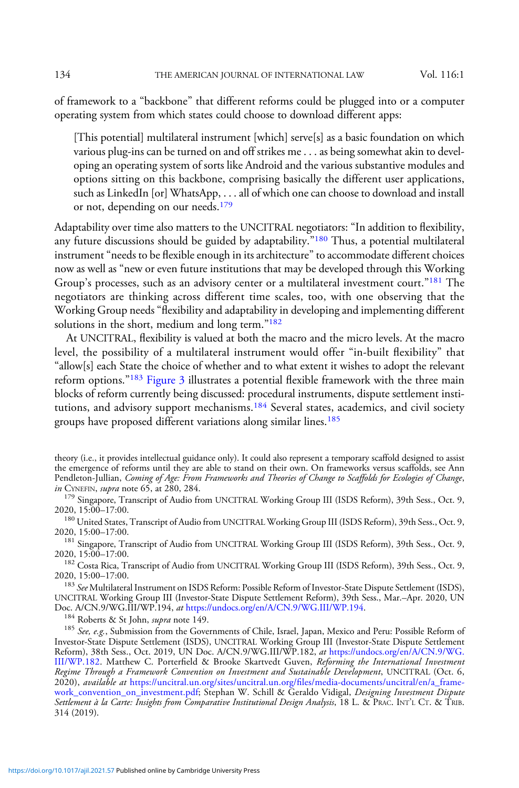of framework to a "backbone" that different reforms could be plugged into or a computer operating system from which states could choose to download different apps:

[This potential] multilateral instrument [which] serve[s] as a basic foundation on which various plug-ins can be turned on and off strikes me . . . as being somewhat akin to developing an operating system of sorts like Android and the various substantive modules and options sitting on this backbone, comprising basically the different user applications, such as LinkedIn [or] WhatsApp, . . . all of which one can choose to download and install or not, depending on our needs.<sup>179</sup>

Adaptability over time also matters to the UNCITRAL negotiators: "In addition to flexibility, any future discussions should be guided by adaptability."<sup>180</sup> Thus, a potential multilateral instrument "needs to be flexible enough in its architecture" to accommodate different choices now as well as "new or even future institutions that may be developed through this Working Group's processes, such as an advisory center or a multilateral investment court."<sup>181</sup> The negotiators are thinking across different time scales, too, with one observing that the Working Group needs "flexibility and adaptability in developing and implementing different solutions in the short, medium and long term."<sup>182</sup>

At UNCITRAL, flexibility is valued at both the macro and the micro levels. At the macro level, the possibility of a multilateral instrument would offer "in-built flexibility" that "allow[s] each State the choice of whether and to what extent it wishes to adopt the relevant reform options."<sup>183</sup> [Figure 3](#page-39-0) illustrates a potential flexible framework with the three main blocks of reform currently being discussed: procedural instruments, dispute settlement institutions, and advisory support mechanisms.<sup>184</sup> Several states, academics, and civil society groups have proposed different variations along similar lines.<sup>185</sup>

 $^{179}$  Singapore, Transcript of Audio from UNCITRAL Working Group III (ISDS Reform), 39th Sess., Oct. 9, 2020, 15:00–17:00.

<sup>180</sup> United States, Transcript of Audio from UNCITRAL Working Group III (ISDS Reform), 39th Sess., Oct. 9, 2020, 15:00–17:00.

<sup>181</sup> Singapore, Transcript of Audio from UNCITRAL Working Group III (ISDS Reform), 39th Sess., Oct. 9, 2020, 15:00–17:00.

<sup>182</sup> Costa Rica, Transcript of Audio from UNCITRAL Working Group III (ISDS Reform), 39th Sess., Oct. 9, 2020, 15:00–17:00.

<sup>183</sup> See Multilateral Instrument on ISDS Reform: Possible Reform of Investor-State Dispute Settlement (ISDS), UNCITRAL Working Group III (Investor-State Dispute Settlement Reform), 39th Sess., Mar.–Apr. 2020, UN Doc. A/CN.9/WG.III/WP.194, at https://undocs.org/en/A/CN.9/WG.III/WP.194.

<sup>184</sup> Roberts & St John, *supra* note 149. **185 See, e.g., Submission from the Governments of Chile, Israel, Japan, Mexico and Peru: Possible Reform of** Investor-State Dispute Settlement (ISDS), UNCITRAL Working Group III (Investor-State Dispute Settlement Reform), 38th Sess., Oct. 2019, UN Doc. A/CN.9/WG.[III/WP.182](https://undocs.org/en/A/CN.9/WG.III/WP.182), *at* [https://undocs.org/en/A/CN.9/WG.](https://undocs.org/en/A/CN.9/WG.III/WP.182)<br>III/WP.182. Matthew C. Porterfield & Brooke Skartvedt Guven, *Reforming the International Investment* Regime Through a Framework Convention on Investment and Sustainable Development, UNCITRAL (Oct. 6, 2020), available at [https://uncitral.un.org/sites/uncitral.un.org/](https://uncitral.un.org/sites/uncitral.un.org/files/media-documents/uncitral/en/a_framework_convention_on_investment.pdf)files/media-documents/uncitral/en/a\_frame[work\\_convention\\_on\\_investment.pdf;](https://uncitral.un.org/sites/uncitral.un.org/files/media-documents/uncitral/en/a_framework_convention_on_investment.pdf) Stephan W. Schill & Geraldo Vidigal, Designing Investment Dispute Settlement à la Carte: Insights from Comparative Institutional Design Analysis, 18 L. & PRAC. INT'L CT. & TRIB. 314 (2019).

theory (i.e., it provides intellectual guidance only). It could also represent a temporary scaffold designed to assist the emergence of reforms until they are able to stand on their own. On frameworks versus scaffolds, see Ann Pendleton-Jullian, *Coming of Age: From Frameworks and Theories of Change to Scaffolds for Ecologies of Change*,<br>*in Cynerin, supra* note 65, at 280, 284.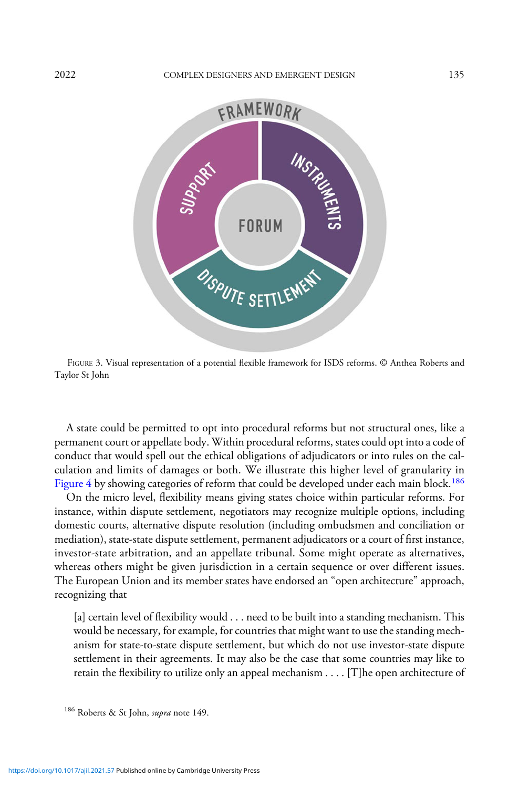<span id="page-39-0"></span>

FIGURE 3. Visual representation of a potential flexible framework for ISDS reforms. © Anthea Roberts and Taylor St John

A state could be permitted to opt into procedural reforms but not structural ones, like a permanent court or appellate body. Within procedural reforms, states could opt into a code of conduct that would spell out the ethical obligations of adjudicators or into rules on the calculation and limits of damages or both. We illustrate this higher level of granularity in [Figure 4](#page-40-0) by showing categories of reform that could be developed under each main block.<sup>186</sup>

On the micro level, flexibility means giving states choice within particular reforms. For instance, within dispute settlement, negotiators may recognize multiple options, including domestic courts, alternative dispute resolution (including ombudsmen and conciliation or mediation), state-state dispute settlement, permanent adjudicators or a court of first instance, investor-state arbitration, and an appellate tribunal. Some might operate as alternatives, whereas others might be given jurisdiction in a certain sequence or over different issues. The European Union and its member states have endorsed an "open architecture" approach, recognizing that

[a] certain level of flexibility would . . . need to be built into a standing mechanism. This would be necessary, for example, for countries that might want to use the standing mechanism for state-to-state dispute settlement, but which do not use investor-state dispute settlement in their agreements. It may also be the case that some countries may like to retain the flexibility to utilize only an appeal mechanism . . . . [T]he open architecture of

<sup>&</sup>lt;sup>186</sup> Roberts & St John, *supra* note 149.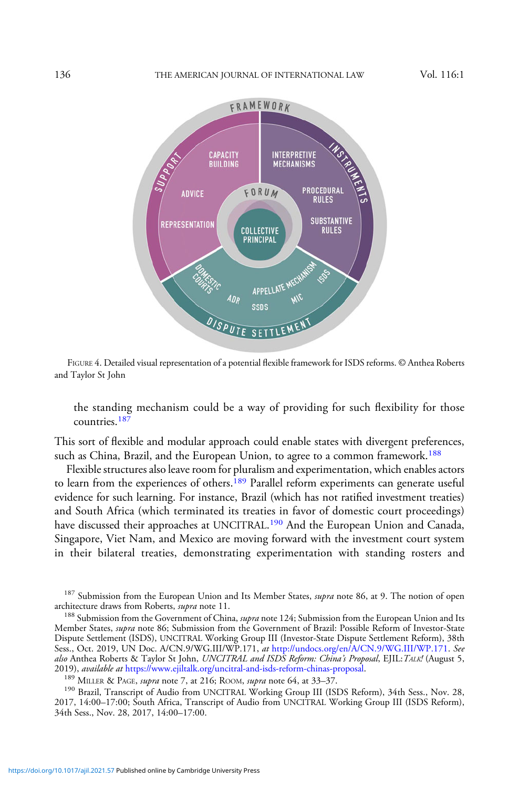<span id="page-40-0"></span>

FIGURE 4. Detailed visual representation of a potential flexible framework for ISDS reforms. © Anthea Roberts and Taylor St John

the standing mechanism could be a way of providing for such flexibility for those countries.<sup>187</sup>

This sort of flexible and modular approach could enable states with divergent preferences, such as China, Brazil, and the European Union, to agree to a common framework.<sup>188</sup>

Flexible structures also leave room for pluralism and experimentation, which enables actors to learn from the experiences of others.<sup>189</sup> Parallel reform experiments can generate useful evidence for such learning. For instance, Brazil (which has not ratified investment treaties) and South Africa (which terminated its treaties in favor of domestic court proceedings) have discussed their approaches at UNCITRAL.<sup>190</sup> And the European Union and Canada, Singapore, Viet Nam, and Mexico are moving forward with the investment court system in their bilateral treaties, demonstrating experimentation with standing rosters and

<sup>189</sup> MILLER & PAGE, *supra* note 7, at 216; ROOM, *supra* note 64, at 33–37.<br><sup>190</sup> Brazil, Transcript of Audio from UNCITRAL Working Group III (ISDS Reform), 34th Sess., Nov. 28, 2017, 14:00–17:00; South Africa, Transcript of Audio from UNCITRAL Working Group III (ISDS Reform), 34th Sess., Nov. 28, 2017, 14:00–17:00.

<sup>&</sup>lt;sup>187</sup> Submission from the European Union and Its Member States, *supra* note 86, at 9. The notion of open architecture draws from Roberts, *supra* note 11.

<sup>&</sup>lt;sup>188</sup> Submission from the Government of China, *supra* note 124; Submission from the European Union and Its Member States, supra note 86; Submission from the Government of Brazil: Possible Reform of Investor-State Dispute Settlement (ISDS), UNCITRAL Working Group III (Investor-State Dispute Settlement Reform), 38th Sess., Oct. 2019, UN Doc. A/CN.9/WG.III/WP.171, at [http://undocs.org/en/A/CN.9/WG.III/WP.171.](http://undocs.org/en/A/CN.9/WG.III/WP.171) See also Anthea Roberts & Taylor St John, UNCITRAL and ISDS Reform: China's Proposal, EJIL: TALK! (August 5,<br>2019), available at https://www.ejiltalk.org/uncitral-and-isds-reform-chinas-proposal.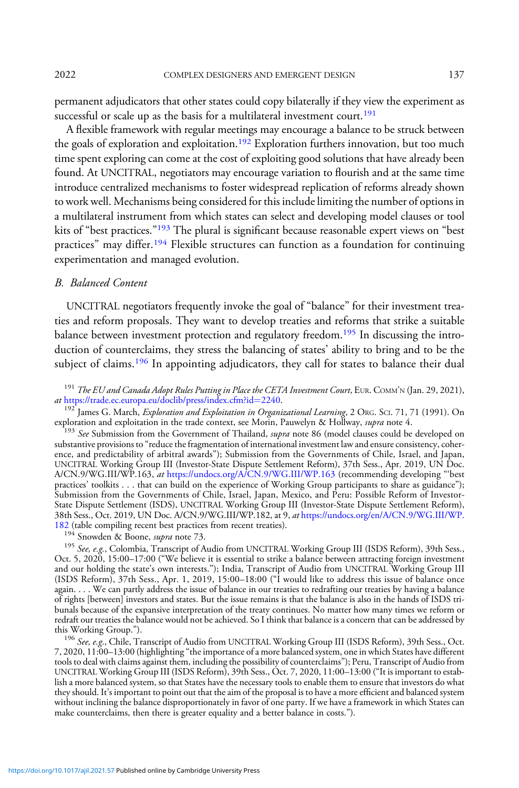permanent adjudicators that other states could copy bilaterally if they view the experiment as successful or scale up as the basis for a multilateral investment court.<sup>191</sup>

A flexible framework with regular meetings may encourage a balance to be struck between the goals of exploration and exploitation.<sup>192</sup> Exploration furthers innovation, but too much time spent exploring can come at the cost of exploiting good solutions that have already been found. At UNCITRAL, negotiators may encourage variation to flourish and at the same time introduce centralized mechanisms to foster widespread replication of reforms already shown to work well. Mechanisms being considered for this include limiting the number of options in a multilateral instrument from which states can select and developing model clauses or tool kits of "best practices."<sup>193</sup> The plural is significant because reasonable expert views on "best practices" may differ.<sup>194</sup> Flexible structures can function as a foundation for continuing experimentation and managed evolution.

# B. Balanced Content

UNCITRAL negotiators frequently invoke the goal of "balance" for their investment treaties and reform proposals. They want to develop treaties and reforms that strike a suitable balance between investment protection and regulatory freedom.<sup>195</sup> In discussing the introduction of counterclaims, they stress the balancing of states' ability to bring and to be the subject of claims.<sup>196</sup> In appointing adjudicators, they call for states to balance their dual

<sup>191</sup> The EU and Canada Adopt Rules Putting in Place the CETA Investment Court, EUR. COMM'N (Jan. 29, 2021), at https://trade.ec.europa.eu/doclib/press/index.cfm?id=2240.

<sup>192</sup> James G. March, *Exploration and Exploitation in Organizational Learning*, 2 ORG. SCI. 71, 71 (1991). On exploration and exploitation in the trade context, see Morin, Pauwelyn & Hollway, *supra* note 4.

<sup>193</sup> See Submission from the Government of Thailand, supra note 86 (model clauses could be developed on substantive provisions to "reduce the fragmentation of international investment law and ensure consistency, coherence, and predictability of arbitral awards"); Submission from the Governments of Chile, Israel, and Japan, UNCITRAL Working Group III (Investor-State Dispute Settlement Reform), 37th Sess., Apr. 2019, UN Doc. A/CN.9/WG.III/WP.163, at <https://undocs.org/A/CN.9/WG.III/WP.163> (recommending developing "'best practices' toolkits . . . that can build on the experience of Working Group participants to share as guidance"); Submission from the Governments of Chile, Israel, Japan, Mexico, and Peru: Possible Reform of Investor-State Dispute Settlement (ISDS), UNCITRAL Working Group III (Investor-State Dispute Settlement Reform), 38th Sess., Oct. 2019, UN Doc. A/CN.9/WG.III/WP.182, at 9, at [https://undocs.org/en/A/CN.9/WG.III/WP.](https://undocs.org/en/A/CN.9/WG.III/WP.182) [182](https://undocs.org/en/A/CN.9/WG.III/WP.182) (table compiling recent best practices from recent treaties).<br><sup>194</sup> Snowden & Boone, *supra* note 73.

<sup>195</sup> See, e.g., Colombia, Transcript of Audio from UNCITRAL Working Group III (ISDS Reform), 39th Sess., Oct. 5, 2020, 15:00–17:00 ("We believe it is essential to strike a balance between attracting foreign investment and our holding the state's own interests."); India, Transcript of Audio from UNCITRAL Working Group III (ISDS Reform), 37th Sess., Apr. 1, 2019, 15:00–18:00 ("I would like to address this issue of balance once again. . . . We can partly address the issue of balance in our treaties to redrafting our treaties by having a balance of rights [between] investors and states. But the issue remains is that the balance is also in the hands of ISDS tribunals because of the expansive interpretation of the treaty continues. No matter how many times we reform or redraft our treaties the balance would not be achieved. So I think that balance is a concern that can be addressed by<br>this Working Group.").

<sup>196</sup> See, e.g., Chile, Transcript of Audio from UNCITRAL Working Group III (ISDS Reform), 39th Sess., Oct. 7, 2020, 11:00–13:00 (highlighting "the importance of a more balanced system, one in which States have different tools to deal with claims against them, including the possibility of counterclaims"); Peru, Transcript of Audio from UNCITRAL Working Group III (ISDS Reform), 39th Sess., Oct. 7, 2020, 11:00–13:00 ("It is important to establish a more balanced system, so that States have the necessary tools to enable them to ensure that investors do what they should. It's important to point out that the aim of the proposal is to have a more efficient and balanced system without inclining the balance disproportionately in favor of one party. If we have a framework in which States can make counterclaims, then there is greater equality and a better balance in costs.").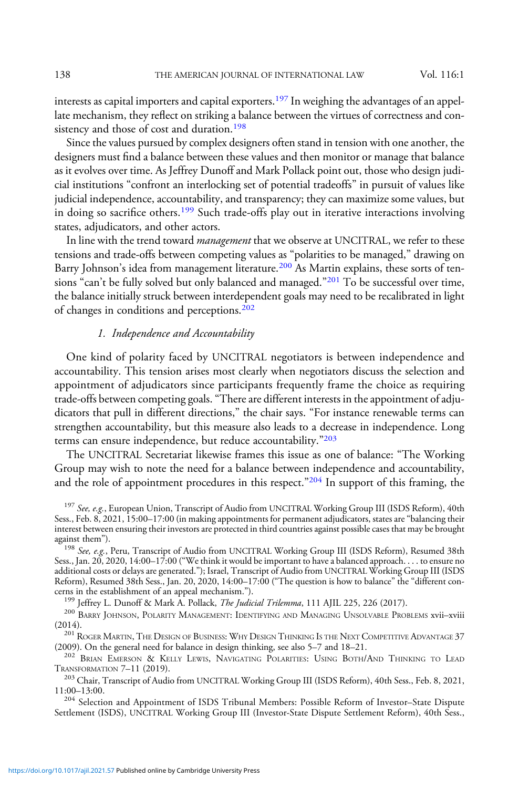interests as capital importers and capital exporters.<sup>197</sup> In weighing the advantages of an appellate mechanism, they reflect on striking a balance between the virtues of correctness and consistency and those of cost and duration.<sup>198</sup>

Since the values pursued by complex designers often stand in tension with one another, the designers must find a balance between these values and then monitor or manage that balance as it evolves over time. As Jeffrey Dunoff and Mark Pollack point out, those who design judicial institutions "confront an interlocking set of potential tradeoffs" in pursuit of values like judicial independence, accountability, and transparency; they can maximize some values, but in doing so sacrifice others.<sup>199</sup> Such trade-offs play out in iterative interactions involving states, adjudicators, and other actors.

In line with the trend toward *management* that we observe at UNCITRAL, we refer to these tensions and trade-offs between competing values as "polarities to be managed," drawing on Barry Johnson's idea from management literature.<sup>200</sup> As Martin explains, these sorts of tensions "can't be fully solved but only balanced and managed."<sup>201</sup> To be successful over time, the balance initially struck between interdependent goals may need to be recalibrated in light of changes in conditions and perceptions.<sup>202</sup>

# 1. Independence and Accountability

One kind of polarity faced by UNCITRAL negotiators is between independence and accountability. This tension arises most clearly when negotiators discuss the selection and appointment of adjudicators since participants frequently frame the choice as requiring trade-offs between competing goals."There are different interests in the appointment of adjudicators that pull in different directions," the chair says. "For instance renewable terms can strengthen accountability, but this measure also leads to a decrease in independence. Long terms can ensure independence, but reduce accountability."203

The UNCITRAL Secretariat likewise frames this issue as one of balance: "The Working Group may wish to note the need for a balance between independence and accountability, and the role of appointment procedures in this respect."<sup>204</sup> In support of this framing, the

Sess., Jan. 20, 2020, 14:00–17:00 ("We think it would be important to have a balanced approach. . . . to ensure no additional costs or delays are generated."); Israel, Transcript of Audio from UNCITRAL Working Group III (ISDS Reform), Resumed 38th Sess., Jan. 20, 2020, 14:00–17:00 ("The question is how to balance" the "different concerns in the establishment of an appeal mechanism.").

<sup>199</sup> Jeffrey L. Dunoff & Mark A. Pollack, *The Judicial Trilemma*, 111 AJIL 225, 226 (2017).<br><sup>200</sup> Barry Johnson, Polarity Management: Identifying and Managing Unsolvable Problems xvii–xviii<br>(2014).

 $^{201}$  ROGER MARTIN, THE DESIGN OF BUSINESS: WHY DESIGN THINKING IS THE NEXT COMPETITIVE ADVANTAGE 37 (2009). On the general need for balance in design thinking, see also 5–7 and 18–21.

 $^{202}$  Brian Emerson & Kelly Lewis, Navigating Polarities: Using Both/And Thinking to Lead Transformation 7–11 (2019).

 $^{203}$  Chair, Transcript of Audio from UNCITRAL Working Group III (ISDS Reform), 40th Sess., Feb. 8, 2021, 11:00–13:00.

<sup>204</sup> Selection and Appointment of ISDS Tribunal Members: Possible Reform of Investor–State Dispute Settlement (ISDS), UNCITRAL Working Group III (Investor-State Dispute Settlement Reform), 40th Sess.,

<sup>&</sup>lt;sup>197</sup> See, e.g., European Union, Transcript of Audio from UNCITRAL Working Group III (ISDS Reform), 40th Sess., Feb. 8, 2021, 15:00–17:00 (in making appointments for permanent adjudicators, states are"balancing their interest between ensuring their investors are protected in third countries against possible cases that may be brought against them").<br><sup>198</sup> *See, e.g.*, Peru, Transcript of Audio from UNCITRAL Working Group III (ISDS Reform), Resumed 38th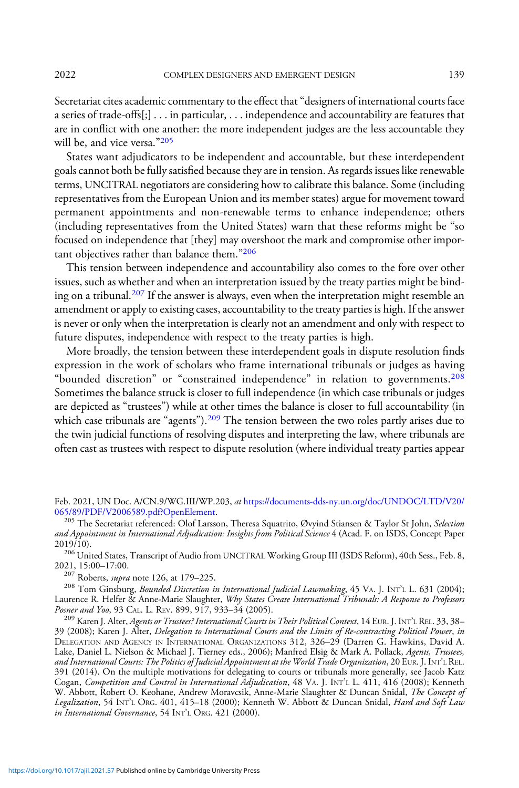Secretariat cites academic commentary to the effect that"designers of international courts face a series of trade-offs[;] . . . in particular, . . . independence and accountability are features that are in conflict with one another: the more independent judges are the less accountable they will be, and vice versa."205

States want adjudicators to be independent and accountable, but these interdependent goals cannot both be fully satisfied because they are in tension. As regards issues like renewable terms, UNCITRAL negotiators are considering how to calibrate this balance. Some (including representatives from the European Union and its member states) argue for movement toward permanent appointments and non-renewable terms to enhance independence; others (including representatives from the United States) warn that these reforms might be "so focused on independence that [they] may overshoot the mark and compromise other important objectives rather than balance them."<sup>206</sup>

This tension between independence and accountability also comes to the fore over other issues, such as whether and when an interpretation issued by the treaty parties might be binding on a tribunal.<sup>207</sup> If the answer is always, even when the interpretation might resemble an amendment or apply to existing cases, accountability to the treaty parties is high. If the answer is never or only when the interpretation is clearly not an amendment and only with respect to future disputes, independence with respect to the treaty parties is high.

More broadly, the tension between these interdependent goals in dispute resolution finds expression in the work of scholars who frame international tribunals or judges as having "bounded discretion" or "constrained independence" in relation to governments.<sup>208</sup> Sometimes the balance struck is closer to full independence (in which case tribunals or judges are depicted as "trustees") while at other times the balance is closer to full accountability (in which case tribunals are "agents").<sup>209</sup> The tension between the two roles partly arises due to the twin judicial functions of resolving disputes and interpreting the law, where tribunals are often cast as trustees with respect to dispute resolution (where individual treaty parties appear

<sup>207</sup> Roberts, *supra* note 126, at 179–225.<br><sup>208</sup> Tom Ginsburg, *Bounded Discretion in International Judicial Lawmaking*, 45 VA. J. INT'L L. 631 (2004); Laurence R. Helfer & Anne-Marie Slaughter, *Why States Create International Tribunals: A Response to Professors*<br>Posner and Yoo, 93 CAL. L. REV. 899, 917, 933–34 (2005).

<sup>209</sup> Karen J. Alter, Agents or Trustees? International Courts in Their Political Context, 14 EUR. J. INT'L REL. 33, 38– 39 (2008); Karen J. Alter, Delegation to International Courts and the Limits of Re-contracting Political Power, in DELEGATION AND AGENCY IN INTERNATIONAL ORGANIZATIONS 312, 326–29 (Darren G. Hawkins, David A. Lake, Daniel L. Nielson & Michael J. Tierney eds., 2006); Manfred Elsig & Mark A. Pollack, *Agents, Trustees,* and International Courts: The Politics of Judicial Appointment at the World Trade Organization, 20 EUR. J. INT'<sup>L</sup> REL. 391 (2014). On the multiple motivations for delegating to courts or tribunals more generally, see Jacob Katz Cogan, *Competition and Control in International Adjudication*, 48 VA. J. INT'L L. 411, 416 (2008); Kenneth W. Abbott, Robert O. Keohane, Andrew Moravcsik, Anne-Marie Slaughter & Duncan Snidal, *The Concept of* Legalization, 54 INT'L ORG. 401, 415-18 (2000); Kenneth W. Abbott & Duncan Snidal, Hard and Soft Law in International Governance, 54 INT'<sup>L</sup> ORG. 421 (2000).

Feb. 2021, UN Doc. A/CN.9/WG.III/WP.203, at [https://documents-dds-ny.un.org/doc/UNDOC/LTD/V20/](https://documents-dds-ny.un.org/doc/UNDOC/LTD/V20/065/89/PDF/V2006589.pdf?OpenElement)<br>065/89/PDF/V2006589.pdf?OpenElement.

<sup>&</sup>lt;sup>205</sup> The Secretariat referenced: Olof Larsson, Theresa Squatrito, Øvyind Stiansen & Taylor St John, Selection and Appointment in International Adjudication: Insights from Political Science 4 (Acad. F. on ISDS, Concept Paper<br>2019/10).

 $^{206}$  United States, Transcript of Audio from UNCITRAL Working Group III (ISDS Reform), 40th Sess., Feb. 8, 2021, 15:00–17:00.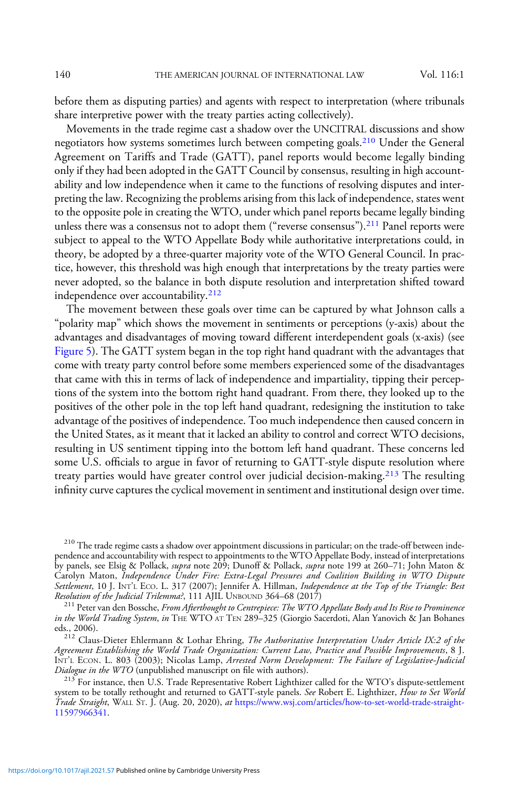before them as disputing parties) and agents with respect to interpretation (where tribunals share interpretive power with the treaty parties acting collectively).

Movements in the trade regime cast a shadow over the UNCITRAL discussions and show negotiators how systems sometimes lurch between competing goals.210 Under the General Agreement on Tariffs and Trade (GATT), panel reports would become legally binding only if they had been adopted in the GATT Council by consensus, resulting in high accountability and low independence when it came to the functions of resolving disputes and interpreting the law. Recognizing the problems arising from this lack of independence, states went to the opposite pole in creating the WTO, under which panel reports became legally binding unless there was a consensus not to adopt them ("reverse consensus").<sup>211</sup> Panel reports were subject to appeal to the WTO Appellate Body while authoritative interpretations could, in theory, be adopted by a three-quarter majority vote of the WTO General Council. In practice, however, this threshold was high enough that interpretations by the treaty parties were never adopted, so the balance in both dispute resolution and interpretation shifted toward independence over accountability.<sup>212</sup>

The movement between these goals over time can be captured by what Johnson calls a "polarity map" which shows the movement in sentiments or perceptions (y-axis) about the advantages and disadvantages of moving toward different interdependent goals (x-axis) (see [Figure 5\)](#page-45-0). The GATT system began in the top right hand quadrant with the advantages that come with treaty party control before some members experienced some of the disadvantages that came with this in terms of lack of independence and impartiality, tipping their perceptions of the system into the bottom right hand quadrant. From there, they looked up to the positives of the other pole in the top left hand quadrant, redesigning the institution to take advantage of the positives of independence. Too much independence then caused concern in the United States, as it meant that it lacked an ability to control and correct WTO decisions, resulting in US sentiment tipping into the bottom left hand quadrant. These concerns led some U.S. officials to argue in favor of returning to GATT-style dispute resolution where treaty parties would have greater control over judicial decision-making.<sup>213</sup> The resulting infinity curve captures the cyclical movement in sentiment and institutional design over time.

<sup>&</sup>lt;sup>210</sup> The trade regime casts a shadow over appointment discussions in particular; on the trade-off between independence and accountability with respect to appointments to the WTO Appellate Body, instead of interpretations by panels, see Elsig & Pollack, *supra* note 209; Dunoff & Pollack, *supra* note 199 at 260–71; John Maton & Carolyn Maton, Independence Under Fire: Extra-Legal Pressures and Coalition Building in WTO Dispute Settlement, 10 J. INT'L ECO. L. 317 (2007); Jennifer A. Hillman, *Independence at the Top* of the Triangle: Best<br>Resolution of the Judicial Trilemma?, 111 AJIL UNBOUND 364–68 (2017)

<sup>&</sup>lt;sup>211</sup> Peter van den Bossche, From Afterthought to Centrepiece: The WTO Appellate Body and Its Rise to Prominence in the World Trading System, in THE WTO AT TEN 289-325 (Giorgio Sacerdoti, Alan Yanovich & Jan Bohanes eds., 2006).

 $2^{12}$  Claus-Dieter Ehlermann & Lothar Ehring, The Authoritative Interpretation Under Article IX:2 of the Agreement Establishing the World Trade Organization: Current Law, Practice and Possible Improvements, 8 J. INT'L ECON. L. 803 (2003); Nicolas Lamp, Arrested Norm Development: The Failure of Legislative-Judicial Dialogue in the WTO (unpublished manuscript on file with authors).

 $^{213}$  For instance, then U.S. Trade Representative Robert Lighthizer called for the WTO's dispute-settlement system to be totally rethought and returned to GATT-style panels. See Robert E. Lighthizer, How to Set World Trade Straight, WALL ST. J. (Aug. 20, 2020), at [https://www.wsj.com/articles/how-to-set-world-trade-straight-](https://www.wsj.com/articles/how-to-set-world-trade-straight-11597966341)[11597966341](https://www.wsj.com/articles/how-to-set-world-trade-straight-11597966341).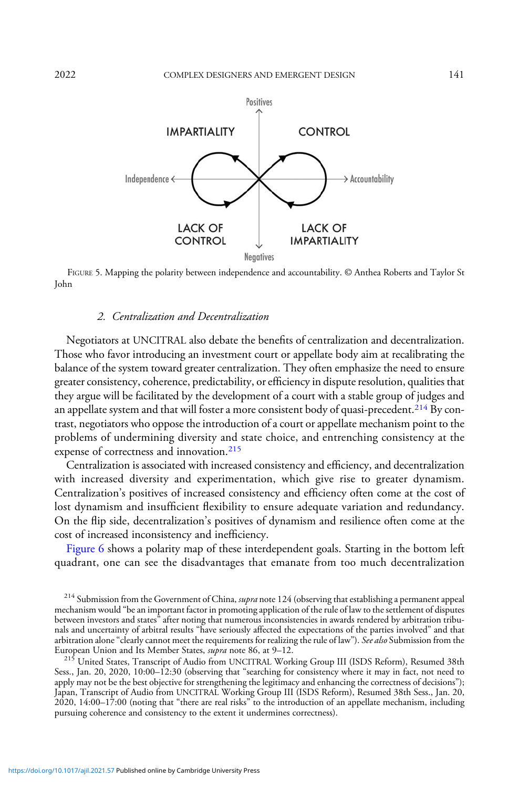<span id="page-45-0"></span>

FIGURE 5. Mapping the polarity between independence and accountability. © Anthea Roberts and Taylor St John

### 2. Centralization and Decentralization

Negotiators at UNCITRAL also debate the benefits of centralization and decentralization. Those who favor introducing an investment court or appellate body aim at recalibrating the balance of the system toward greater centralization. They often emphasize the need to ensure greater consistency, coherence, predictability, or efficiency in dispute resolution, qualities that they argue will be facilitated by the development of a court with a stable group of judges and an appellate system and that will foster a more consistent body of quasi-precedent.<sup>214</sup> By contrast, negotiators who oppose the introduction of a court or appellate mechanism point to the problems of undermining diversity and state choice, and entrenching consistency at the expense of correctness and innovation.<sup>215</sup>

Centralization is associated with increased consistency and efficiency, and decentralization with increased diversity and experimentation, which give rise to greater dynamism. Centralization's positives of increased consistency and efficiency often come at the cost of lost dynamism and insufficient flexibility to ensure adequate variation and redundancy. On the flip side, decentralization's positives of dynamism and resilience often come at the cost of increased inconsistency and inefficiency.

[Figure 6](#page-46-0) shows a polarity map of these interdependent goals. Starting in the bottom left quadrant, one can see the disadvantages that emanate from too much decentralization

<sup>214</sup> Submission from the Government of China, *supra* note 124 (observing that establishing a permanent appeal mechanism would "be an important factor in promoting application of the rule of law to the settlement of disputes between investors and states" after noting that numerous inconsistencies in awards rendered by arbitration tribunals and uncertainty of arbitral results "have seriously affected the expectations of the parties involved" and that arbitration alone "clearly cannot meet the requirements for realizing the rule of law"). See also Submission from the<br>European Union and Its Member States, *supra* note 86, at 9–12.

<sup>215</sup> United States, Transcript of Audio from UNCITRAL Working Group III (ISDS Reform), Resumed 38th Sess., Jan. 20, 2020, 10:00–12:30 (observing that "searching for consistency where it may in fact, not need to apply may not be the best objective for strengthening the legitimacy and enhancing the correctness of decisions"); Japan, Transcript of Audio from UNCITRAL Working Group III (ISDS Reform), Resumed 38th Sess., Jan. 20, 2020, 14:00–17:00 (noting that "there are real risks" to the introduction of an appellate mechanism, including pursuing coherence and consistency to the extent it undermines correctness).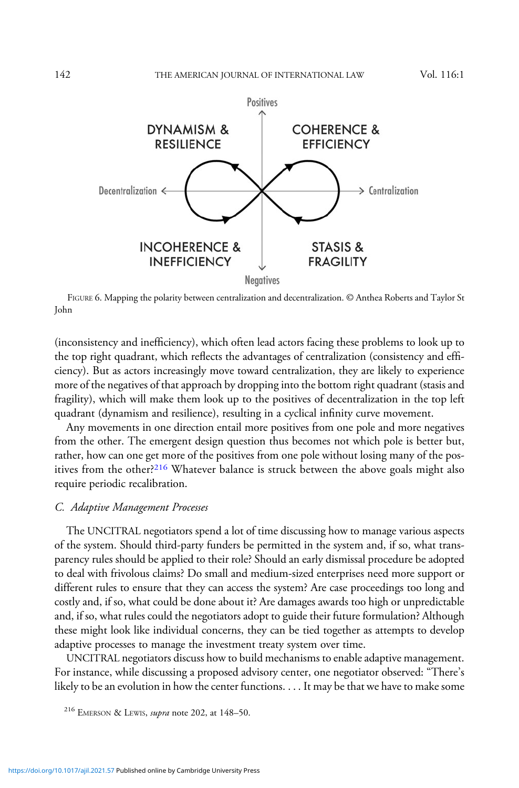<span id="page-46-0"></span>

FIGURE 6. Mapping the polarity between centralization and decentralization. © Anthea Roberts and Taylor St John

(inconsistency and inefficiency), which often lead actors facing these problems to look up to the top right quadrant, which reflects the advantages of centralization (consistency and efficiency). But as actors increasingly move toward centralization, they are likely to experience more of the negatives of that approach by dropping into the bottom right quadrant (stasis and fragility), which will make them look up to the positives of decentralization in the top left quadrant (dynamism and resilience), resulting in a cyclical infinity curve movement.

Any movements in one direction entail more positives from one pole and more negatives from the other. The emergent design question thus becomes not which pole is better but, rather, how can one get more of the positives from one pole without losing many of the positives from the other?<sup>216</sup> Whatever balance is struck between the above goals might also require periodic recalibration.

#### C. Adaptive Management Processes

The UNCITRAL negotiators spend a lot of time discussing how to manage various aspects of the system. Should third-party funders be permitted in the system and, if so, what transparency rules should be applied to their role? Should an early dismissal procedure be adopted to deal with frivolous claims? Do small and medium-sized enterprises need more support or different rules to ensure that they can access the system? Are case proceedings too long and costly and, if so, what could be done about it? Are damages awards too high or unpredictable and, if so, what rules could the negotiators adopt to guide their future formulation? Although these might look like individual concerns, they can be tied together as attempts to develop adaptive processes to manage the investment treaty system over time.

UNCITRAL negotiators discuss how to build mechanisms to enable adaptive management. For instance, while discussing a proposed advisory center, one negotiator observed: "There's likely to be an evolution in how the center functions. . . . It may be that we have to make some

<sup>216</sup> EMERSON & LEWIS, supra note 202, at 148–50.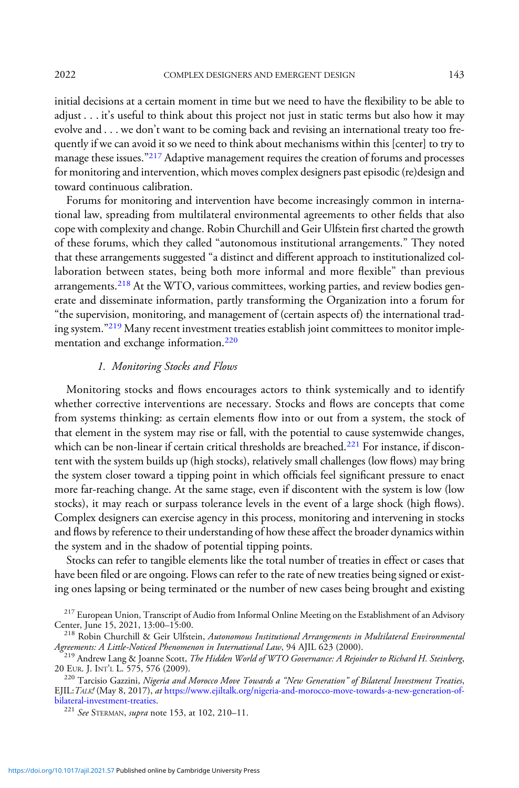initial decisions at a certain moment in time but we need to have the flexibility to be able to adjust . . . it's useful to think about this project not just in static terms but also how it may evolve and . . . we don't want to be coming back and revising an international treaty too frequently if we can avoid it so we need to think about mechanisms within this [center] to try to manage these issues."<sup>217</sup> Adaptive management requires the creation of forums and processes for monitoring and intervention, which moves complex designers past episodic (re)design and toward continuous calibration.

Forums for monitoring and intervention have become increasingly common in international law, spreading from multilateral environmental agreements to other fields that also cope with complexity and change. Robin Churchill and Geir Ulfstein first charted the growth of these forums, which they called "autonomous institutional arrangements." They noted that these arrangements suggested "a distinct and different approach to institutionalized collaboration between states, being both more informal and more flexible" than previous arrangements.<sup>218</sup> At the WTO, various committees, working parties, and review bodies generate and disseminate information, partly transforming the Organization into a forum for "the supervision, monitoring, and management of (certain aspects of) the international trading system."<sup>219</sup> Many recent investment treaties establish joint committees to monitor implementation and exchange information.<sup>220</sup>

# 1. Monitoring Stocks and Flows

Monitoring stocks and flows encourages actors to think systemically and to identify whether corrective interventions are necessary. Stocks and flows are concepts that come from systems thinking: as certain elements flow into or out from a system, the stock of that element in the system may rise or fall, with the potential to cause systemwide changes, which can be non-linear if certain critical thresholds are breached.<sup>221</sup> For instance, if discontent with the system builds up (high stocks), relatively small challenges (low flows) may bring the system closer toward a tipping point in which officials feel significant pressure to enact more far-reaching change. At the same stage, even if discontent with the system is low (low stocks), it may reach or surpass tolerance levels in the event of a large shock (high flows). Complex designers can exercise agency in this process, monitoring and intervening in stocks and flows by reference to their understanding of how these affect the broader dynamics within the system and in the shadow of potential tipping points.

Stocks can refer to tangible elements like the total number of treaties in effect or cases that have been filed or are ongoing. Flows can refer to the rate of new treaties being signed or existing ones lapsing or being terminated or the number of new cases being brought and existing

 $^{217}$  European Union, Transcript of Audio from Informal Online Meeting on the Establishment of an Advisory Center, June 15, 2021, 13:00–15:00.

 $^{218}$  Robin Churchill & Geir Ulfstein, Autonomous Institutional Arrangements in Multilateral Environmental

Agreements: A Little-Noticed Phenomenon in International Law, 94 AJIL  $\hat{623}$  (2000).<br><sup>219</sup> Andrew Lang & Joanne Scott, *The Hidden World of WTO Governance: A Rejoinder to Richard H. Steinberg*,<br>20 EUR. J. INT'L L. 575, 20 EUR. J. INT'L L. 575, 576 (2009).<br><sup>220</sup> Tarcisio Gazzini, *Nigeria and Morocco Move Towards a "New Generation" of Bilateral Investment Treaties*,

EJIL:TALK! (May 8, 2017), at [https://www.ejiltalk.org/nigeria-and-morocco-move-towards-a-new-generation-of](https://www.ejiltalk.org/nigeria-and-morocco-move-towards-a-new-generation-of-bilateral-investment-treaties)[bilateral-investment-treaties](https://www.ejiltalk.org/nigeria-and-morocco-move-towards-a-new-generation-of-bilateral-investment-treaties).<br><sup>221</sup> See STERMAN, supra note 153, at 102, 210–11.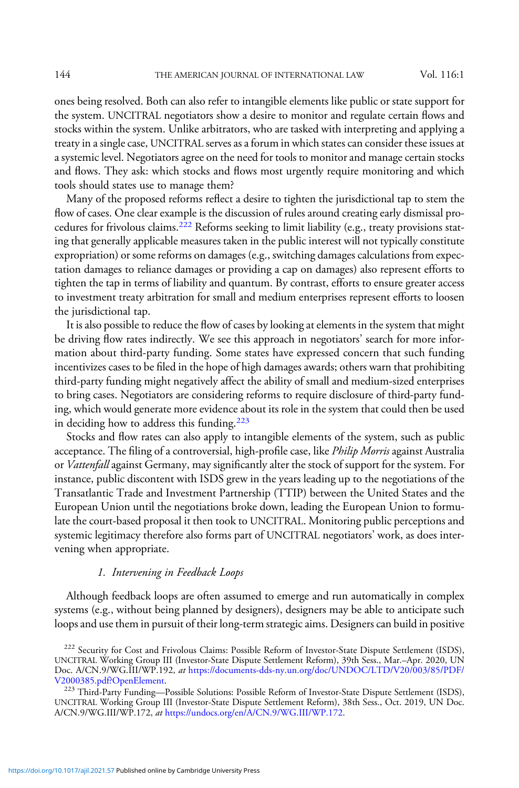ones being resolved. Both can also refer to intangible elements like public or state support for the system. UNCITRAL negotiators show a desire to monitor and regulate certain flows and stocks within the system. Unlike arbitrators, who are tasked with interpreting and applying a treaty in a single case, UNCITRAL serves as a forum in which states can consider these issues at a systemic level. Negotiators agree on the need for tools to monitor and manage certain stocks and flows. They ask: which stocks and flows most urgently require monitoring and which tools should states use to manage them?

Many of the proposed reforms reflect a desire to tighten the jurisdictional tap to stem the flow of cases. One clear example is the discussion of rules around creating early dismissal procedures for frivolous claims.<sup>222</sup> Reforms seeking to limit liability (e.g., treaty provisions stating that generally applicable measures taken in the public interest will not typically constitute expropriation) or some reforms on damages (e.g., switching damages calculations from expectation damages to reliance damages or providing a cap on damages) also represent efforts to tighten the tap in terms of liability and quantum. By contrast, efforts to ensure greater access to investment treaty arbitration for small and medium enterprises represent efforts to loosen the jurisdictional tap.

It is also possible to reduce the flow of cases by looking at elements in the system that might be driving flow rates indirectly. We see this approach in negotiators' search for more information about third-party funding. Some states have expressed concern that such funding incentivizes cases to be filed in the hope of high damages awards; others warn that prohibiting third-party funding might negatively affect the ability of small and medium-sized enterprises to bring cases. Negotiators are considering reforms to require disclosure of third-party funding, which would generate more evidence about its role in the system that could then be used in deciding how to address this funding.<sup>223</sup>

Stocks and flow rates can also apply to intangible elements of the system, such as public acceptance. The filing of a controversial, high-profile case, like *Philip Morris* against Australia or Vattenfall against Germany, may significantly alter the stock of support for the system. For instance, public discontent with ISDS grew in the years leading up to the negotiations of the Transatlantic Trade and Investment Partnership (TTIP) between the United States and the European Union until the negotiations broke down, leading the European Union to formulate the court-based proposal it then took to UNCITRAL. Monitoring public perceptions and systemic legitimacy therefore also forms part of UNCITRAL negotiators' work, as does intervening when appropriate.

#### 1. Intervening in Feedback Loops

Although feedback loops are often assumed to emerge and run automatically in complex systems (e.g., without being planned by designers), designers may be able to anticipate such loops and use them in pursuit of their long-term strategic aims. Designers can build in positive

<sup>&</sup>lt;sup>222</sup> Security for Cost and Frivolous Claims: Possible Reform of Investor-State Dispute Settlement (ISDS), UNCITRAL Working Group III (Investor-State Dispute Settlement Reform), 39th Sess., Mar.–Apr. 2020, UN Doc. A/CN.9/WG.III/WP.192, at [https://documents-dds-ny.un.org/doc/UNDOC/LTD/V20/003/85/PDF/](https://documents-dds-ny.un.org/doc/UNDOC/LTD/V20/003/85/PDF/V2000385.pdf?OpenElement)<br>V2000385.pdf?OpenElement.

<sup>&</sup>lt;sup>223</sup> Third-Party Funding—Possible Solutions: Possible Reform of Investor-State Dispute Settlement (ISDS), UNCITRAL Working Group III (Investor-State Dispute Settlement Reform), 38th Sess., Oct. 2019, UN Doc. A/CN.9/WG.III/WP.172, at [https://undocs.org/en/A/CN.9/WG.III/WP.172.](https://undocs.org/en/A/CN.9/WG.III/WP.172)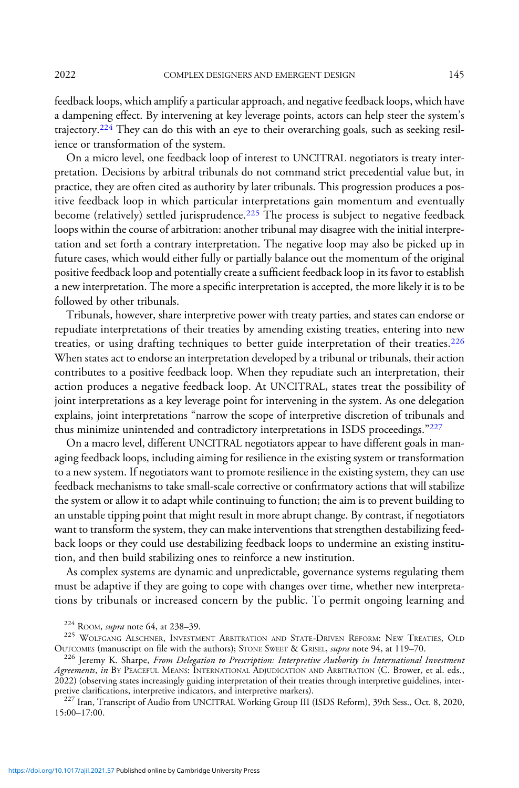feedback loops, which amplify a particular approach, and negative feedback loops, which have a dampening effect. By intervening at key leverage points, actors can help steer the system's trajectory.<sup>224</sup> They can do this with an eye to their overarching goals, such as seeking resilience or transformation of the system.

On a micro level, one feedback loop of interest to UNCITRAL negotiators is treaty interpretation. Decisions by arbitral tribunals do not command strict precedential value but, in practice, they are often cited as authority by later tribunals. This progression produces a positive feedback loop in which particular interpretations gain momentum and eventually become (relatively) settled jurisprudence.<sup>225</sup> The process is subject to negative feedback loops within the course of arbitration: another tribunal may disagree with the initial interpretation and set forth a contrary interpretation. The negative loop may also be picked up in future cases, which would either fully or partially balance out the momentum of the original positive feedback loop and potentially create a sufficient feedback loop in its favor to establish a new interpretation. The more a specific interpretation is accepted, the more likely it is to be followed by other tribunals.

Tribunals, however, share interpretive power with treaty parties, and states can endorse or repudiate interpretations of their treaties by amending existing treaties, entering into new treaties, or using drafting techniques to better guide interpretation of their treaties.<sup>226</sup> When states act to endorse an interpretation developed by a tribunal or tribunals, their action contributes to a positive feedback loop. When they repudiate such an interpretation, their action produces a negative feedback loop. At UNCITRAL, states treat the possibility of joint interpretations as a key leverage point for intervening in the system. As one delegation explains, joint interpretations "narrow the scope of interpretive discretion of tribunals and thus minimize unintended and contradictory interpretations in ISDS proceedings."<sup>227</sup>

On a macro level, different UNCITRAL negotiators appear to have different goals in managing feedback loops, including aiming for resilience in the existing system or transformation to a new system. If negotiators want to promote resilience in the existing system, they can use feedback mechanisms to take small-scale corrective or confirmatory actions that will stabilize the system or allow it to adapt while continuing to function; the aim is to prevent building to an unstable tipping point that might result in more abrupt change. By contrast, if negotiators want to transform the system, they can make interventions that strengthen destabilizing feedback loops or they could use destabilizing feedback loops to undermine an existing institution, and then build stabilizing ones to reinforce a new institution.

As complex systems are dynamic and unpredictable, governance systems regulating them must be adaptive if they are going to cope with changes over time, whether new interpretations by tribunals or increased concern by the public. To permit ongoing learning and

<sup>&</sup>lt;sup>224</sup> ROOM, *supra* note 64, at 238–39.<br><sup>225</sup> WOLFGANG ALSCHNER, INVESTMENT ARBITRATION AND STATE-DRIVEN REFORM: NEW TREATIES, OLD<br>OUTCOMES (manuscript on file with the authors); STONE SWEET & GRISEL, *supra* note 94, at

<sup>&</sup>lt;sup>226</sup> Jeremy K. Sharpe, From Delegation to Prescription: Interpretive Authority in International Investment Agreements, in BY PEACEFUL MEANS: INTERNATIONAL ADJUDICATION AND ARBITRATION (C. Brower, et al. eds., 2022) (observing states increasingly guiding interpretation of their treaties through interpretive guidelines, inter-

<sup>&</sup>lt;sup>227</sup> Iran, Transcript of Audio from UNCITRAL Working Group III (ISDS Reform), 39th Sess., Oct. 8, 2020, 15:00–17:00.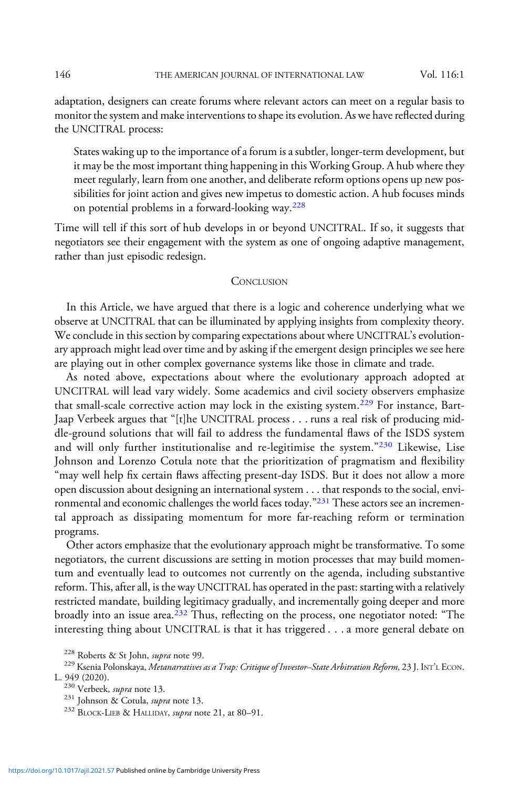adaptation, designers can create forums where relevant actors can meet on a regular basis to monitor the system and make interventions to shape its evolution. As we have reflected during the UNCITRAL process:

States waking up to the importance of a forum is a subtler, longer-term development, but it may be the most important thing happening in this Working Group. A hub where they meet regularly, learn from one another, and deliberate reform options opens up new possibilities for joint action and gives new impetus to domestic action. A hub focuses minds on potential problems in a forward-looking way.<sup>228</sup>

Time will tell if this sort of hub develops in or beyond UNCITRAL. If so, it suggests that negotiators see their engagement with the system as one of ongoing adaptive management, rather than just episodic redesign.

#### **CONCLUSION**

In this Article, we have argued that there is a logic and coherence underlying what we observe at UNCITRAL that can be illuminated by applying insights from complexity theory. We conclude in this section by comparing expectations about where UNCITRAL's evolutionary approach might lead over time and by asking if the emergent design principles we see here are playing out in other complex governance systems like those in climate and trade.

As noted above, expectations about where the evolutionary approach adopted at UNCITRAL will lead vary widely. Some academics and civil society observers emphasize that small-scale corrective action may lock in the existing system.<sup>229</sup> For instance, Bart-Jaap Verbeek argues that "[t]he UNCITRAL process . . . runs a real risk of producing middle-ground solutions that will fail to address the fundamental flaws of the ISDS system and will only further institutionalise and re-legitimise the system."<sup>230</sup> Likewise, Lise Johnson and Lorenzo Cotula note that the prioritization of pragmatism and flexibility "may well help fix certain flaws affecting present-day ISDS. But it does not allow a more open discussion about designing an international system . . . that responds to the social, environmental and economic challenges the world faces today."<sup>231</sup> These actors see an incremental approach as dissipating momentum for more far-reaching reform or termination programs.

Other actors emphasize that the evolutionary approach might be transformative. To some negotiators, the current discussions are setting in motion processes that may build momentum and eventually lead to outcomes not currently on the agenda, including substantive reform. This, after all, is the way UNCITRAL has operated in the past: starting with a relatively restricted mandate, building legitimacy gradually, and incrementally going deeper and more broadly into an issue area.<sup>232</sup> Thus, reflecting on the process, one negotiator noted: "The interesting thing about UNCITRAL is that it has triggered . . . a more general debate on

<sup>&</sup>lt;sup>228</sup> Roberts & St John, *supra* note 99.<br><sup>229</sup> Ksenia Polonskaya, *Metanarratives as a Trap: Critique of Investor–State Arbitration Reform*, 23 J. INT'L ECON.<br>L. 949 (2020).

<sup>&</sup>lt;sup>230</sup> Verbeek, *supra* note 13.<br><sup>231</sup> Johnson & Cotula, *supra* note 13.<br><sup>232</sup> BLOCK-LIEB & HALLIDAY, *supra* note 21, at 80–91.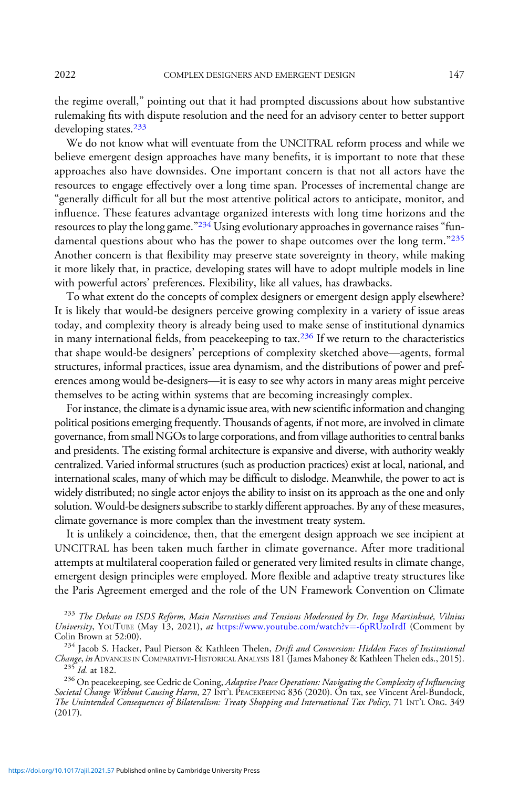the regime overall," pointing out that it had prompted discussions about how substantive rulemaking fits with dispute resolution and the need for an advisory center to better support developing states.<sup>233</sup>

We do not know what will eventuate from the UNCITRAL reform process and while we believe emergent design approaches have many benefits, it is important to note that these approaches also have downsides. One important concern is that not all actors have the resources to engage effectively over a long time span. Processes of incremental change are "generally difficult for all but the most attentive political actors to anticipate, monitor, and influence. These features advantage organized interests with long time horizons and the resources to play the long game." $^{234}$  Using evolutionary approaches in governance raises "fundamental questions about who has the power to shape outcomes over the long term."<sup>235</sup> Another concern is that flexibility may preserve state sovereignty in theory, while making it more likely that, in practice, developing states will have to adopt multiple models in line with powerful actors' preferences. Flexibility, like all values, has drawbacks.

To what extent do the concepts of complex designers or emergent design apply elsewhere? It is likely that would-be designers perceive growing complexity in a variety of issue areas today, and complexity theory is already being used to make sense of institutional dynamics in many international fields, from peace keeping to tax.<sup>236</sup> If we return to the characteristics that shape would-be designers' perceptions of complexity sketched above—agents, formal structures, informal practices, issue area dynamism, and the distributions of power and preferences among would be-designers—it is easy to see why actors in many areas might perceive themselves to be acting within systems that are becoming increasingly complex.

For instance, the climate is a dynamic issue area, with new scientific information and changing political positions emerging frequently. Thousands of agents, if not more, are involved in climate governance, from small NGOs to large corporations, and from village authorities to central banks and presidents. The existing formal architecture is expansive and diverse, with authority weakly centralized. Varied informal structures (such as production practices) exist at local, national, and international scales, many of which may be difficult to dislodge. Meanwhile, the power to act is widely distributed; no single actor enjoys the ability to insist on its approach as the one and only solution. Would-be designers subscribe to starkly different approaches. By any of these measures, climate governance is more complex than the investment treaty system.

It is unlikely a coincidence, then, that the emergent design approach we see incipient at UNCITRAL has been taken much farther in climate governance. After more traditional attempts at multilateral cooperation failed or generated very limited results in climate change, emergent design principles were employed. More flexible and adaptive treaty structures like the Paris Agreement emerged and the role of the UN Framework Convention on Climate

Societal Change Without Causing Harm, 27 INT'L PEACEKEEPING 836 (2020). On tax, see Vincent Arel-Bundock, The Unintended Consequences of Bilateralism: Treaty Shopping and International Tax Policy, 71 INT'<sup>L</sup> ORG. 349 (2017).

<sup>&</sup>lt;sup>233</sup> The Debate on ISDS Reform, Main Narratives and Tensions Moderated by Dr. Inga Martinkutė, Vilnius University, YOUTUBE (May 13, 2021), at [https://www.youtube.com/watch?v](https://www.youtube.com/watch?v=-6pRUzoIrdI)=[-6pRUzoIrdI](https://www.youtube.com/watch?v=-6pRUzoIrdI) (Comment by Colin Brown at 52:00).

<sup>&</sup>lt;sup>234</sup> Jacob S. Hacker, Paul Pierson & Kathleen Thelen, *Drift and Conversion: Hidden Faces of Institutional Change, in* ADVANCES IN COMPARATIVE-HISTORICAL ANALYSIS 181 (James Mahoney & Kathleen Thelen eds., 2015). *Change, in* ADVANCES IN COMPARATIVE-HISTORICAL ANALYSIS 181 (James Mahoney & Kathleen Thelen eds., 2015).<br><sup>235</sup> Id. at 182.<br><sup>236</sup> On peacekeeping, see Cedric de Coning, *Adaptive Peace Operations: Navigating the Complexit*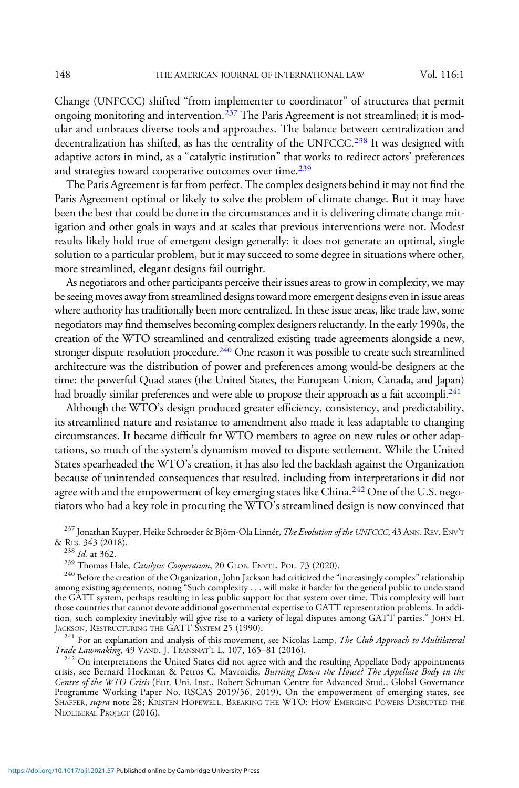Change (UNFCCC) shifted "from implementer to coordinator" of structures that permit ongoing monitoring and intervention.<sup>237</sup> The Paris Agreement is not streamlined; it is modular and embraces diverse tools and approaches. The balance between centralization and decentralization has shifted, as has the centrality of the UNFCCC.<sup>238</sup> It was designed with adaptive actors in mind, as a "catalytic institution" that works to redirect actors' preferences and strategies toward cooperative outcomes over time.<sup>239</sup>

The Paris Agreement is far from perfect. The complex designers behind it may not find the Paris Agreement optimal or likely to solve the problem of climate change. But it may have been the best that could be done in the circumstances and it is delivering climate change mitigation and other goals in ways and at scales that previous interventions were not. Modest results likely hold true of emergent design generally: it does not generate an optimal, single solution to a particular problem, but it may succeed to some degree in situations where other, more streamlined, elegant designs fail outright.

As negotiators and other participants perceive their issues areas to grow in complexity, we may be seeing moves away from streamlined designs toward more emergent designs even in issue areas where authority has traditionally been more centralized. In these issue areas, like trade law, some negotiators may find themselves becoming complex designers reluctantly. In the early 1990s, the creation of the WTO streamlined and centralized existing trade agreements alongside a new, stronger dispute resolution procedure.<sup>240</sup> One reason it was possible to create such streamlined architecture was the distribution of power and preferences among would-be designers at the time: the powerful Quad states (the United States, the European Union, Canada, and Japan) had broadly similar preferences and were able to propose their approach as a fait accompli.<sup>241</sup>

Although the WTO's design produced greater efficiency, consistency, and predictability, its streamlined nature and resistance to amendment also made it less adaptable to changing circumstances. It became difficult for WTO members to agree on new rules or other adaptations, so much of the system's dynamism moved to dispute settlement. While the United States spearheaded the WTO's creation, it has also led the backlash against the Organization because of unintended consequences that resulted, including from interpretations it did not agree with and the empowerment of key emerging states like China.<sup>242</sup> One of the U.S. negotiators who had a key role in procuring the WTO's streamlined design is now convinced that

 $^{237}$  Jonathan Kuyper, Heike Schroeder & Björn-Ola Linnér, *The Evolution of the UNFCCC*, 43 ANN. REV. ENV'T & RES. 343 (2018).

<sup>238</sup> Id. at 362.<br><sup>239</sup> Thomas Hale, *Catalytic Cooperation*, 20 GLOB. ENVTL. POL. 73 (2020).<br><sup>240</sup> Before the creation of the Organization, John Jackson had criticized the "increasingly complex" relationship among existing agreements, noting "Such complexity . . . will make it harder for the general public to understand the GATT system, perhaps resulting in less public support for that system over time. This complexity will hurt those countries that cannot devote additional governmental expertise to GATT representation problems. In addition, such complexity inevitably will give rise to a variety of legal disputes among GATT parties." JOHN H. JACKSON, RESTRUCTURING THE GATT SYSTEM 25 (1990).

 $^{241}$  For an explanation and analysis of this movement, see Nicolas Lamp, *The Club Approach to Multilateral* Trade Lawmaking, 49 VAND. J. TRANSNAT'L L. 107, 165–81 (2016).

<sup>242</sup> On interpretations the United States did not agree with and the resulting Appellate Body appointments crisis, see Bernard Hoekman & Petros C. Mavroidis, *Burning Down the House? The Appellate Body in the* Centre of the WTO Crisis (Eur. Uni. Inst., Robert Schuman Centre for Advanced Stud., Global Governance Programme Working Paper No. RSCAS 2019/56, 2019). On the empowerment of emerging states, see SHAFFER, supra note 28; KRISTEN HOPEWELL, BREAKING THE WTO: HOW EMERGING POWERS DISRUPTED THE NEOLIBERAL PROJECT (2016).